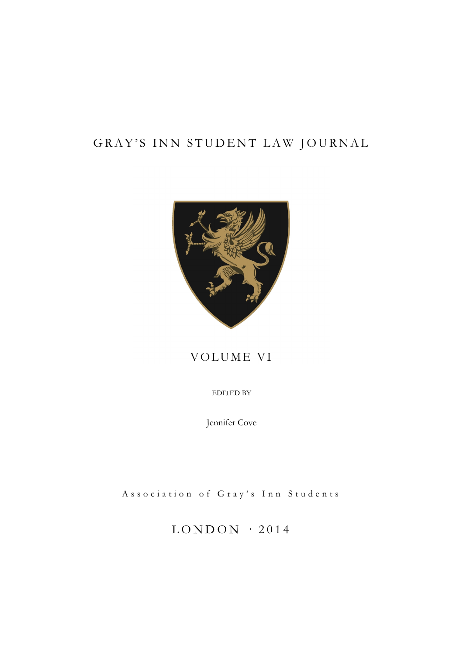# GRAY'S INN STUDENT LAW JOURNAL



# VOLUME VI

EDITED BY

Jennifer Cove

Association of Gray's Inn Students

 $LONDON$  · 2014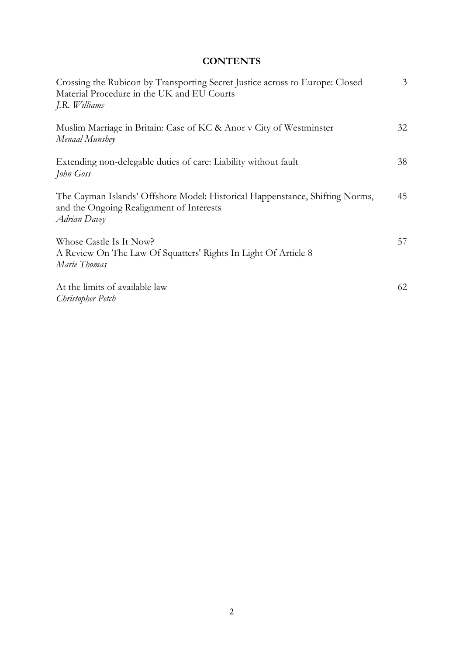# **CONTENTS**

| Crossing the Rubicon by Transporting Secret Justice across to Europe: Closed<br>Material Procedure in the UK and EU Courts<br>J.R. Williams | $\mathfrak{Z}$ |
|---------------------------------------------------------------------------------------------------------------------------------------------|----------------|
| Muslim Marriage in Britain: Case of KC & Anor v City of Westminster<br>Menaal Munshey                                                       | 32             |
| Extending non-delegable duties of care: Liability without fault<br>John Goss                                                                | 38             |
| The Cayman Islands' Offshore Model: Historical Happenstance, Shifting Norms,<br>and the Ongoing Realignment of Interests<br>Adrian Davey    | 45             |
| Whose Castle Is It Now?<br>A Review On The Law Of Squatters' Rights In Light Of Article 8<br>Marie Thomas                                   | 57             |
| At the limits of available law<br>Christopher Petch                                                                                         | 62             |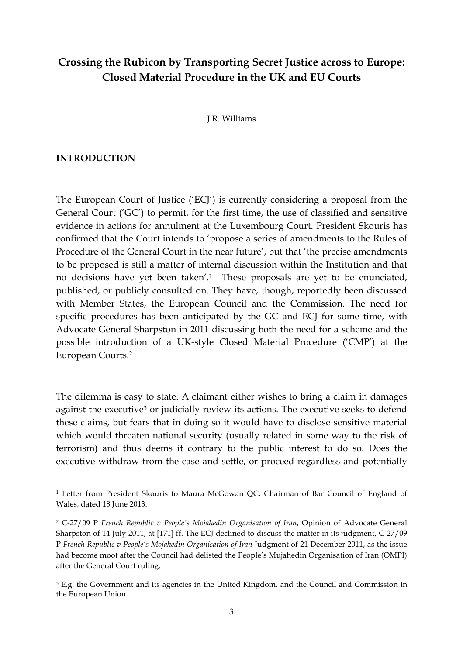# **Crossing the Rubicon by Transporting Secret Justice across to Europe: Closed Material Procedure in the UK and EU Courts**

J.R. Williams

#### **INTRODUCTION**

<u> 1989 - Jan Samuel Barbara, margaret e</u>

The European Court of Justice ('ECJ') is currently considering a proposal from the General Court ('GC') to permit, for the first time, the use of classified and sensitive evidence in actions for annulment at the Luxembourg Court. President Skouris has confirmed that the Court intends to 'propose a series of amendments to the Rules of Procedure of the General Court in the near future', but that 'the precise amendments to be proposed is still a matter of internal discussion within the Institution and that no decisions have yet been taken'.1 These proposals are yet to be enunciated, published, or publicly consulted on. They have, though, reportedly been discussed with Member States, the European Council and the Commission. The need for specific procedures has been anticipated by the GC and ECJ for some time, with Advocate General Sharpston in 2011 discussing both the need for a scheme and the possible introduction of a UK-style Closed Material Procedure ('CMP') at the European Courts.2

The dilemma is easy to state. A claimant either wishes to bring a claim in damages against the executive<sup>3</sup> or judicially review its actions. The executive seeks to defend these claims, but fears that in doing so it would have to disclose sensitive material which would threaten national security (usually related in some way to the risk of terrorism) and thus deems it contrary to the public interest to do so. Does the executive withdraw from the case and settle, or proceed regardless and potentially

<sup>1</sup> Letter from President Skouris to Maura McGowan QC, Chairman of Bar Council of England of Wales, dated 18 June 2013.

<sup>2</sup> C-27/09 P *French Republic v People's Mojahedin Organisation of Iran*, Opinion of Advocate General Sharpston of 14 July 2011, at [171] ff. The ECJ declined to discuss the matter in its judgment, C-27/09 P *French Republic v People's Mojahedin Organisation of Iran* Judgment of 21 December 2011, as the issue had become moot after the Council had delisted the People's Mujahedin Organisation of Iran (OMPI) after the General Court ruling.

<sup>&</sup>lt;sup>3</sup> E.g. the Government and its agencies in the United Kingdom, and the Council and Commission in the European Union.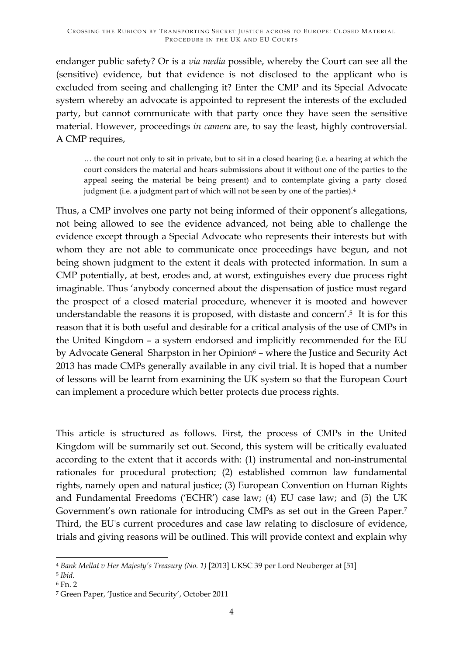endanger public safety? Or is a *via media* possible, whereby the Court can see all the (sensitive) evidence, but that evidence is not disclosed to the applicant who is excluded from seeing and challenging it? Enter the CMP and its Special Advocate system whereby an advocate is appointed to represent the interests of the excluded party, but cannot communicate with that party once they have seen the sensitive material. However, proceedings *in camera* are, to say the least, highly controversial. A CMP requires,

… the court not only to sit in private, but to sit in a closed hearing (i.e. a hearing at which the court considers the material and hears submissions about it without one of the parties to the appeal seeing the material be being present) and to contemplate giving a party closed judgment (i.e. a judgment part of which will not be seen by one of the parties).<sup>4</sup>

Thus, a CMP involves one party not being informed of their opponent's allegations, not being allowed to see the evidence advanced, not being able to challenge the evidence except through a Special Advocate who represents their interests but with whom they are not able to communicate once proceedings have begun, and not being shown judgment to the extent it deals with protected information. In sum a CMP potentially, at best, erodes and, at worst, extinguishes every due process right imaginable. Thus 'anybody concerned about the dispensation of justice must regard the prospect of a closed material procedure, whenever it is mooted and however understandable the reasons it is proposed, with distaste and concern'.5 It is for this reason that it is both useful and desirable for a critical analysis of the use of CMPs in the United Kingdom – a system endorsed and implicitly recommended for the EU by Advocate General Sharpston in her Opinion<sup>6</sup> – where the Justice and Security Act 2013 has made CMPs generally available in any civil trial. It is hoped that a number of lessons will be learnt from examining the UK system so that the European Court can implement a procedure which better protects due process rights.

This article is structured as follows. First, the process of CMPs in the United Kingdom will be summarily set out. Second, this system will be critically evaluated according to the extent that it accords with: (1) instrumental and non-instrumental rationales for procedural protection; (2) established common law fundamental rights, namely open and natural justice; (3) European Convention on Human Rights and Fundamental Freedoms ('ECHR') case law; (4) EU case law; and (5) the UK Government's own rationale for introducing CMPs as set out in the Green Paper.7 Third, the EU's current procedures and case law relating to disclosure of evidence, trials and giving reasons will be outlined. This will provide context and explain why

<u> 1989 - Jan Samuel Barbara, margaret e</u>

<sup>4</sup> *Bank Mellat v Her Majesty's Treasury (No. 1)* [2013] UKSC 39 per Lord Neuberger at [51]

<sup>5</sup> *Ibid*. 6 Fn. 2

<sup>7</sup> Green Paper, 'Justice and Security', October 2011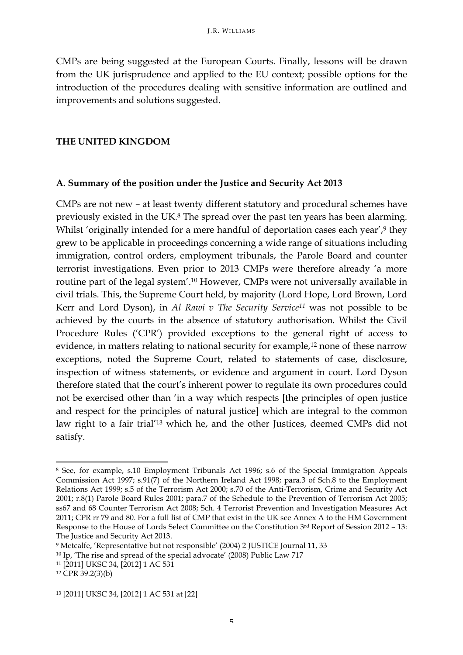CMPs are being suggested at the European Courts. Finally, lessons will be drawn from the UK jurisprudence and applied to the EU context; possible options for the introduction of the procedures dealing with sensitive information are outlined and improvements and solutions suggested.

#### **THE UNITED KINGDOM**

#### **A. Summary of the position under the Justice and Security Act 2013**

CMPs are not new – at least twenty different statutory and procedural schemes have previously existed in the UK.8 The spread over the past ten years has been alarming. Whilst 'originally intended for a mere handful of deportation cases each year',<sup>9</sup> they grew to be applicable in proceedings concerning a wide range of situations including immigration, control orders, employment tribunals, the Parole Board and counter terrorist investigations. Even prior to 2013 CMPs were therefore already 'a more routine part of the legal system'.10 However, CMPs were not universally available in civil trials. This, the Supreme Court held, by majority (Lord Hope, Lord Brown, Lord Kerr and Lord Dyson), in *Al Rawi v The Security Service11* was not possible to be achieved by the courts in the absence of statutory authorisation. Whilst the Civil Procedure Rules ('CPR') provided exceptions to the general right of access to evidence, in matters relating to national security for example, $12$  none of these narrow exceptions, noted the Supreme Court, related to statements of case, disclosure, inspection of witness statements, or evidence and argument in court. Lord Dyson therefore stated that the court's inherent power to regulate its own procedures could not be exercised other than 'in a way which respects [the principles of open justice and respect for the principles of natural justice] which are integral to the common law right to a fair trial'13 which he, and the other Justices, deemed CMPs did not satisfy.

<u> 1989 - Jan Samuel Barbara, margaret e</u>

<sup>8</sup> See, for example, s.10 Employment Tribunals Act 1996; s.6 of the Special Immigration Appeals Commission Act 1997; s.91(7) of the Northern Ireland Act 1998; para.3 of Sch.8 to the Employment Relations Act 1999; s.5 of the Terrorism Act 2000; s.70 of the Anti-Terrorism, Crime and Security Act 2001; r.8(1) Parole Board Rules 2001; para.7 of the Schedule to the Prevention of Terrorism Act 2005; ss67 and 68 Counter Terrorism Act 2008; Sch. 4 Terrorist Prevention and Investigation Measures Act 2011; CPR rr 79 and 80. For a full list of CMP that exist in the UK see Annex A to the HM Government Response to the House of Lords Select Committee on the Constitution 3rd Report of Session 2012 – 13: The Justice and Security Act 2013.

<sup>9</sup> Metcalfe, 'Representative but not responsible' (2004) 2 JUSTICE Journal 11, 33

<sup>10</sup> Ip, 'The rise and spread of the special advocate' (2008) Public Law 717

<sup>11</sup> [2011] UKSC 34, [2012] 1 AC 531

<sup>12</sup> CPR 39.2(3)(b)

<sup>13</sup> [2011] UKSC 34, [2012] 1 AC 531 at [22]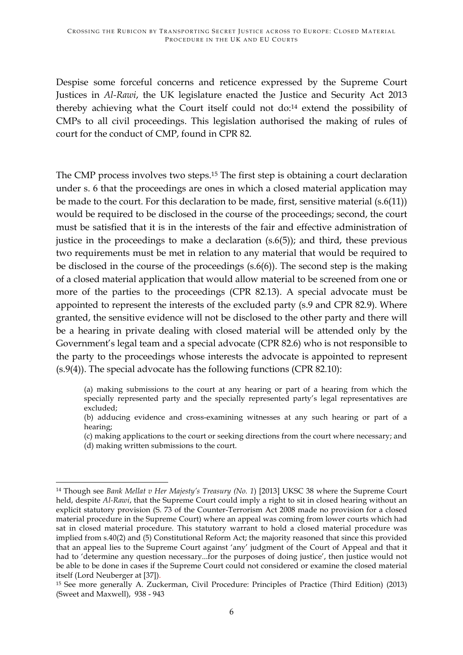Despise some forceful concerns and reticence expressed by the Supreme Court Justices in *Al-Rawi*, the UK legislature enacted the Justice and Security Act 2013 thereby achieving what the Court itself could not do:14 extend the possibility of CMPs to all civil proceedings. This legislation authorised the making of rules of court for the conduct of CMP, found in CPR 82.

The CMP process involves two steps.15 The first step is obtaining a court declaration under s. 6 that the proceedings are ones in which a closed material application may be made to the court. For this declaration to be made, first, sensitive material (s.6(11)) would be required to be disclosed in the course of the proceedings; second, the court must be satisfied that it is in the interests of the fair and effective administration of justice in the proceedings to make a declaration (s.6(5)); and third, these previous two requirements must be met in relation to any material that would be required to be disclosed in the course of the proceedings (s.6(6)). The second step is the making of a closed material application that would allow material to be screened from one or more of the parties to the proceedings (CPR 82.13). A special advocate must be appointed to represent the interests of the excluded party (s.9 and CPR 82.9). Where granted, the sensitive evidence will not be disclosed to the other party and there will be a hearing in private dealing with closed material will be attended only by the Government's legal team and a special advocate (CPR 82.6) who is not responsible to the party to the proceedings whose interests the advocate is appointed to represent (s.9(4)). The special advocate has the following functions (CPR 82.10):

(b) adducing evidence and cross-examining witnesses at any such hearing or part of a hearing;

(c) making applications to the court or seeking directions from the court where necessary; and (d) making written submissions to the court.

<sup>(</sup>a) making submissions to the court at any hearing or part of a hearing from which the specially represented party and the specially represented party's legal representatives are excluded;

<sup>&</sup>lt;u> 1989 - Jan Samuel Barbara, margaret e</u> <sup>14</sup> Though see *Bank Mellat v Her Majesty's Treasury (No. 1*) [2013] UKSC 38 where the Supreme Court held, despite *Al-Rawi*, that the Supreme Court could imply a right to sit in closed hearing without an explicit statutory provision (S. 73 of the Counter-Terrorism Act 2008 made no provision for a closed material procedure in the Supreme Court) where an appeal was coming from lower courts which had sat in closed material procedure. This statutory warrant to hold a closed material procedure was implied from s.40(2) and (5) Constitutional Reform Act; the majority reasoned that since this provided that an appeal lies to the Supreme Court against 'any' judgment of the Court of Appeal and that it had to 'determine any question necessary...for the purposes of doing justice', then justice would not be able to be done in cases if the Supreme Court could not considered or examine the closed material itself (Lord Neuberger at [37]).<br><sup>15</sup> See more generally A. Zuckerman, Civil Procedure: Principles of Practice (Third Edition) (2013)

<sup>(</sup>Sweet and Maxwell), 938 - 943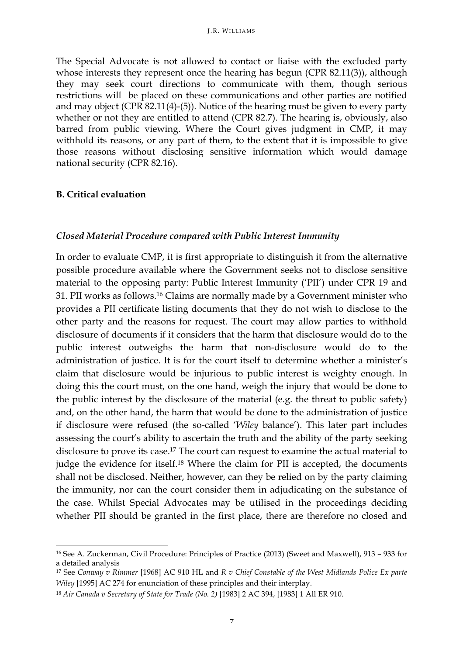The Special Advocate is not allowed to contact or liaise with the excluded party whose interests they represent once the hearing has begun (CPR 82.11(3)), although they may seek court directions to communicate with them, though serious restrictions will be placed on these communications and other parties are notified and may object (CPR 82.11(4)-(5)). Notice of the hearing must be given to every party whether or not they are entitled to attend (CPR 82.7). The hearing is, obviously, also barred from public viewing. Where the Court gives judgment in CMP, it may withhold its reasons, or any part of them, to the extent that it is impossible to give those reasons without disclosing sensitive information which would damage national security (CPR 82.16).

#### **B. Critical evaluation**

<u> 1989 - Jan Samuel Barbara, margaret e</u>

#### *Closed Material Procedure compared with Public Interest Immunity*

In order to evaluate CMP, it is first appropriate to distinguish it from the alternative possible procedure available where the Government seeks not to disclose sensitive material to the opposing party: Public Interest Immunity ('PII') under CPR 19 and 31. PII works as follows.16 Claims are normally made by a Government minister who provides a PII certificate listing documents that they do not wish to disclose to the other party and the reasons for request. The court may allow parties to withhold disclosure of documents if it considers that the harm that disclosure would do to the public interest outweighs the harm that non-disclosure would do to the administration of justice. It is for the court itself to determine whether a minister's claim that disclosure would be injurious to public interest is weighty enough. In doing this the court must, on the one hand, weigh the injury that would be done to the public interest by the disclosure of the material (e.g. the threat to public safety) and, on the other hand, the harm that would be done to the administration of justice if disclosure were refused (the so-called '*Wiley* balance'). This later part includes assessing the court's ability to ascertain the truth and the ability of the party seeking disclosure to prove its case.<sup>17</sup> The court can request to examine the actual material to judge the evidence for itself.<sup>18</sup> Where the claim for PII is accepted, the documents shall not be disclosed. Neither, however, can they be relied on by the party claiming the immunity, nor can the court consider them in adjudicating on the substance of the case. Whilst Special Advocates may be utilised in the proceedings deciding whether PII should be granted in the first place, there are therefore no closed and

<sup>16</sup> See A. Zuckerman, Civil Procedure: Principles of Practice (2013) (Sweet and Maxwell), 913 – 933 for a detailed analysis

<sup>17</sup> See *Conway v Rimmer* [1968] AC 910 HL and *R v Chief Constable of the West Midlands Police Ex parte Wiley* [1995] AC 274 for enunciation of these principles and their interplay.

<sup>18</sup> *Air Canada v Secretary of State for Trade (No. 2)* [1983] 2 AC 394, [1983] 1 All ER 910.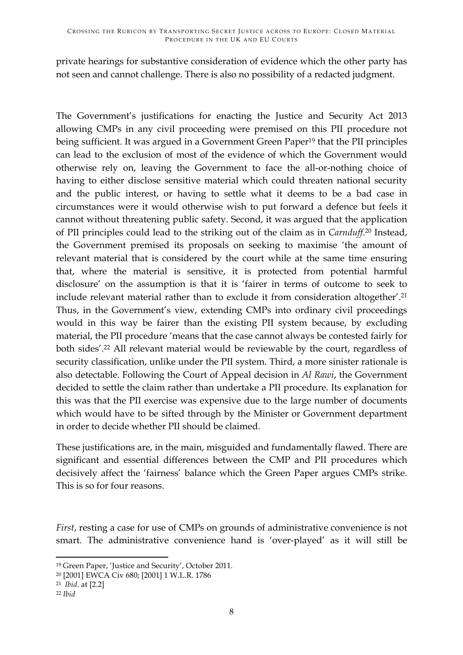private hearings for substantive consideration of evidence which the other party has not seen and cannot challenge. There is also no possibility of a redacted judgment.

The Government's justifications for enacting the Justice and Security Act 2013 allowing CMPs in any civil proceeding were premised on this PII procedure not being sufficient. It was argued in a Government Green Paper<sup>19</sup> that the PII principles can lead to the exclusion of most of the evidence of which the Government would otherwise rely on, leaving the Government to face the all-or-nothing choice of having to either disclose sensitive material which could threaten national security and the public interest, or having to settle what it deems to be a bad case in circumstances were it would otherwise wish to put forward a defence but feels it cannot without threatening public safety. Second, it was argued that the application of PII principles could lead to the striking out of the claim as in *Carnduff*. <sup>20</sup> Instead, the Government premised its proposals on seeking to maximise 'the amount of relevant material that is considered by the court while at the same time ensuring that, where the material is sensitive, it is protected from potential harmful disclosure' on the assumption is that it is 'fairer in terms of outcome to seek to include relevant material rather than to exclude it from consideration altogether'.21 Thus, in the Government's view, extending CMPs into ordinary civil proceedings would in this way be fairer than the existing PII system because, by excluding material, the PII procedure 'means that the case cannot always be contested fairly for both sides'.22 All relevant material would be reviewable by the court, regardless of security classification, unlike under the PII system. Third, a more sinister rationale is also detectable. Following the Court of Appeal decision in *Al Rawi*, the Government decided to settle the claim rather than undertake a PII procedure. Its explanation for this was that the PII exercise was expensive due to the large number of documents which would have to be sifted through by the Minister or Government department in order to decide whether PII should be claimed.

These justifications are, in the main, misguided and fundamentally flawed. There are significant and essential differences between the CMP and PII procedures which decisively affect the 'fairness' balance which the Green Paper argues CMPs strike. This is so for four reasons.

*First*, resting a case for use of CMPs on grounds of administrative convenience is not smart. The administrative convenience hand is 'over-played' as it will still be

<u> 1989 - Jan Samuel Barbara, margaret e</u>

<sup>19</sup> Green Paper, 'Justice and Security', October 2011.

<sup>20</sup> [2001] EWCA Civ 680; [2001] 1 W.L.R. 1786

<sup>21</sup> *Ibid*. at [2.2]

<sup>22</sup> *Ibid*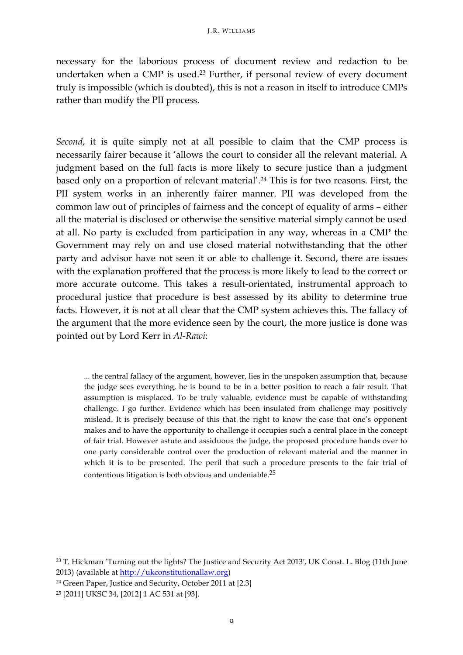necessary for the laborious process of document review and redaction to be undertaken when a CMP is used.<sup>23</sup> Further, if personal review of every document truly is impossible (which is doubted), this is not a reason in itself to introduce CMPs rather than modify the PII process.

*Second*, it is quite simply not at all possible to claim that the CMP process is necessarily fairer because it 'allows the court to consider all the relevant material. A judgment based on the full facts is more likely to secure justice than a judgment based only on a proportion of relevant material'.24 This is for two reasons. First, the PII system works in an inherently fairer manner. PII was developed from the common law out of principles of fairness and the concept of equality of arms – either all the material is disclosed or otherwise the sensitive material simply cannot be used at all. No party is excluded from participation in any way, whereas in a CMP the Government may rely on and use closed material notwithstanding that the other party and advisor have not seen it or able to challenge it. Second, there are issues with the explanation proffered that the process is more likely to lead to the correct or more accurate outcome. This takes a result-orientated, instrumental approach to procedural justice that procedure is best assessed by its ability to determine true facts. However, it is not at all clear that the CMP system achieves this. The fallacy of the argument that the more evidence seen by the court, the more justice is done was pointed out by Lord Kerr in *Al-Rawi*:

... the central fallacy of the argument, however, lies in the unspoken assumption that, because the judge sees everything, he is bound to be in a better position to reach a fair result. That assumption is misplaced. To be truly valuable, evidence must be capable of withstanding challenge. I go further. Evidence which has been insulated from challenge may positively mislead. It is precisely because of this that the right to know the case that one's opponent makes and to have the opportunity to challenge it occupies such a central place in the concept of fair trial. However astute and assiduous the judge, the proposed procedure hands over to one party considerable control over the production of relevant material and the manner in which it is to be presented. The peril that such a procedure presents to the fair trial of contentious litigation is both obvious and undeniable.25

<u> 1989 - Jan Samuel Barbara, margaret e</u>

<sup>23</sup> T. Hickman 'Turning out the lights? The Justice and Security Act 2013′, UK Const. L. Blog (11th June 2013) (available at http://ukconstitutionallaw.org)

<sup>24</sup> Green Paper, Justice and Security, October 2011 at [2.3]

<sup>25</sup> [2011] UKSC 34, [2012] 1 AC 531 at [93].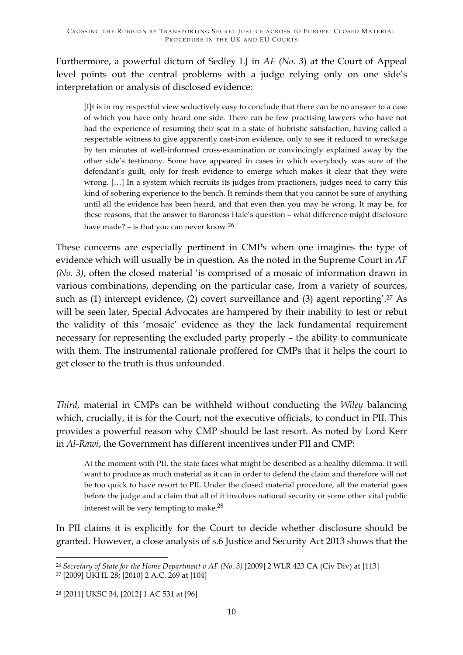Furthermore, a powerful dictum of Sedley LJ in *AF (No. 3*) at the Court of Appeal level points out the central problems with a judge relying only on one side's interpretation or analysis of disclosed evidence:

[I]t is in my respectful view seductively easy to conclude that there can be no answer to a case of which you have only heard one side. There can be few practising lawyers who have not had the experience of resuming their seat in a state of hubristic satisfaction, having called a respectable witness to give apparently cast-iron evidence, only to see it reduced to wreckage by ten minutes of well-informed cross-examination or convincingly explained away by the other side's testimony. Some have appeared in cases in which everybody was sure of the defendant's guilt, only for fresh evidence to emerge which makes it clear that they were wrong. […] In a system which recruits its judges from practioners, judges need to carry this kind of sobering experience to the bench. It reminds them that you cannot be sure of anything until all the evidence has been heard, and that even then you may be wrong. It may be, for these reasons, that the answer to Baroness Hale's question – what difference might disclosure have made? – is that you can never know.26

These concerns are especially pertinent in CMPs when one imagines the type of evidence which will usually be in question. As the noted in the Supreme Court in *AF (No. 3)*, often the closed material 'is comprised of a mosaic of information drawn in various combinations, depending on the particular case, from a variety of sources, such as  $(1)$  intercept evidence,  $(2)$  covert surveillance and  $(3)$  agent reporting'.<sup>27</sup> As will be seen later, Special Advocates are hampered by their inability to test or rebut the validity of this 'mosaic' evidence as they the lack fundamental requirement necessary for representing the excluded party properly – the ability to communicate with them. The instrumental rationale proffered for CMPs that it helps the court to get closer to the truth is thus unfounded.

*Third*, material in CMPs can be withheld without conducting the *Wiley* balancing which, crucially, it is for the Court, not the executive officials, to conduct in PII. This provides a powerful reason why CMP should be last resort. As noted by Lord Kerr in *Al-Rawi*, the Government has different incentives under PII and CMP:

At the moment with PII, the state faces what might be described as a healthy dilemma. It will want to produce as much material as it can in order to defend the claim and therefore will not be too quick to have resort to PII. Under the closed material procedure, all the material goes before the judge and a claim that all of it involves national security or some other vital public interest will be very tempting to make.28

In PII claims it is explicitly for the Court to decide whether disclosure should be granted. However, a close analysis of s.6 Justice and Security Act 2013 shows that the

<sup>&</sup>lt;u> 1989 - Jan Samuel Barbara, margaret e</u> <sup>26</sup> *Secretary of State for the Home Department v AF (No. 3)* [2009] 2 WLR 423 CA (Civ Div) at [113]

<sup>27</sup> [2009] UKHL 28; [2010] 2 A.C. 269 at [104]

<sup>28</sup> [2011] UKSC 34, [2012] 1 AC 531 at [96]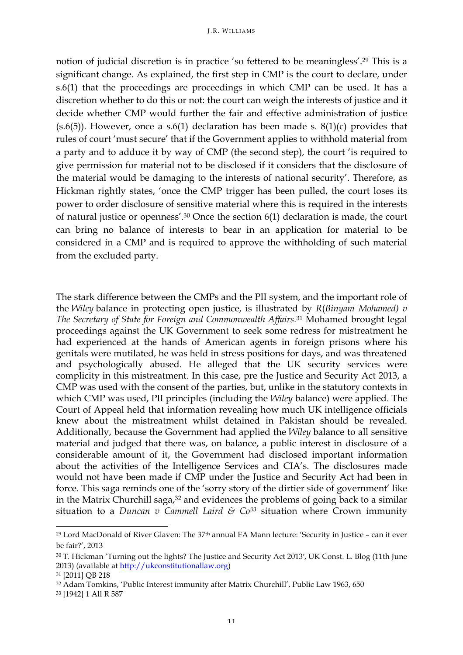notion of judicial discretion is in practice 'so fettered to be meaningless'.29 This is a significant change. As explained, the first step in CMP is the court to declare, under s.6(1) that the proceedings are proceedings in which CMP can be used. It has a discretion whether to do this or not: the court can weigh the interests of justice and it decide whether CMP would further the fair and effective administration of justice  $(s.6(5))$ . However, once a  $s.6(1)$  declaration has been made s.  $8(1)(c)$  provides that rules of court 'must secure' that if the Government applies to withhold material from a party and to adduce it by way of CMP (the second step), the court 'is required to give permission for material not to be disclosed if it considers that the disclosure of the material would be damaging to the interests of national security'. Therefore, as Hickman rightly states, 'once the CMP trigger has been pulled, the court loses its power to order disclosure of sensitive material where this is required in the interests of natural justice or openness'. <sup>30</sup> Once the section 6(1) declaration is made, the court can bring no balance of interests to bear in an application for material to be considered in a CMP and is required to approve the withholding of such material from the excluded party.

The stark difference between the CMPs and the PII system, and the important role of the *Wiley* balance in protecting open justice, is illustrated by *R*(*Binyam Mohamed) v The Secretary of State for Foreign and Commonwealth Affairs.*<sup>31</sup> Mohamed brought legal proceedings against the UK Government to seek some redress for mistreatment he had experienced at the hands of American agents in foreign prisons where his genitals were mutilated, he was held in stress positions for days, and was threatened and psychologically abused. He alleged that the UK security services were complicity in this mistreatment. In this case, pre the Justice and Security Act 2013, a CMP was used with the consent of the parties, but, unlike in the statutory contexts in which CMP was used, PII principles (including the *Wiley* balance) were applied. The Court of Appeal held that information revealing how much UK intelligence officials knew about the mistreatment whilst detained in Pakistan should be revealed. Additionally, because the Government had applied the *Wiley* balance to all sensitive material and judged that there was, on balance, a public interest in disclosure of a considerable amount of it, the Government had disclosed important information about the activities of the Intelligence Services and CIA's. The disclosures made would not have been made if CMP under the Justice and Security Act had been in force. This saga reminds one of the 'sorry story of the dirtier side of government' like in the Matrix Churchill saga, $32$  and evidences the problems of going back to a similar situation to a *Duncan v Cammell Laird & Co*<sup>33</sup> situation where Crown immunity

<u> 1989 - Jan Samuel Barbara, margaret e</u>

<sup>29</sup> Lord MacDonald of River Glaven: The 37th annual FA Mann lecture: 'Security in Justice – can it ever be fair?', 2013

<sup>30</sup> T. Hickman 'Turning out the lights? The Justice and Security Act 2013′, UK Const. L. Blog (11th June 2013) (available at http://ukconstitutionallaw.org)

<sup>31</sup> [2011] QB 218

<sup>32</sup> Adam Tomkins, 'Public Interest immunity after Matrix Churchill', Public Law 1963, 650

<sup>33</sup> [1942] 1 All R 587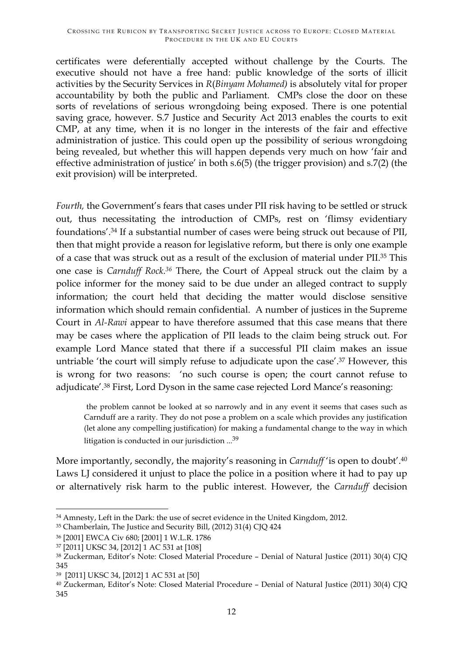certificates were deferentially accepted without challenge by the Courts. The executive should not have a free hand: public knowledge of the sorts of illicit activities by the Security Services in *R*(*Binyam Mohamed)* is absolutely vital for proper accountability by both the public and Parliament. CMPs close the door on these sorts of revelations of serious wrongdoing being exposed. There is one potential saving grace, however. S.7 Justice and Security Act 2013 enables the courts to exit CMP, at any time, when it is no longer in the interests of the fair and effective administration of justice. This could open up the possibility of serious wrongdoing being revealed, but whether this will happen depends very much on how 'fair and effective administration of justice' in both s.6(5) (the trigger provision) and s.7(2) (the exit provision) will be interpreted.

*Fourth,* the Government's fears that cases under PII risk having to be settled or struck out, thus necessitating the introduction of CMPs, rest on 'flimsy evidentiary foundations'.34 If a substantial number of cases were being struck out because of PII, then that might provide a reason for legislative reform, but there is only one example of a case that was struck out as a result of the exclusion of material under PII.35 This one case is *Carnduff Rock.36* There, the Court of Appeal struck out the claim by a police informer for the money said to be due under an alleged contract to supply information; the court held that deciding the matter would disclose sensitive information which should remain confidential. A number of justices in the Supreme Court in *Al-Rawi* appear to have therefore assumed that this case means that there may be cases where the application of PII leads to the claim being struck out. For example Lord Mance stated that there if a successful PII claim makes an issue untriable 'the court will simply refuse to adjudicate upon the case'.<sup>37</sup> However, this is wrong for two reasons: 'no such course is open; the court cannot refuse to adjudicate'.38 First, Lord Dyson in the same case rejected Lord Mance's reasoning:

the problem cannot be looked at so narrowly and in any event it seems that cases such as Carnduff are a rarity. They do not pose a problem on a scale which provides any justification (let alone any compelling justification) for making a fundamental change to the way in which litigation is conducted in our jurisdiction ... 39

More importantly, secondly, the majority's reasoning in *Carnduff* 'is open to doubt'.40 Laws LJ considered it unjust to place the police in a position where it had to pay up or alternatively risk harm to the public interest. However, the *Carnduff* decision

<sup>&</sup>lt;u> 1989 - Jan Samuel Barbara, margaret e</u> <sup>34</sup> Amnesty, Left in the Dark: the use of secret evidence in the United Kingdom, 2012.

<sup>35</sup> Chamberlain, The Justice and Security Bill, (2012) 31(4) CJQ 424

<sup>36</sup> [2001] EWCA Civ 680; [2001] 1 W.L.R. 1786

<sup>37</sup> [2011] UKSC 34, [2012] 1 AC 531 at [108]

<sup>38</sup> Zuckerman, Editor's Note: Closed Material Procedure – Denial of Natural Justice (2011) 30(4) CJQ 345

<sup>39 [2011]</sup> UKSC 34, [2012] 1 AC 531 at [50]

<sup>40</sup> Zuckerman, Editor's Note: Closed Material Procedure – Denial of Natural Justice (2011) 30(4) CJQ 345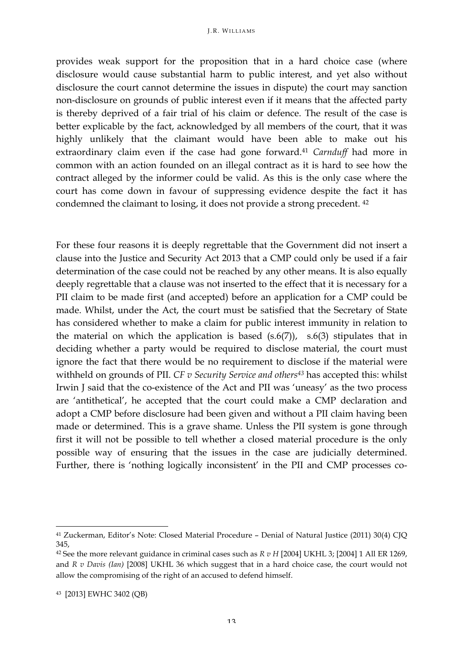provides weak support for the proposition that in a hard choice case (where disclosure would cause substantial harm to public interest, and yet also without disclosure the court cannot determine the issues in dispute) the court may sanction non-disclosure on grounds of public interest even if it means that the affected party is thereby deprived of a fair trial of his claim or defence. The result of the case is better explicable by the fact, acknowledged by all members of the court, that it was highly unlikely that the claimant would have been able to make out his extraordinary claim even if the case had gone forward.<sup>41</sup> *Carnduff* had more in common with an action founded on an illegal contract as it is hard to see how the contract alleged by the informer could be valid. As this is the only case where the court has come down in favour of suppressing evidence despite the fact it has condemned the claimant to losing, it does not provide a strong precedent. 42

For these four reasons it is deeply regrettable that the Government did not insert a clause into the Justice and Security Act 2013 that a CMP could only be used if a fair determination of the case could not be reached by any other means. It is also equally deeply regrettable that a clause was not inserted to the effect that it is necessary for a PII claim to be made first (and accepted) before an application for a CMP could be made. Whilst, under the Act, the court must be satisfied that the Secretary of State has considered whether to make a claim for public interest immunity in relation to the material on which the application is based  $(s.6(7))$ ,  $s.6(3)$  stipulates that in deciding whether a party would be required to disclose material, the court must ignore the fact that there would be no requirement to disclose if the material were withheld on grounds of PII. *CF v Security Service and others43* has accepted this: whilst Irwin J said that the co-existence of the Act and PII was 'uneasy' as the two process are 'antithetical', he accepted that the court could make a CMP declaration and adopt a CMP before disclosure had been given and without a PII claim having been made or determined. This is a grave shame. Unless the PII system is gone through first it will not be possible to tell whether a closed material procedure is the only possible way of ensuring that the issues in the case are judicially determined. Further, there is 'nothing logically inconsistent' in the PII and CMP processes co-

<u> 1989 - Jan Samuel Barbara, margaret e</u>

<sup>41</sup> Zuckerman, Editor's Note: Closed Material Procedure – Denial of Natural Justice (2011) 30(4) CJQ 345,

<sup>42</sup> See the more relevant guidance in criminal cases such as *R v H* [2004] UKHL 3; [2004] 1 All ER 1269, and *R v Davis (Ian)* [2008] UKHL 36 which suggest that in a hard choice case, the court would not allow the compromising of the right of an accused to defend himself.

<sup>43 [2013]</sup> EWHC 3402 (QB)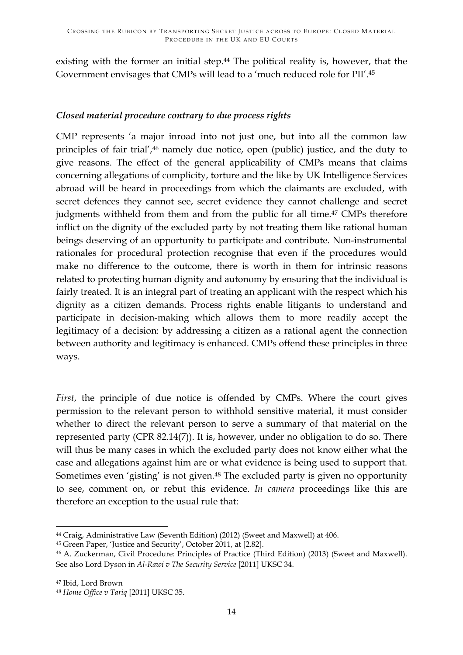existing with the former an initial step.<sup>44</sup> The political reality is, however, that the Government envisages that CMPs will lead to a 'much reduced role for PII'.45

### *Closed material procedure contrary to due process rights*

CMP represents 'a major inroad into not just one, but into all the common law principles of fair trial',46 namely due notice, open (public) justice, and the duty to give reasons. The effect of the general applicability of CMPs means that claims concerning allegations of complicity, torture and the like by UK Intelligence Services abroad will be heard in proceedings from which the claimants are excluded, with secret defences they cannot see, secret evidence they cannot challenge and secret judgments withheld from them and from the public for all time.<sup>47</sup> CMPs therefore inflict on the dignity of the excluded party by not treating them like rational human beings deserving of an opportunity to participate and contribute. Non-instrumental rationales for procedural protection recognise that even if the procedures would make no difference to the outcome, there is worth in them for intrinsic reasons related to protecting human dignity and autonomy by ensuring that the individual is fairly treated. It is an integral part of treating an applicant with the respect which his dignity as a citizen demands. Process rights enable litigants to understand and participate in decision-making which allows them to more readily accept the legitimacy of a decision: by addressing a citizen as a rational agent the connection between authority and legitimacy is enhanced. CMPs offend these principles in three ways.

*First*, the principle of due notice is offended by CMPs. Where the court gives permission to the relevant person to withhold sensitive material, it must consider whether to direct the relevant person to serve a summary of that material on the represented party (CPR 82.14(7)). It is, however, under no obligation to do so. There will thus be many cases in which the excluded party does not know either what the case and allegations against him are or what evidence is being used to support that. Sometimes even 'gisting' is not given.48 The excluded party is given no opportunity to see, comment on, or rebut this evidence. *In camera* proceedings like this are therefore an exception to the usual rule that:

<sup>47</sup> Ibid, Lord Brown

<u> 1989 - Jan Samuel Barbara, margaret e</u>

<sup>44</sup> Craig, Administrative Law (Seventh Edition) (2012) (Sweet and Maxwell) at 406.

<sup>45</sup> Green Paper, 'Justice and Security', October 2011, at [2.82].

<sup>46</sup> A. Zuckerman, Civil Procedure: Principles of Practice (Third Edition) (2013) (Sweet and Maxwell). See also Lord Dyson in *Al-Rawi v The Security Service* [2011] UKSC 34.

<sup>48</sup> *Home Office v Tariq* [2011] UKSC 35.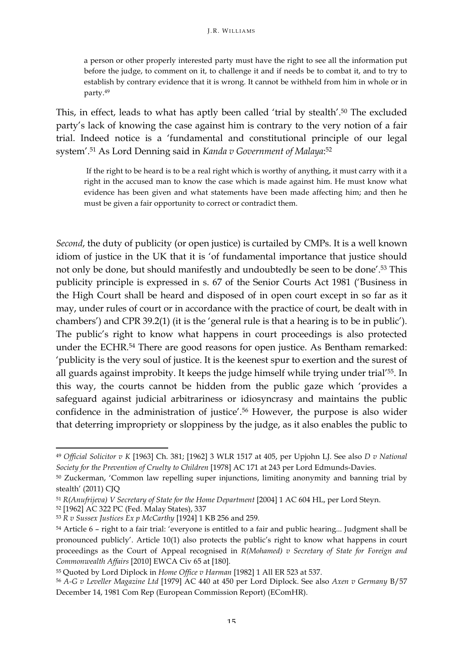a person or other properly interested party must have the right to see all the information put before the judge, to comment on it, to challenge it and if needs be to combat it, and to try to establish by contrary evidence that it is wrong. It cannot be withheld from him in whole or in party.49

This, in effect, leads to what has aptly been called 'trial by stealth'.50 The excluded party's lack of knowing the case against him is contrary to the very notion of a fair trial. Indeed notice is a 'fundamental and constitutional principle of our legal system'.51 As Lord Denning said in *Kanda v Government of Malaya*: 52

If the right to be heard is to be a real right which is worthy of anything, it must carry with it a right in the accused man to know the case which is made against him. He must know what evidence has been given and what statements have been made affecting him; and then he must be given a fair opportunity to correct or contradict them.

*Second*, the duty of publicity (or open justice) is curtailed by CMPs. It is a well known idiom of justice in the UK that it is 'of fundamental importance that justice should not only be done, but should manifestly and undoubtedly be seen to be done'.53 This publicity principle is expressed in s. 67 of the Senior Courts Act 1981 ('Business in the High Court shall be heard and disposed of in open court except in so far as it may, under rules of court or in accordance with the practice of court, be dealt with in chambers') and CPR 39.2(1) (it is the 'general rule is that a hearing is to be in public'). The public's right to know what happens in court proceedings is also protected under the ECHR.54 There are good reasons for open justice. As Bentham remarked: 'publicity is the very soul of justice. It is the keenest spur to exertion and the surest of all guards against improbity. It keeps the judge himself while trying under trial'55. In this way, the courts cannot be hidden from the public gaze which 'provides a safeguard against judicial arbitrariness or idiosyncrasy and maintains the public confidence in the administration of justice'.56 However, the purpose is also wider that deterring impropriety or sloppiness by the judge, as it also enables the public to

<sup>49</sup> *Official Solicitor v K* [1963] Ch. 381; [1962] 3 WLR 1517 at 405, per Upjohn LJ. See also *D v National Society for the Prevention of Cruelty to Children* [1978] AC 171 at 243 per Lord Edmunds-Davies.

<sup>&</sup>lt;sup>50</sup> Zuckerman, 'Common law repelling super injunctions, limiting anonymity and banning trial by stealth' (2011) CJQ

<sup>51</sup> *R(Anufrijeva) V Secretary of State for the Home Department* [2004] 1 AC 604 HL, per Lord Steyn.

<sup>52</sup> [1962] AC 322 PC (Fed. Malay States), 337

<sup>53</sup> *R v Sussex Justices Ex p McCarthy* [1924] 1 KB 256 and 259.

<sup>54</sup> Article 6 – right to a fair trial: 'everyone is entitled to a fair and public hearing... Judgment shall be pronounced publicly'. Article 10(1) also protects the public's right to know what happens in court proceedings as the Court of Appeal recognised in *R(Mohamed) v Secretary of State for Foreign and Commonwealth Affairs* [2010] EWCA Civ 65 at [180].

<sup>55</sup> Quoted by Lord Diplock in *Home Office v Harman* [1982] 1 All ER 523 at 537.

<sup>56</sup> *A-G v Leveller Magazine Ltd* [1979] AC 440 at 450 per Lord Diplock. See also *Axen v Germany* B/57 December 14, 1981 Com Rep (European Commission Report) (EComHR).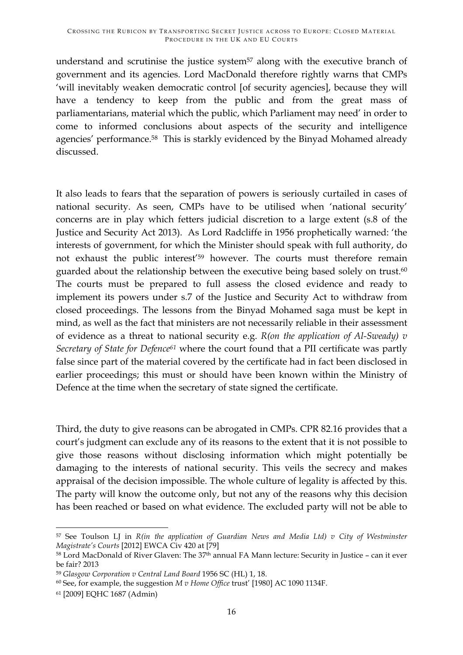understand and scrutinise the justice system $57$  along with the executive branch of government and its agencies. Lord MacDonald therefore rightly warns that CMPs 'will inevitably weaken democratic control [of security agencies], because they will have a tendency to keep from the public and from the great mass of parliamentarians, material which the public, which Parliament may need' in order to come to informed conclusions about aspects of the security and intelligence agencies' performance.58 This is starkly evidenced by the Binyad Mohamed already discussed.

It also leads to fears that the separation of powers is seriously curtailed in cases of national security. As seen, CMPs have to be utilised when 'national security' concerns are in play which fetters judicial discretion to a large extent (s.8 of the Justice and Security Act 2013). As Lord Radcliffe in 1956 prophetically warned: 'the interests of government, for which the Minister should speak with full authority, do not exhaust the public interest'59 however. The courts must therefore remain guarded about the relationship between the executive being based solely on trust.<sup>60</sup> The courts must be prepared to full assess the closed evidence and ready to implement its powers under s.7 of the Justice and Security Act to withdraw from closed proceedings. The lessons from the Binyad Mohamed saga must be kept in mind, as well as the fact that ministers are not necessarily reliable in their assessment of evidence as a threat to national security e.g. *R(on the application of Al-Sweady) v Secretary of State for Defence61* where the court found that a PII certificate was partly false since part of the material covered by the certificate had in fact been disclosed in earlier proceedings; this must or should have been known within the Ministry of Defence at the time when the secretary of state signed the certificate.

Third, the duty to give reasons can be abrogated in CMPs. CPR 82.16 provides that a court's judgment can exclude any of its reasons to the extent that it is not possible to give those reasons without disclosing information which might potentially be damaging to the interests of national security. This veils the secrecy and makes appraisal of the decision impossible. The whole culture of legality is affected by this. The party will know the outcome only, but not any of the reasons why this decision has been reached or based on what evidence. The excluded party will not be able to

 

<sup>57</sup> See Toulson LJ in *R(in the application of Guardian News and Media Ltd) v City of Westminster Magistrate's Courts* [2012] EWCA Civ 420 at [79]

<sup>58</sup> Lord MacDonald of River Glaven: The 37<sup>th</sup> annual FA Mann lecture: Security in Justice - can it ever be fair? 2013

<sup>59</sup> *Glasgow Corporation v Central Land Board* 1956 SC (HL) 1, 18.

<sup>60</sup> See, for example, the suggestion *M v Home Office* trust' [1980] AC 1090 1134F.

<sup>61</sup> [2009] EQHC 1687 (Admin)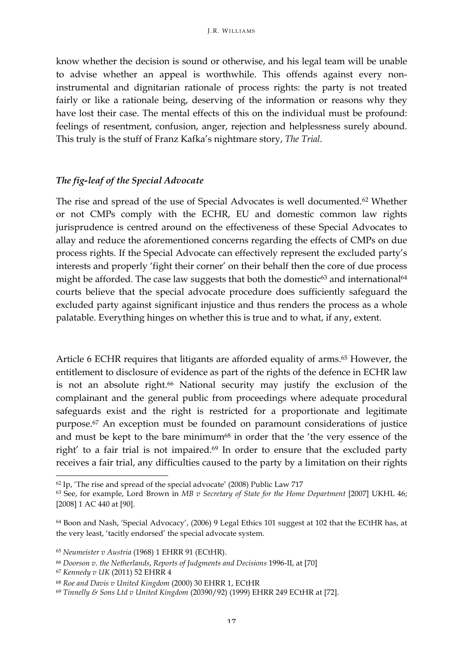know whether the decision is sound or otherwise, and his legal team will be unable to advise whether an appeal is worthwhile. This offends against every noninstrumental and dignitarian rationale of process rights: the party is not treated fairly or like a rationale being, deserving of the information or reasons why they have lost their case. The mental effects of this on the individual must be profound: feelings of resentment, confusion, anger, rejection and helplessness surely abound. This truly is the stuff of Franz Kafka's nightmare story, *The Trial*.

#### *The fig-leaf of the Special Advocate*

The rise and spread of the use of Special Advocates is well documented.62 Whether or not CMPs comply with the ECHR, EU and domestic common law rights jurisprudence is centred around on the effectiveness of these Special Advocates to allay and reduce the aforementioned concerns regarding the effects of CMPs on due process rights. If the Special Advocate can effectively represent the excluded party's interests and properly 'fight their corner' on their behalf then the core of due process might be afforded. The case law suggests that both the domestic $63$  and international $64$ courts believe that the special advocate procedure does sufficiently safeguard the excluded party against significant injustice and thus renders the process as a whole palatable. Everything hinges on whether this is true and to what, if any, extent.

Article 6 ECHR requires that litigants are afforded equality of arms.<sup>65</sup> However, the entitlement to disclosure of evidence as part of the rights of the defence in ECHR law is not an absolute right.<sup>66</sup> National security may justify the exclusion of the complainant and the general public from proceedings where adequate procedural safeguards exist and the right is restricted for a proportionate and legitimate purpose.67 An exception must be founded on paramount considerations of justice and must be kept to the bare minimum<sup>68</sup> in order that the 'the very essence of the right' to a fair trial is not impaired.69 In order to ensure that the excluded party receives a fair trial, any difficulties caused to the party by a limitation on their rights

<sup>62</sup> Ip, 'The rise and spread of the special advocate' (2008) Public Law 717

<sup>63</sup> See, for example, Lord Brown in *MB v Secretary of State for the Home Department* [2007] UKHL 46; [2008] 1 AC 440 at [90].

<sup>64</sup> Boon and Nash, 'Special Advocacy', (2006) 9 Legal Ethics 101 suggest at 102 that the ECtHR has, at the very least, 'tacitly endorsed' the special advocate system.

<sup>65</sup> *Neumeister v Austria* (1968) 1 EHRR 91 (ECtHR).

<sup>66</sup> *Doorson v. the Netherlands*, *Reports of Judgments and Decisions* 1996-II, at [70]

<sup>67</sup> *Kennedy v UK* (2011) 52 EHRR 4

<sup>68</sup> *Roe and Davis v United Kingdom* (2000) 30 EHRR 1, ECtHR

<sup>69</sup> *Tinnelly & Sons Ltd v United Kingdom* (20390/92) (1999) EHRR 249 ECtHR at [72].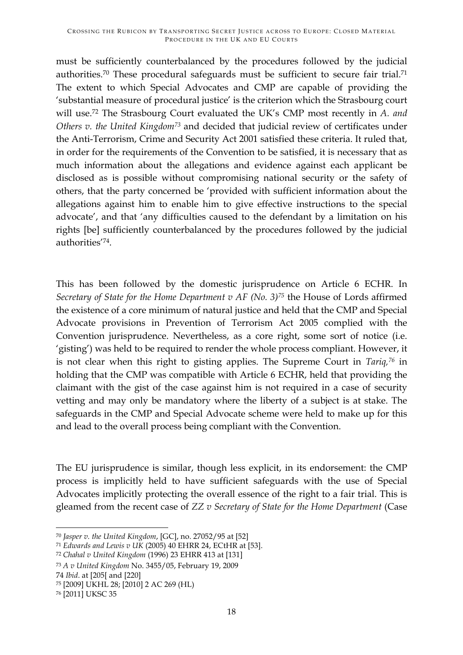must be sufficiently counterbalanced by the procedures followed by the judicial authorities.70 These procedural safeguards must be sufficient to secure fair trial.71 The extent to which Special Advocates and CMP are capable of providing the 'substantial measure of procedural justice' is the criterion which the Strasbourg court will use.72 The Strasbourg Court evaluated the UK's CMP most recently in *A. and Others v. the United Kingdom73* and decided that judicial review of certificates under the Anti-Terrorism, Crime and Security Act 2001 satisfied these criteria. It ruled that, in order for the requirements of the Convention to be satisfied, it is necessary that as much information about the allegations and evidence against each applicant be disclosed as is possible without compromising national security or the safety of others, that the party concerned be 'provided with sufficient information about the allegations against him to enable him to give effective instructions to the special advocate', and that 'any difficulties caused to the defendant by a limitation on his rights [be] sufficiently counterbalanced by the procedures followed by the judicial authorities'74.

This has been followed by the domestic jurisprudence on Article 6 ECHR. In *Secretary of State for the Home Department v AF (No. 3)75* the House of Lords affirmed the existence of a core minimum of natural justice and held that the CMP and Special Advocate provisions in Prevention of Terrorism Act 2005 complied with the Convention jurisprudence. Nevertheless, as a core right, some sort of notice (i.e. 'gisting') was held to be required to render the whole process compliant. However, it is not clear when this right to gisting applies. The Supreme Court in *Tariq,76* in holding that the CMP was compatible with Article 6 ECHR, held that providing the claimant with the gist of the case against him is not required in a case of security vetting and may only be mandatory where the liberty of a subject is at stake. The safeguards in the CMP and Special Advocate scheme were held to make up for this and lead to the overall process being compliant with the Convention.

The EU jurisprudence is similar, though less explicit, in its endorsement: the CMP process is implicitly held to have sufficient safeguards with the use of Special Advocates implicitly protecting the overall essence of the right to a fair trial. This is gleamed from the recent case of *ZZ v Secretary of State for the Home Department* (Case

<sup>71</sup> *Edwards and Lewis v UK* (2005) 40 EHRR 24, ECtHR at [53].

74 *Ibid*. at [205[ and [220]

 

<sup>70</sup> *Jasper v. the United Kingdom*, [GC], no. 27052/95 at [52]

<sup>72</sup> *Chahal v United Kingdom* (1996) 23 EHRR 413 at [131]

<sup>73</sup> *A v United Kingdom* No. 3455/05, February 19, 2009

<sup>75</sup> [2009] UKHL 28; [2010] 2 AC 269 (HL)

<sup>76</sup> [2011] UKSC 35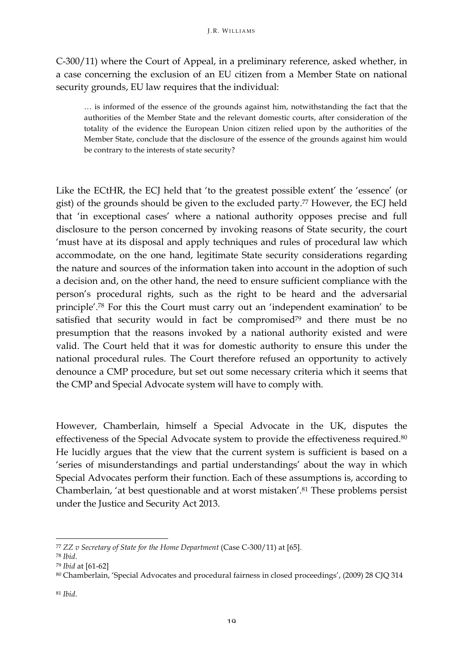C-300/11) where the Court of Appeal, in a preliminary reference, asked whether, in a case concerning the exclusion of an EU citizen from a Member State on national security grounds, EU law requires that the individual:

… is informed of the essence of the grounds against him, notwithstanding the fact that the authorities of the Member State and the relevant domestic courts, after consideration of the totality of the evidence the European Union citizen relied upon by the authorities of the Member State, conclude that the disclosure of the essence of the grounds against him would be contrary to the interests of state security?

Like the ECtHR, the ECJ held that 'to the greatest possible extent' the 'essence' (or gist) of the grounds should be given to the excluded party.77 However, the ECJ held that 'in exceptional cases' where a national authority opposes precise and full disclosure to the person concerned by invoking reasons of State security, the court 'must have at its disposal and apply techniques and rules of procedural law which accommodate, on the one hand, legitimate State security considerations regarding the nature and sources of the information taken into account in the adoption of such a decision and, on the other hand, the need to ensure sufficient compliance with the person's procedural rights, such as the right to be heard and the adversarial principle'.78 For this the Court must carry out an 'independent examination' to be satisfied that security would in fact be compromised<sup>79</sup> and there must be no presumption that the reasons invoked by a national authority existed and were valid. The Court held that it was for domestic authority to ensure this under the national procedural rules. The Court therefore refused an opportunity to actively denounce a CMP procedure, but set out some necessary criteria which it seems that the CMP and Special Advocate system will have to comply with.

However, Chamberlain, himself a Special Advocate in the UK, disputes the effectiveness of the Special Advocate system to provide the effectiveness required.80 He lucidly argues that the view that the current system is sufficient is based on a 'series of misunderstandings and partial understandings' about the way in which Special Advocates perform their function. Each of these assumptions is, according to Chamberlain, 'at best questionable and at worst mistaken'.81 These problems persist under the Justice and Security Act 2013.

<sup>77</sup> *ZZ v Secretary of State for the Home Department* (Case C-300/11) at [65].

<sup>78</sup> *Ibid*.

<sup>79</sup> *Ibid* at [61-62]

<sup>80</sup> Chamberlain, 'Special Advocates and procedural fairness in closed proceedings', (2009) 28 CJQ 314

<sup>81</sup> *Ibid*.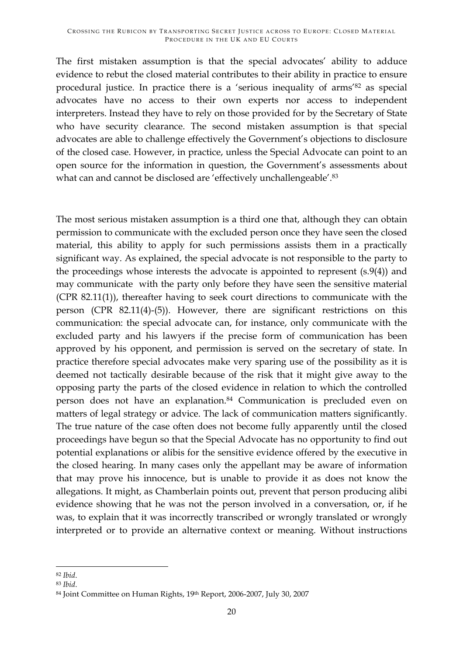The first mistaken assumption is that the special advocates' ability to adduce evidence to rebut the closed material contributes to their ability in practice to ensure procedural justice. In practice there is a 'serious inequality of arms'82 as special advocates have no access to their own experts nor access to independent interpreters. Instead they have to rely on those provided for by the Secretary of State who have security clearance. The second mistaken assumption is that special advocates are able to challenge effectively the Government's objections to disclosure of the closed case. However, in practice, unless the Special Advocate can point to an open source for the information in question, the Government's assessments about what can and cannot be disclosed are 'effectively unchallengeable'.<sup>83</sup>

The most serious mistaken assumption is a third one that, although they can obtain permission to communicate with the excluded person once they have seen the closed material, this ability to apply for such permissions assists them in a practically significant way. As explained, the special advocate is not responsible to the party to the proceedings whose interests the advocate is appointed to represent (s.9(4)) and may communicate with the party only before they have seen the sensitive material (CPR 82.11(1)), thereafter having to seek court directions to communicate with the person (CPR 82.11(4)-(5)). However, there are significant restrictions on this communication: the special advocate can, for instance, only communicate with the excluded party and his lawyers if the precise form of communication has been approved by his opponent, and permission is served on the secretary of state. In practice therefore special advocates make very sparing use of the possibility as it is deemed not tactically desirable because of the risk that it might give away to the opposing party the parts of the closed evidence in relation to which the controlled person does not have an explanation.84 Communication is precluded even on matters of legal strategy or advice. The lack of communication matters significantly. The true nature of the case often does not become fully apparently until the closed proceedings have begun so that the Special Advocate has no opportunity to find out potential explanations or alibis for the sensitive evidence offered by the executive in the closed hearing. In many cases only the appellant may be aware of information that may prove his innocence, but is unable to provide it as does not know the allegations. It might, as Chamberlain points out, prevent that person producing alibi evidence showing that he was not the person involved in a conversation, or, if he was, to explain that it was incorrectly transcribed or wrongly translated or wrongly interpreted or to provide an alternative context or meaning. Without instructions

<sup>&</sup>lt;u> 1989 - Jan Samuel Barbara, político establecido de la provincia de la provincia de la provincia de la provinci</u> <sup>82</sup> *Ibid*.

<sup>83</sup> *Ibid*. 84 Joint Committee on Human Rights, 19th Report, 2006-2007, July 30, 2007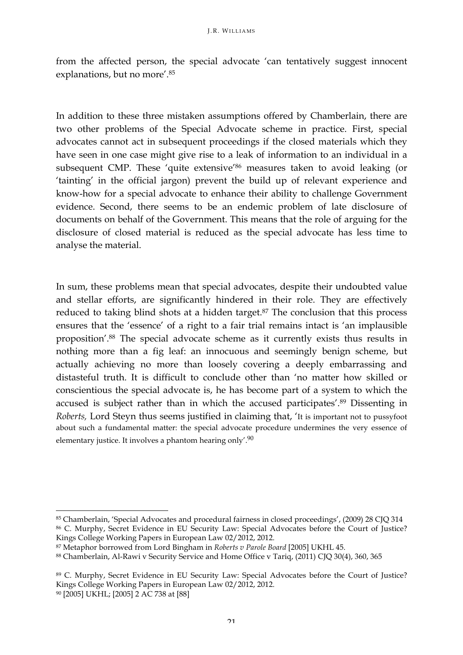from the affected person, the special advocate 'can tentatively suggest innocent explanations, but no more'. 85

In addition to these three mistaken assumptions offered by Chamberlain, there are two other problems of the Special Advocate scheme in practice. First, special advocates cannot act in subsequent proceedings if the closed materials which they have seen in one case might give rise to a leak of information to an individual in a subsequent CMP. These 'quite extensive'86 measures taken to avoid leaking (or 'tainting' in the official jargon) prevent the build up of relevant experience and know-how for a special advocate to enhance their ability to challenge Government evidence. Second, there seems to be an endemic problem of late disclosure of documents on behalf of the Government. This means that the role of arguing for the disclosure of closed material is reduced as the special advocate has less time to analyse the material.

In sum, these problems mean that special advocates, despite their undoubted value and stellar efforts, are significantly hindered in their role. They are effectively reduced to taking blind shots at a hidden target.<sup>87</sup> The conclusion that this process ensures that the 'essence' of a right to a fair trial remains intact is 'an implausible proposition'.88 The special advocate scheme as it currently exists thus results in nothing more than a fig leaf: an innocuous and seemingly benign scheme, but actually achieving no more than loosely covering a deeply embarrassing and distasteful truth. It is difficult to conclude other than 'no matter how skilled or conscientious the special advocate is, he has become part of a system to which the accused is subject rather than in which the accused participates'.89 Dissenting in *Roberts,* Lord Steyn thus seems justified in claiming that, 'It is important not to pussyfoot about such a fundamental matter: the special advocate procedure undermines the very essence of elementary justice. It involves a phantom hearing only'.90

<sup>85</sup> Chamberlain, 'Special Advocates and procedural fairness in closed proceedings', (2009) 28 CJQ 314 <sup>86</sup> C. Murphy, Secret Evidence in EU Security Law: Special Advocates before the Court of Justice? Kings College Working Papers in European Law 02/2012, 2012.

<sup>87</sup> Metaphor borrowed from Lord Bingham in *Roberts v Parole Board* [2005] UKHL 45.

<sup>88</sup> Chamberlain, Al-Rawi v Security Service and Home Office v Tariq, (2011) CJQ 30(4), 360, 365

<sup>89</sup> C. Murphy, Secret Evidence in EU Security Law: Special Advocates before the Court of Justice? Kings College Working Papers in European Law 02/2012, 2012.

<sup>90</sup> [2005] UKHL; [2005] 2 AC 738 at [88]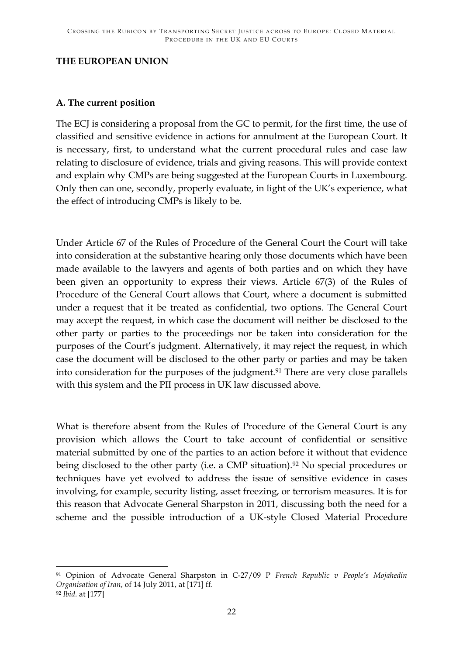#### **THE EUROPEAN UNION**

### **A. The current position**

<u> 1989 - Jan Samuel Barbara, político establecido de la provincia de la provincia de la provincia de la provinci</u>

The ECJ is considering a proposal from the GC to permit, for the first time, the use of classified and sensitive evidence in actions for annulment at the European Court. It is necessary, first, to understand what the current procedural rules and case law relating to disclosure of evidence, trials and giving reasons. This will provide context and explain why CMPs are being suggested at the European Courts in Luxembourg. Only then can one, secondly, properly evaluate, in light of the UK's experience, what the effect of introducing CMPs is likely to be.

Under Article 67 of the Rules of Procedure of the General Court the Court will take into consideration at the substantive hearing only those documents which have been made available to the lawyers and agents of both parties and on which they have been given an opportunity to express their views. Article 67(3) of the Rules of Procedure of the General Court allows that Court, where a document is submitted under a request that it be treated as confidential, two options. The General Court may accept the request, in which case the document will neither be disclosed to the other party or parties to the proceedings nor be taken into consideration for the purposes of the Court's judgment. Alternatively, it may reject the request, in which case the document will be disclosed to the other party or parties and may be taken into consideration for the purposes of the judgment.<sup>91</sup> There are very close parallels with this system and the PII process in UK law discussed above.

What is therefore absent from the Rules of Procedure of the General Court is any provision which allows the Court to take account of confidential or sensitive material submitted by one of the parties to an action before it without that evidence being disclosed to the other party (i.e. a CMP situation).<sup>92</sup> No special procedures or techniques have yet evolved to address the issue of sensitive evidence in cases involving, for example, security listing, asset freezing, or terrorism measures. It is for this reason that Advocate General Sharpston in 2011, discussing both the need for a scheme and the possible introduction of a UK-style Closed Material Procedure

<sup>91</sup> Opinion of Advocate General Sharpston in C-27/09 P *French Republic v People's Mojahedin Organisation of Iran*, of 14 July 2011, at [171] ff. <sup>92</sup> *Ibid.* at [177]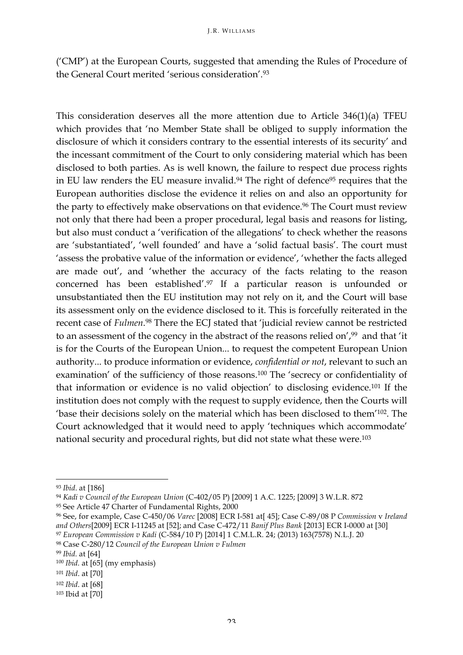('CMP') at the European Courts, suggested that amending the Rules of Procedure of the General Court merited 'serious consideration'.93

This consideration deserves all the more attention due to Article 346(1)(a) TFEU which provides that 'no Member State shall be obliged to supply information the disclosure of which it considers contrary to the essential interests of its security' and the incessant commitment of the Court to only considering material which has been disclosed to both parties. As is well known, the failure to respect due process rights in EU law renders the EU measure invalid.<sup>94</sup> The right of defence<sup>95</sup> requires that the European authorities disclose the evidence it relies on and also an opportunity for the party to effectively make observations on that evidence.<sup>96</sup> The Court must review not only that there had been a proper procedural, legal basis and reasons for listing, but also must conduct a 'verification of the allegations' to check whether the reasons are 'substantiated', 'well founded' and have a 'solid factual basis'. The court must 'assess the probative value of the information or evidence', 'whether the facts alleged are made out', and 'whether the accuracy of the facts relating to the reason concerned has been established'.97 If a particular reason is unfounded or unsubstantiated then the EU institution may not rely on it, and the Court will base its assessment only on the evidence disclosed to it. This is forcefully reiterated in the recent case of *Fulmen*. <sup>98</sup> There the ECJ stated that 'judicial review cannot be restricted to an assessment of the cogency in the abstract of the reasons relied on',99 and that 'it is for the Courts of the European Union... to request the competent European Union authority... to produce information or evidence, *confidential or not*, relevant to such an examination' of the sufficiency of those reasons.100 The 'secrecy or confidentiality of that information or evidence is no valid objection' to disclosing evidence.101 If the institution does not comply with the request to supply evidence, then the Courts will 'base their decisions solely on the material which has been disclosed to them'102. The Court acknowledged that it would need to apply 'techniques which accommodate' national security and procedural rights, but did not state what these were.103

<sup>93</sup> *Ibid*. at [186]

<sup>94</sup> *Kadi v Council of the European Union* (C-402/05 P) [2009] 1 A.C. 1225; [2009] 3 W.L.R. 872

<sup>95</sup> See Article 47 Charter of Fundamental Rights, 2000

<sup>96</sup> See, for example, Case C-450/06 *Varec* [2008] ECR I-581 at[ 45]; Case C-89/08 P *Commission* v *Ireland and Others*[2009] ECR I-11245 at [52]; and Case C-472/11 *Banif Plus Bank* [2013] ECR I-0000 at [30] <sup>97</sup> *European Commission v Kadi* (C-584/10 P) [2014] 1 C.M.L.R. 24; (2013) 163(7578) N.L.J. 20

<sup>98</sup> Case C-280/12 *Council of the European Union v Fulmen*

<sup>99</sup> *Ibid.* at [64]

<sup>100</sup> *Ibid.* at [65] (my emphasis)

<sup>101</sup> *Ibid*. at [70]

<sup>102</sup> *Ibid*. at [68]

<sup>103</sup> Ibid at [70]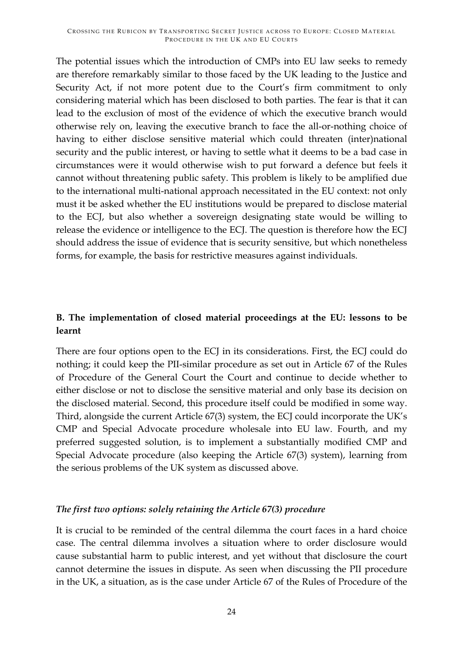The potential issues which the introduction of CMPs into EU law seeks to remedy are therefore remarkably similar to those faced by the UK leading to the Justice and Security Act, if not more potent due to the Court's firm commitment to only considering material which has been disclosed to both parties. The fear is that it can lead to the exclusion of most of the evidence of which the executive branch would otherwise rely on, leaving the executive branch to face the all-or-nothing choice of having to either disclose sensitive material which could threaten (inter)national security and the public interest, or having to settle what it deems to be a bad case in circumstances were it would otherwise wish to put forward a defence but feels it cannot without threatening public safety. This problem is likely to be amplified due to the international multi-national approach necessitated in the EU context: not only must it be asked whether the EU institutions would be prepared to disclose material to the ECJ, but also whether a sovereign designating state would be willing to release the evidence or intelligence to the ECJ. The question is therefore how the ECJ should address the issue of evidence that is security sensitive, but which nonetheless forms, for example, the basis for restrictive measures against individuals.

# **B. The implementation of closed material proceedings at the EU: lessons to be learnt**

There are four options open to the ECJ in its considerations. First, the ECJ could do nothing; it could keep the PII-similar procedure as set out in Article 67 of the Rules of Procedure of the General Court the Court and continue to decide whether to either disclose or not to disclose the sensitive material and only base its decision on the disclosed material. Second, this procedure itself could be modified in some way. Third, alongside the current Article 67(3) system, the ECJ could incorporate the UK's CMP and Special Advocate procedure wholesale into EU law. Fourth, and my preferred suggested solution, is to implement a substantially modified CMP and Special Advocate procedure (also keeping the Article 67(3) system), learning from the serious problems of the UK system as discussed above.

#### *The first two options: solely retaining the Article 67(3) procedure*

It is crucial to be reminded of the central dilemma the court faces in a hard choice case. The central dilemma involves a situation where to order disclosure would cause substantial harm to public interest, and yet without that disclosure the court cannot determine the issues in dispute. As seen when discussing the PII procedure in the UK, a situation, as is the case under Article 67 of the Rules of Procedure of the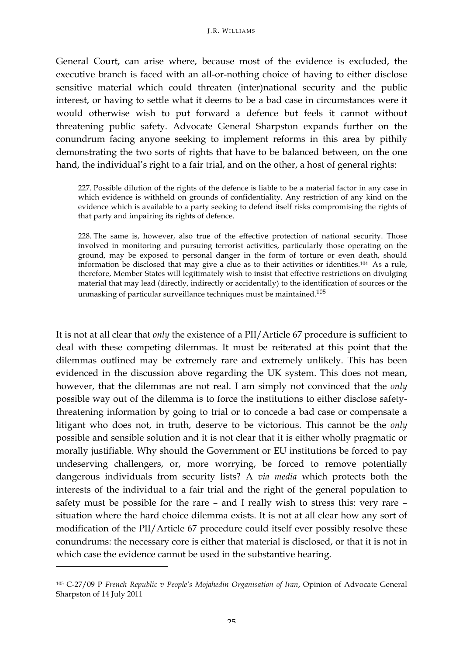General Court, can arise where, because most of the evidence is excluded, the executive branch is faced with an all-or-nothing choice of having to either disclose sensitive material which could threaten (inter)national security and the public interest, or having to settle what it deems to be a bad case in circumstances were it would otherwise wish to put forward a defence but feels it cannot without threatening public safety. Advocate General Sharpston expands further on the conundrum facing anyone seeking to implement reforms in this area by pithily demonstrating the two sorts of rights that have to be balanced between, on the one hand, the individual's right to a fair trial, and on the other, a host of general rights:

227. Possible dilution of the rights of the defence is liable to be a material factor in any case in which evidence is withheld on grounds of confidentiality. Any restriction of any kind on the evidence which is available to a party seeking to defend itself risks compromising the rights of that party and impairing its rights of defence.

228. The same is, however, also true of the effective protection of national security. Those involved in monitoring and pursuing terrorist activities, particularly those operating on the ground, may be exposed to personal danger in the form of torture or even death, should information be disclosed that may give a clue as to their activities or identities.104 As a rule, therefore, Member States will legitimately wish to insist that effective restrictions on divulging material that may lead (directly, indirectly or accidentally) to the identification of sources or the unmasking of particular surveillance techniques must be maintained.105

It is not at all clear that *only* the existence of a PII/Article 67 procedure is sufficient to deal with these competing dilemmas. It must be reiterated at this point that the dilemmas outlined may be extremely rare and extremely unlikely. This has been evidenced in the discussion above regarding the UK system. This does not mean, however, that the dilemmas are not real. I am simply not convinced that the *only* possible way out of the dilemma is to force the institutions to either disclose safetythreatening information by going to trial or to concede a bad case or compensate a litigant who does not, in truth, deserve to be victorious. This cannot be the *only* possible and sensible solution and it is not clear that it is either wholly pragmatic or morally justifiable. Why should the Government or EU institutions be forced to pay undeserving challengers, or, more worrying, be forced to remove potentially dangerous individuals from security lists? A *via media* which protects both the interests of the individual to a fair trial and the right of the general population to safety must be possible for the rare – and I really wish to stress this: very rare – situation where the hard choice dilemma exists. It is not at all clear how any sort of modification of the PII/Article 67 procedure could itself ever possibly resolve these conundrums: the necessary core is either that material is disclosed, or that it is not in which case the evidence cannot be used in the substantive hearing.

<sup>105</sup> C-27/09 P *French Republic v People's Mojahedin Organisation of Iran*, Opinion of Advocate General Sharpston of 14 July 2011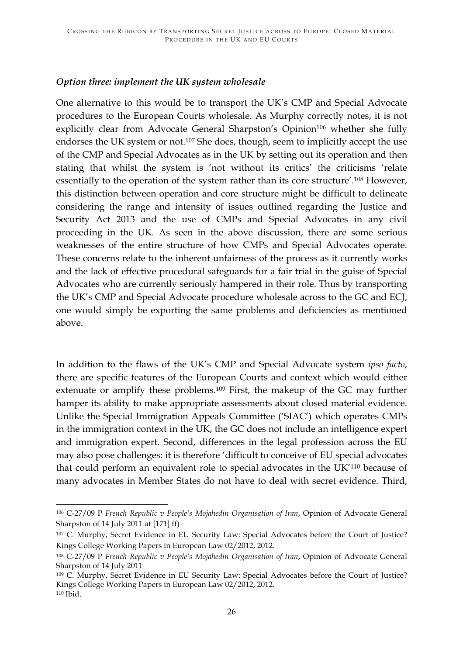### *Option three: implement the UK system wholesale*

One alternative to this would be to transport the UK's CMP and Special Advocate procedures to the European Courts wholesale. As Murphy correctly notes, it is not explicitly clear from Advocate General Sharpston's Opinion<sup>106</sup> whether she fully endorses the UK system or not.<sup>107</sup> She does, though, seem to implicitly accept the use of the CMP and Special Advocates as in the UK by setting out its operation and then stating that whilst the system is 'not without its critics' the criticisms 'relate essentially to the operation of the system rather than its core structure'.108 However, this distinction between operation and core structure might be difficult to delineate considering the range and intensity of issues outlined regarding the Justice and Security Act 2013 and the use of CMPs and Special Advocates in any civil proceeding in the UK. As seen in the above discussion, there are some serious weaknesses of the entire structure of how CMPs and Special Advocates operate. These concerns relate to the inherent unfairness of the process as it currently works and the lack of effective procedural safeguards for a fair trial in the guise of Special Advocates who are currently seriously hampered in their role. Thus by transporting the UK's CMP and Special Advocate procedure wholesale across to the GC and ECJ, one would simply be exporting the same problems and deficiencies as mentioned above.

In addition to the flaws of the UK's CMP and Special Advocate system *ipso facto*, there are specific features of the European Courts and context which would either extenuate or amplify these problems.109 First, the makeup of the GC may further hamper its ability to make appropriate assessments about closed material evidence. Unlike the Special Immigration Appeals Committee ('SIAC') which operates CMPs in the immigration context in the UK, the GC does not include an intelligence expert and immigration expert. Second, differences in the legal profession across the EU may also pose challenges: it is therefore 'difficult to conceive of EU special advocates that could perform an equivalent role to special advocates in the UK'110 because of many advocates in Member States do not have to deal with secret evidence. Third,

<sup>&</sup>lt;u> 1989 - Jan Samuel Barbara, político establecido de la provincia de la provincia de la provincia de la provinci</u> <sup>106</sup> C-27/09 P *French Republic v People's Mojahedin Organisation of Iran*, Opinion of Advocate General Sharpston of 14 July 2011 at [171] ff)

<sup>107</sup> C. Murphy, Secret Evidence in EU Security Law: Special Advocates before the Court of Justice? Kings College Working Papers in European Law 02/2012, 2012.

<sup>108</sup> C-27/09 P *French Republic v People's Mojahedin Organisation of Iran*, Opinion of Advocate General Sharpston of 14 July 2011

<sup>109</sup> C. Murphy, Secret Evidence in EU Security Law: Special Advocates before the Court of Justice? Kings College Working Papers in European Law 02/2012, 2012. <sup>110</sup> Ibid.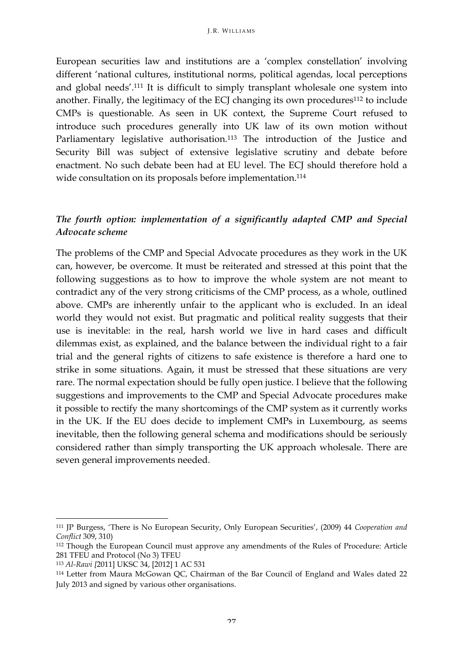European securities law and institutions are a 'complex constellation' involving different 'national cultures, institutional norms, political agendas, local perceptions and global needs'.111 It is difficult to simply transplant wholesale one system into another. Finally, the legitimacy of the ECJ changing its own procedures<sup>112</sup> to include CMPs is questionable. As seen in UK context, the Supreme Court refused to introduce such procedures generally into UK law of its own motion without Parliamentary legislative authorisation.<sup>113</sup> The introduction of the Justice and Security Bill was subject of extensive legislative scrutiny and debate before enactment. No such debate been had at EU level. The ECJ should therefore hold a wide consultation on its proposals before implementation.<sup>114</sup>

## *The fourth option: implementation of a significantly adapted CMP and Special Advocate scheme*

The problems of the CMP and Special Advocate procedures as they work in the UK can, however, be overcome. It must be reiterated and stressed at this point that the following suggestions as to how to improve the whole system are not meant to contradict any of the very strong criticisms of the CMP process, as a whole, outlined above. CMPs are inherently unfair to the applicant who is excluded. In an ideal world they would not exist. But pragmatic and political reality suggests that their use is inevitable: in the real, harsh world we live in hard cases and difficult dilemmas exist, as explained, and the balance between the individual right to a fair trial and the general rights of citizens to safe existence is therefore a hard one to strike in some situations. Again, it must be stressed that these situations are very rare. The normal expectation should be fully open justice. I believe that the following suggestions and improvements to the CMP and Special Advocate procedures make it possible to rectify the many shortcomings of the CMP system as it currently works in the UK. If the EU does decide to implement CMPs in Luxembourg, as seems inevitable, then the following general schema and modifications should be seriously considered rather than simply transporting the UK approach wholesale. There are seven general improvements needed.

<sup>111</sup> JP Burgess, 'There is No European Security, Only European Securities', (2009) 44 *Cooperation and Conflict* 309, 310)

<sup>112</sup> Though the European Council must approve any amendments of the Rules of Procedure: Article 281 TFEU and Protocol (No 3) TFEU

<sup>113</sup> *Al-Rawi [*2011] UKSC 34, [2012] 1 AC 531

<sup>114</sup> Letter from Maura McGowan QC, Chairman of the Bar Council of England and Wales dated 22 July 2013 and signed by various other organisations.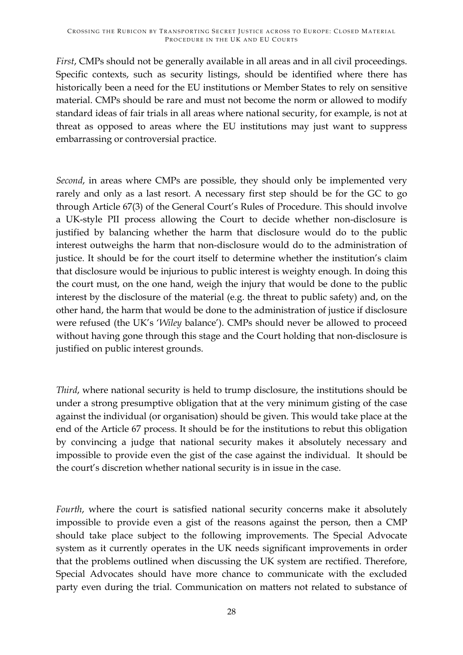*First*, CMPs should not be generally available in all areas and in all civil proceedings. Specific contexts, such as security listings, should be identified where there has historically been a need for the EU institutions or Member States to rely on sensitive material. CMPs should be rare and must not become the norm or allowed to modify standard ideas of fair trials in all areas where national security, for example, is not at threat as opposed to areas where the EU institutions may just want to suppress embarrassing or controversial practice.

*Second*, in areas where CMPs are possible, they should only be implemented very rarely and only as a last resort. A necessary first step should be for the GC to go through Article 67(3) of the General Court's Rules of Procedure. This should involve a UK-style PII process allowing the Court to decide whether non-disclosure is justified by balancing whether the harm that disclosure would do to the public interest outweighs the harm that non-disclosure would do to the administration of justice. It should be for the court itself to determine whether the institution's claim that disclosure would be injurious to public interest is weighty enough. In doing this the court must, on the one hand, weigh the injury that would be done to the public interest by the disclosure of the material (e.g. the threat to public safety) and, on the other hand, the harm that would be done to the administration of justice if disclosure were refused (the UK's '*Wiley* balance'). CMPs should never be allowed to proceed without having gone through this stage and the Court holding that non-disclosure is justified on public interest grounds.

*Third*, where national security is held to trump disclosure, the institutions should be under a strong presumptive obligation that at the very minimum gisting of the case against the individual (or organisation) should be given. This would take place at the end of the Article 67 process. It should be for the institutions to rebut this obligation by convincing a judge that national security makes it absolutely necessary and impossible to provide even the gist of the case against the individual. It should be the court's discretion whether national security is in issue in the case.

*Fourth*, where the court is satisfied national security concerns make it absolutely impossible to provide even a gist of the reasons against the person, then a CMP should take place subject to the following improvements. The Special Advocate system as it currently operates in the UK needs significant improvements in order that the problems outlined when discussing the UK system are rectified. Therefore, Special Advocates should have more chance to communicate with the excluded party even during the trial. Communication on matters not related to substance of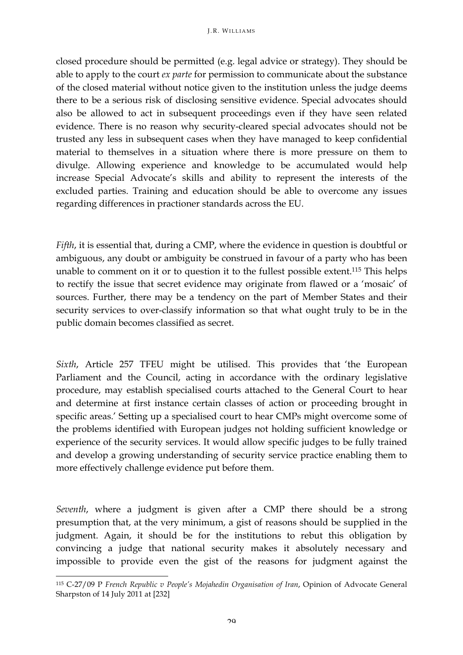closed procedure should be permitted (e.g. legal advice or strategy). They should be able to apply to the court *ex parte* for permission to communicate about the substance of the closed material without notice given to the institution unless the judge deems there to be a serious risk of disclosing sensitive evidence. Special advocates should also be allowed to act in subsequent proceedings even if they have seen related evidence. There is no reason why security-cleared special advocates should not be trusted any less in subsequent cases when they have managed to keep confidential material to themselves in a situation where there is more pressure on them to divulge. Allowing experience and knowledge to be accumulated would help increase Special Advocate's skills and ability to represent the interests of the excluded parties. Training and education should be able to overcome any issues regarding differences in practioner standards across the EU.

*Fifth*, it is essential that, during a CMP, where the evidence in question is doubtful or ambiguous, any doubt or ambiguity be construed in favour of a party who has been unable to comment on it or to question it to the fullest possible extent.115 This helps to rectify the issue that secret evidence may originate from flawed or a 'mosaic' of sources. Further, there may be a tendency on the part of Member States and their security services to over-classify information so that what ought truly to be in the public domain becomes classified as secret.

*Sixth*, Article 257 TFEU might be utilised. This provides that 'the European Parliament and the Council, acting in accordance with the ordinary legislative procedure, may establish specialised courts attached to the General Court to hear and determine at first instance certain classes of action or proceeding brought in specific areas.' Setting up a specialised court to hear CMPs might overcome some of the problems identified with European judges not holding sufficient knowledge or experience of the security services. It would allow specific judges to be fully trained and develop a growing understanding of security service practice enabling them to more effectively challenge evidence put before them.

*Seventh*, where a judgment is given after a CMP there should be a strong presumption that, at the very minimum, a gist of reasons should be supplied in the judgment. Again, it should be for the institutions to rebut this obligation by convincing a judge that national security makes it absolutely necessary and impossible to provide even the gist of the reasons for judgment against the

<sup>&</sup>lt;u> 1989 - Jan Samuel Barbara, político establecido de la provincia de la provincia de la provincia de la provinci</u> <sup>115</sup> C-27/09 P *French Republic v People's Mojahedin Organisation of Iran*, Opinion of Advocate General Sharpston of 14 July 2011 at [232]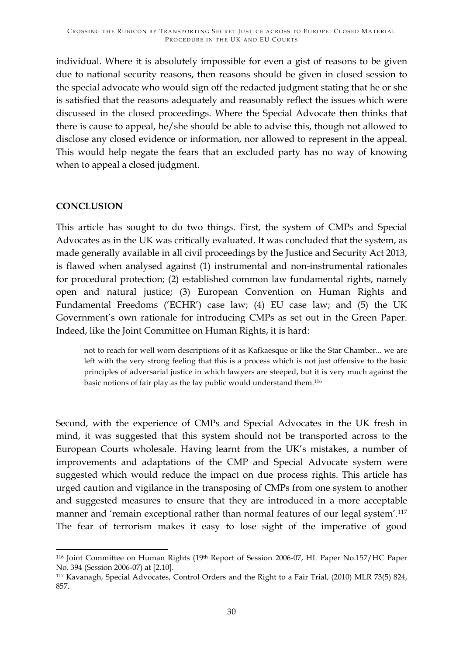individual. Where it is absolutely impossible for even a gist of reasons to be given due to national security reasons, then reasons should be given in closed session to the special advocate who would sign off the redacted judgment stating that he or she is satisfied that the reasons adequately and reasonably reflect the issues which were discussed in the closed proceedings. Where the Special Advocate then thinks that there is cause to appeal, he/she should be able to advise this, though not allowed to disclose any closed evidence or information, nor allowed to represent in the appeal. This would help negate the fears that an excluded party has no way of knowing when to appeal a closed judgment.

## **CONCLUSION**

This article has sought to do two things. First, the system of CMPs and Special Advocates as in the UK was critically evaluated. It was concluded that the system, as made generally available in all civil proceedings by the Justice and Security Act 2013, is flawed when analysed against (1) instrumental and non-instrumental rationales for procedural protection; (2) established common law fundamental rights, namely open and natural justice; (3) European Convention on Human Rights and Fundamental Freedoms ('ECHR') case law; (4) EU case law; and (5) the UK Government's own rationale for introducing CMPs as set out in the Green Paper. Indeed, like the Joint Committee on Human Rights, it is hard:

not to reach for well worn descriptions of it as Kafkaesque or like the Star Chamber... we are left with the very strong feeling that this is a process which is not just offensive to the basic principles of adversarial justice in which lawyers are steeped, but it is very much against the basic notions of fair play as the lay public would understand them.116

Second, with the experience of CMPs and Special Advocates in the UK fresh in mind, it was suggested that this system should not be transported across to the European Courts wholesale. Having learnt from the UK's mistakes, a number of improvements and adaptations of the CMP and Special Advocate system were suggested which would reduce the impact on due process rights. This article has urged caution and vigilance in the transposing of CMPs from one system to another and suggested measures to ensure that they are introduced in a more acceptable manner and 'remain exceptional rather than normal features of our legal system'.<sup>117</sup> The fear of terrorism makes it easy to lose sight of the imperative of good

<sup>&</sup>lt;u> 1989 - Jan Samuel Barbara, político establecido de la provincia de la provincia de la provincia de la provinci</u> <sup>116</sup> Joint Committee on Human Rights (19th Report of Session 2006-07, HL Paper No.157/HC Paper No. 394 (Session 2006-07) at [2.10].

<sup>117</sup> Kavanagh, Special Advocates, Control Orders and the Right to a Fair Trial, (2010) MLR 73(5) 824, 857.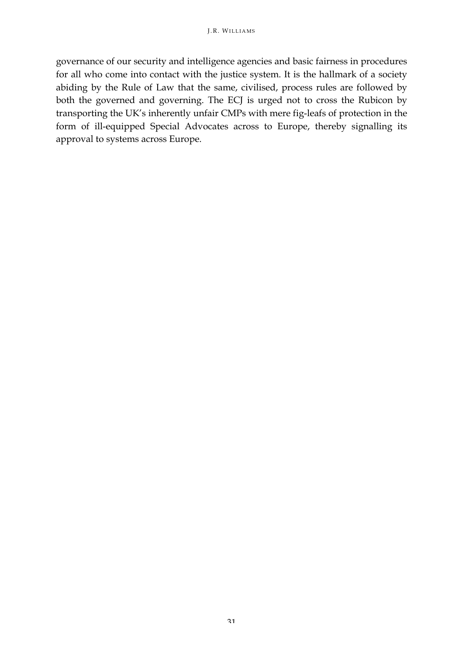governance of our security and intelligence agencies and basic fairness in procedures for all who come into contact with the justice system. It is the hallmark of a society abiding by the Rule of Law that the same, civilised, process rules are followed by both the governed and governing. The ECJ is urged not to cross the Rubicon by transporting the UK's inherently unfair CMPs with mere fig-leafs of protection in the form of ill-equipped Special Advocates across to Europe, thereby signalling its approval to systems across Europe.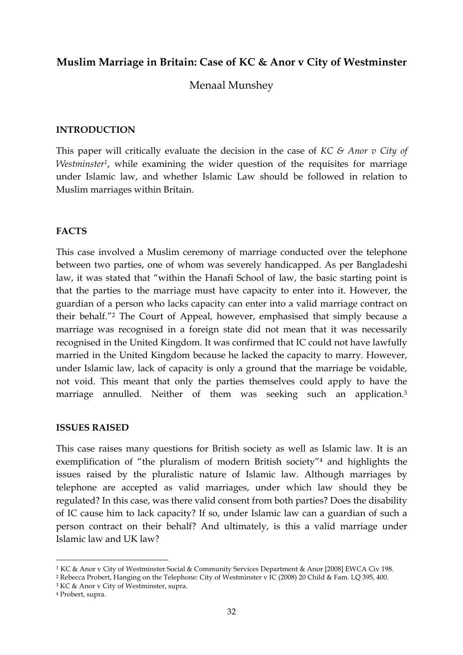## **Muslim Marriage in Britain: Case of KC & Anor v City of Westminster**

Menaal Munshey

#### **INTRODUCTION**

This paper will critically evaluate the decision in the case of *KC & Anor v City of Westminster1*, while examining the wider question of the requisites for marriage under Islamic law, and whether Islamic Law should be followed in relation to Muslim marriages within Britain.

#### **FACTS**

This case involved a Muslim ceremony of marriage conducted over the telephone between two parties, one of whom was severely handicapped. As per Bangladeshi law, it was stated that "within the Hanafi School of law, the basic starting point is that the parties to the marriage must have capacity to enter into it. However, the guardian of a person who lacks capacity can enter into a valid marriage contract on their behalf."2 The Court of Appeal, however, emphasised that simply because a marriage was recognised in a foreign state did not mean that it was necessarily recognised in the United Kingdom. It was confirmed that IC could not have lawfully married in the United Kingdom because he lacked the capacity to marry. However, under Islamic law, lack of capacity is only a ground that the marriage be voidable, not void. This meant that only the parties themselves could apply to have the marriage annulled. Neither of them was seeking such an application.<sup>3</sup>

#### **ISSUES RAISED**

This case raises many questions for British society as well as Islamic law. It is an exemplification of "the pluralism of modern British society"4 and highlights the issues raised by the pluralistic nature of Islamic law. Although marriages by telephone are accepted as valid marriages, under which law should they be regulated? In this case, was there valid consent from both parties? Does the disability of IC cause him to lack capacity? If so, under Islamic law can a guardian of such a person contract on their behalf? And ultimately, is this a valid marriage under Islamic law and UK law?

<sup>1</sup> KC & Anor v City of Westminster Social & Community Services Department & Anor [2008] EWCA Civ 198.

<sup>2</sup> Rebecca Probert, Hanging on the Telephone: City of Westminster v IC (2008) 20 Child & Fam. LQ 395, 400.

<sup>3</sup> KC & Anor v City of Westminster, supra.

<sup>4</sup> Probert, supra.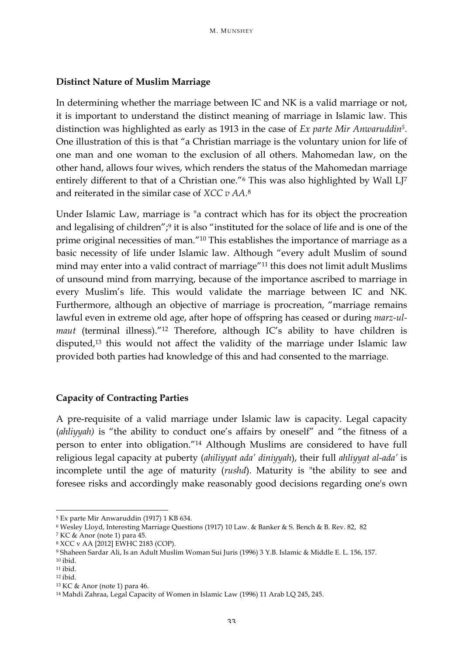### **Distinct Nature of Muslim Marriage**

In determining whether the marriage between IC and NK is a valid marriage or not, it is important to understand the distinct meaning of marriage in Islamic law. This distinction was highlighted as early as 1913 in the case of *Ex parte Mir Anwaruddin5*. One illustration of this is that "a Christian marriage is the voluntary union for life of one man and one woman to the exclusion of all others. Mahomedan law, on the other hand, allows four wives, which renders the status of the Mahomedan marriage entirely different to that of a Christian one."<sup>6</sup> This was also highlighted by Wall LJ<sup>7</sup> and reiterated in the similar case of *XCC v AA.*<sup>8</sup>

Under Islamic Law, marriage is "a contract which has for its object the procreation and legalising of children";<sup>9</sup> it is also "instituted for the solace of life and is one of the prime original necessities of man."10 This establishes the importance of marriage as a basic necessity of life under Islamic law. Although "every adult Muslim of sound mind may enter into a valid contract of marriage"11 this does not limit adult Muslims of unsound mind from marrying, because of the importance ascribed to marriage in every Muslim's life. This would validate the marriage between IC and NK. Furthermore, although an objective of marriage is procreation, "marriage remains lawful even in extreme old age, after hope of offspring has ceased or during *marz-ulmaut* (terminal illness)."<sup>12</sup> Therefore, although IC's ability to have children is disputed,13 this would not affect the validity of the marriage under Islamic law provided both parties had knowledge of this and had consented to the marriage.

## **Capacity of Contracting Parties**

A pre-requisite of a valid marriage under Islamic law is capacity. Legal capacity (*ahliyyah)* is "the ability to conduct one's affairs by oneself" and "the fitness of a person to enter into obligation."14 Although Muslims are considered to have full religious legal capacity at puberty (*ahiliyyat ada' diniyyah*), their full *ahliyyat al-ada'* is incomplete until the age of maturity (*rushd*). Maturity is "the ability to see and foresee risks and accordingly make reasonably good decisions regarding one's own

<sup>5</sup> Ex parte Mir Anwaruddin (1917) 1 KB 634.

<sup>6</sup> Wesley Lloyd, Interesting Marriage Questions (1917) 10 Law. & Banker & S. Bench & B. Rev. 82, 82

<sup>7</sup> KC & Anor (note 1) para 45.

<sup>8</sup> XCC v AA [2012] EWHC 2183 (COP).

<sup>9</sup> Shaheen Sardar Ali, Is an Adult Muslim Woman Sui Juris (1996) 3 Y.B. Islamic & Middle E. L. 156, 157.

<sup>10</sup> ibid.

<sup>11</sup> ibid.

<sup>12</sup> ibid.

<sup>13</sup> KC & Anor (note 1) para 46.

<sup>14</sup> Mahdi Zahraa, Legal Capacity of Women in Islamic Law (1996) 11 Arab LQ 245, 245.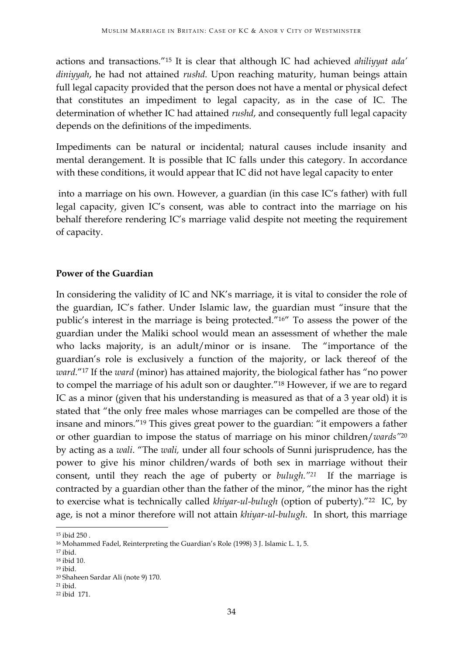actions and transactions."15 It is clear that although IC had achieved *ahiliyyat ada' diniyyah*, he had not attained *rushd*. Upon reaching maturity, human beings attain full legal capacity provided that the person does not have a mental or physical defect that constitutes an impediment to legal capacity, as in the case of IC. The determination of whether IC had attained *rushd*, and consequently full legal capacity depends on the definitions of the impediments.

Impediments can be natural or incidental; natural causes include insanity and mental derangement. It is possible that IC falls under this category. In accordance with these conditions, it would appear that IC did not have legal capacity to enter

into a marriage on his own. However, a guardian (in this case IC's father) with full legal capacity, given IC's consent, was able to contract into the marriage on his behalf therefore rendering IC's marriage valid despite not meeting the requirement of capacity.

#### **Power of the Guardian**

In considering the validity of IC and NK's marriage, it is vital to consider the role of the guardian, IC's father. Under Islamic law, the guardian must "insure that the public's interest in the marriage is being protected."16" To assess the power of the guardian under the Maliki school would mean an assessment of whether the male who lacks majority, is an adult/minor or is insane. The "importance of the guardian's role is exclusively a function of the majority, or lack thereof of the *ward*."17 If the *ward* (minor) has attained majority, the biological father has "no power to compel the marriage of his adult son or daughter."18 However, if we are to regard IC as a minor (given that his understanding is measured as that of a 3 year old) it is stated that "the only free males whose marriages can be compelled are those of the insane and minors."19 This gives great power to the guardian: "it empowers a father or other guardian to impose the status of marriage on his minor children/*wards"*<sup>20</sup> by acting as a *wali*. "The *wali,* under all four schools of Sunni jurisprudence, has the power to give his minor children/wards of both sex in marriage without their consent, until they reach the age of puberty or *bulugh."21* If the marriage is contracted by a guardian other than the father of the minor, "the minor has the right to exercise what is technically called *khiyar-ul-bulugh* (option of puberty)."22 IC, by age, is not a minor therefore will not attain *khiyar-ul-bulugh*. In short, this marriage

<sup>&</sup>lt;u> 1989 - Jan Samuel Barbara, político establecido de la provincia de la provincia de la provincia de la provinci</u> <sup>15</sup> ibid 250 .

<sup>16</sup> Mohammed Fadel, Reinterpreting the Guardian's Role (1998) 3 J. Islamic L. 1, 5.

<sup>17</sup> ibid.

<sup>18</sup> ibid 10.

<sup>19</sup> ibid. <sup>20</sup> Shaheen Sardar Ali (note 9) 170. 21 ibid.

<sup>22</sup> ibid 171.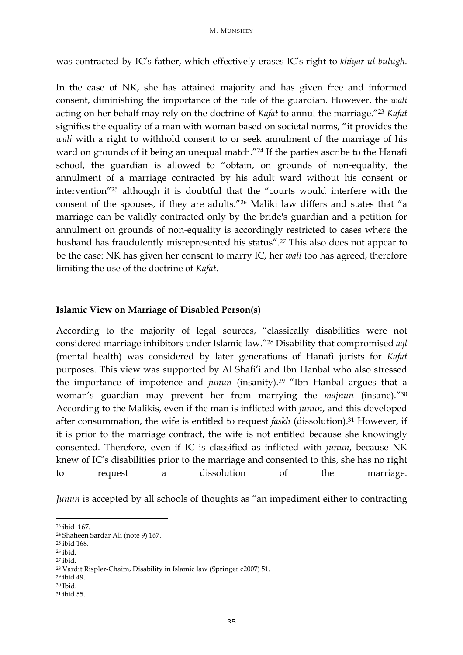was contracted by IC's father, which effectively erases IC's right to *khiyar-ul-bulugh*.

In the case of NK, she has attained majority and has given free and informed consent, diminishing the importance of the role of the guardian. However, the *wali*  acting on her behalf may rely on the doctrine of *Kafat* to annul the marriage."23 *Kafat* signifies the equality of a man with woman based on societal norms, "it provides the *wali* with a right to withhold consent to or seek annulment of the marriage of his ward on grounds of it being an unequal match."24 If the parties ascribe to the Hanafi school, the guardian is allowed to "obtain, on grounds of non-equality, the annulment of a marriage contracted by his adult ward without his consent or intervention"25 although it is doubtful that the "courts would interfere with the consent of the spouses, if they are adults."26 Maliki law differs and states that "a marriage can be validly contracted only by the bride's guardian and a petition for annulment on grounds of non-equality is accordingly restricted to cases where the husband has fraudulently misrepresented his status".27 This also does not appear to be the case: NK has given her consent to marry IC, her *wali* too has agreed, therefore limiting the use of the doctrine of *Kafat*.

#### **Islamic View on Marriage of Disabled Person(s)**

According to the majority of legal sources, "classically disabilities were not considered marriage inhibitors under Islamic law."28 Disability that compromised *aql* (mental health) was considered by later generations of Hanafi jurists for *Kafat* purposes. This view was supported by Al Shafi'i and Ibn Hanbal who also stressed the importance of impotence and *junun* (insanity).29 "Ibn Hanbal argues that a woman's guardian may prevent her from marrying the *majnun* (insane)."30 According to the Malikis, even if the man is inflicted with *junun*, and this developed after consummation, the wife is entitled to request *faskh* (dissolution).<sup>31</sup> However, if it is prior to the marriage contract, the wife is not entitled because she knowingly consented. Therefore, even if IC is classified as inflicted with *junun*, because NK knew of IC's disabilities prior to the marriage and consented to this, she has no right to request a dissolution of the marriage.

*Junun* is accepted by all schools of thoughts as "an impediment either to contracting

<sup>&</sup>lt;u> 1989 - Jan Samuel Barbara, político establecido de la provincia de la provincia de la provincia de la provinci</u> <sup>23</sup> ibid 167.

<sup>24</sup> Shaheen Sardar Ali (note 9) 167. 25 ibid 168.

 $26$  ibid.<br> $27$  ibid.

<sup>28</sup> Vardit Rispler-Chaim, Disability in Islamic law (Springer c2007) 51.

<sup>29</sup> ibid 49.

<sup>30</sup> Ibid.

<sup>31</sup> ibid 55.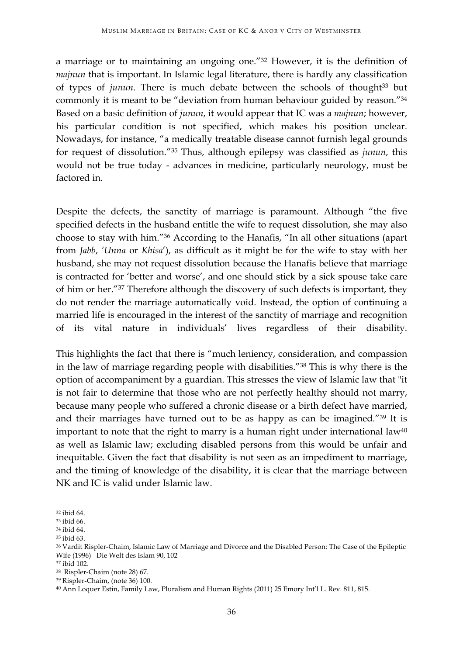a marriage or to maintaining an ongoing one."32 However, it is the definition of *majnun* that is important. In Islamic legal literature, there is hardly any classification of types of *junun*. There is much debate between the schools of thought<sup>33</sup> but commonly it is meant to be "deviation from human behaviour guided by reason."34 Based on a basic definition of *junun*, it would appear that IC was a *majnun*; however, his particular condition is not specified, which makes his position unclear. Nowadays, for instance, "a medically treatable disease cannot furnish legal grounds for request of dissolution."35 Thus, although epilepsy was classified as *junun*, this would not be true today - advances in medicine, particularly neurology, must be factored in.

Despite the defects, the sanctity of marriage is paramount. Although "the five specified defects in the husband entitle the wife to request dissolution, she may also choose to stay with him."36 According to the Hanafis, "In all other situations (apart from *Jabb*, *'Unna* or *Khisa*'), as difficult as it might be for the wife to stay with her husband, she may not request dissolution because the Hanafis believe that marriage is contracted for 'better and worse', and one should stick by a sick spouse take care of him or her."37 Therefore although the discovery of such defects is important, they do not render the marriage automatically void. Instead, the option of continuing a married life is encouraged in the interest of the sanctity of marriage and recognition of its vital nature in individuals' lives regardless of their disability.

This highlights the fact that there is "much leniency, consideration, and compassion in the law of marriage regarding people with disabilities."38 This is why there is the option of accompaniment by a guardian. This stresses the view of Islamic law that "it is not fair to determine that those who are not perfectly healthy should not marry, because many people who suffered a chronic disease or a birth defect have married, and their marriages have turned out to be as happy as can be imagined."39 It is important to note that the right to marry is a human right under international law $40$ as well as Islamic law; excluding disabled persons from this would be unfair and inequitable. Given the fact that disability is not seen as an impediment to marriage, and the timing of knowledge of the disability, it is clear that the marriage between NK and IC is valid under Islamic law.

 

<sup>32</sup> ibid 64.

<sup>33</sup> ibid 66.

<sup>34</sup> ibid 64.

<sup>35</sup> ibid 63.

<sup>36</sup> Vardit Rispler-Chaim, Islamic Law of Marriage and Divorce and the Disabled Person: The Case of the Epileptic Wife (1996) Die Welt des Islam 90, 102

<sup>37</sup> ibid 102.

<sup>38</sup> Rispler-Chaim (note 28) 67.

<sup>39</sup> Rispler-Chaim, (note 36) 100.

<sup>40</sup> Ann Loquer Estin, Family Law, Pluralism and Human Rights (2011) 25 Emory Int'l L. Rev. 811, 815.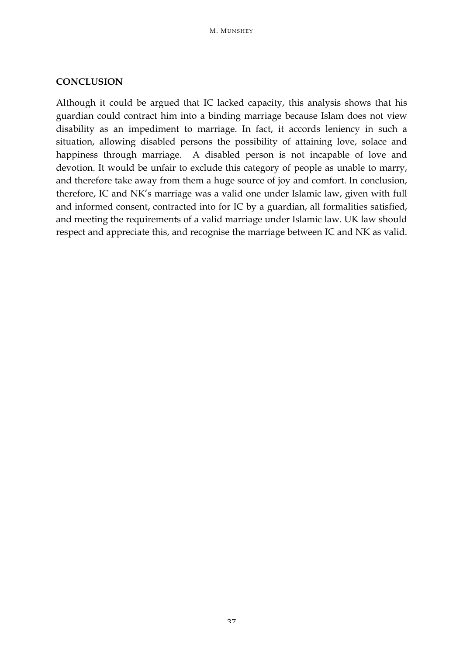#### **CONCLUSION**

Although it could be argued that IC lacked capacity, this analysis shows that his guardian could contract him into a binding marriage because Islam does not view disability as an impediment to marriage. In fact, it accords leniency in such a situation, allowing disabled persons the possibility of attaining love, solace and happiness through marriage. A disabled person is not incapable of love and devotion. It would be unfair to exclude this category of people as unable to marry, and therefore take away from them a huge source of joy and comfort. In conclusion, therefore, IC and NK's marriage was a valid one under Islamic law, given with full and informed consent, contracted into for IC by a guardian, all formalities satisfied, and meeting the requirements of a valid marriage under Islamic law. UK law should respect and appreciate this, and recognise the marriage between IC and NK as valid.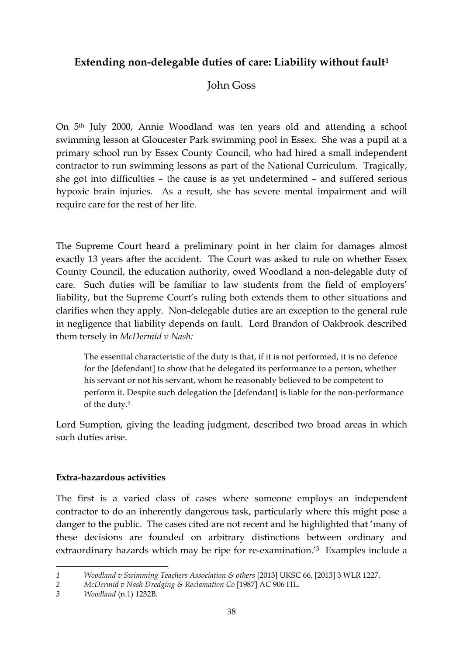# **Extending non-delegable duties of care: Liability without fault1**

# John Goss

On 5th July 2000, Annie Woodland was ten years old and attending a school swimming lesson at Gloucester Park swimming pool in Essex. She was a pupil at a primary school run by Essex County Council, who had hired a small independent contractor to run swimming lessons as part of the National Curriculum. Tragically, she got into difficulties – the cause is as yet undetermined – and suffered serious hypoxic brain injuries. As a result, she has severe mental impairment and will require care for the rest of her life.

The Supreme Court heard a preliminary point in her claim for damages almost exactly 13 years after the accident. The Court was asked to rule on whether Essex County Council, the education authority, owed Woodland a non-delegable duty of care. Such duties will be familiar to law students from the field of employers' liability, but the Supreme Court's ruling both extends them to other situations and clarifies when they apply. Non-delegable duties are an exception to the general rule in negligence that liability depends on fault. Lord Brandon of Oakbrook described them tersely in *McDermid v Nash:*

The essential characteristic of the duty is that, if it is not performed, it is no defence for the [defendant] to show that he delegated its performance to a person, whether his servant or not his servant, whom he reasonably believed to be competent to perform it. Despite such delegation the [defendant] is liable for the non-performance of the duty.2

Lord Sumption, giving the leading judgment, described two broad areas in which such duties arise.

# **Extra-hazardous activities**

The first is a varied class of cases where someone employs an independent contractor to do an inherently dangerous task, particularly where this might pose a danger to the public. The cases cited are not recent and he highlighted that 'many of these decisions are founded on arbitrary distinctions between ordinary and extraordinary hazards which may be ripe for re-examination.'3 Examples include a

<sup>&</sup>lt;u> 1989 - Jan Samuel Barbara, margaret e</u> *1 Woodland v Swimming Teachers Association & others* [2013] UKSC 66, [2013] 3 WLR 1227.

*<sup>2</sup> McDermid v Nash Dredging & Reclamation Co* [1987] AC 906 HL.

*<sup>3</sup> Woodland* (n.1) 1232B.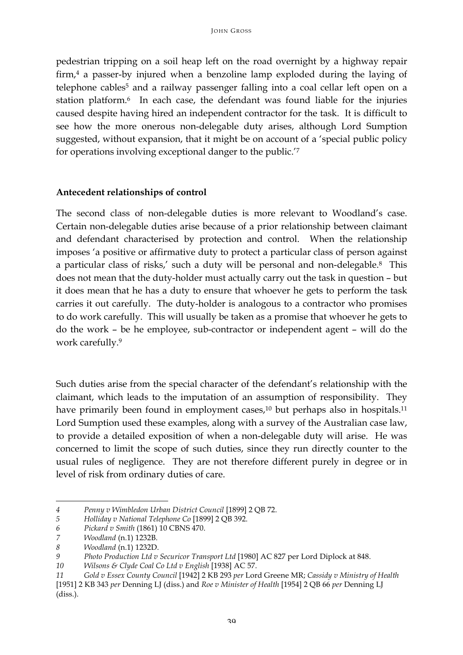pedestrian tripping on a soil heap left on the road overnight by a highway repair firm,4 a passer-by injured when a benzoline lamp exploded during the laying of telephone cables<sup>5</sup> and a railway passenger falling into a coal cellar left open on a station platform.<sup>6</sup> In each case, the defendant was found liable for the injuries caused despite having hired an independent contractor for the task. It is difficult to see how the more onerous non-delegable duty arises, although Lord Sumption suggested, without expansion, that it might be on account of a 'special public policy for operations involving exceptional danger to the public.'7

### **Antecedent relationships of control**

The second class of non-delegable duties is more relevant to Woodland's case. Certain non-delegable duties arise because of a prior relationship between claimant and defendant characterised by protection and control. When the relationship imposes 'a positive or affirmative duty to protect a particular class of person against a particular class of risks,' such a duty will be personal and non-delegable.8 This does not mean that the duty-holder must actually carry out the task in question – but it does mean that he has a duty to ensure that whoever he gets to perform the task carries it out carefully. The duty-holder is analogous to a contractor who promises to do work carefully. This will usually be taken as a promise that whoever he gets to do the work – be he employee, sub-contractor or independent agent – will do the work carefully.9

Such duties arise from the special character of the defendant's relationship with the claimant, which leads to the imputation of an assumption of responsibility. They have primarily been found in employment cases,<sup>10</sup> but perhaps also in hospitals.<sup>11</sup> Lord Sumption used these examples, along with a survey of the Australian case law, to provide a detailed exposition of when a non-delegable duty will arise. He was concerned to limit the scope of such duties, since they run directly counter to the usual rules of negligence. They are not therefore different purely in degree or in level of risk from ordinary duties of care.

*<sup>4</sup> Penny v Wimbledon Urban District Council* [1899] 2 QB 72.

*<sup>5</sup> Holliday v National Telephone Co* [1899] 2 QB 392.

*<sup>6</sup> Pickard v Smith* (1861) 10 CBNS 470.

*<sup>7</sup> Woodland* (n.1) 1232B.

*<sup>8</sup> Woodland* (n.1) 1232D.

*<sup>9</sup> Photo Production Ltd v Securicor Transport Ltd* [1980] AC 827 per Lord Diplock at 848.

*<sup>10</sup> Wilsons & Clyde Coal Co Ltd v English* [1938] AC 57.

*<sup>11</sup> Gold v Essex County Council* [1942] 2 KB 293 *per* Lord Greene MR; *Cassidy v Ministry of Health*  [1951] 2 KB 343 *per* Denning LJ (diss.) and *Roe v Minister of Health* [1954] 2 QB 66 *per* Denning LJ (diss.).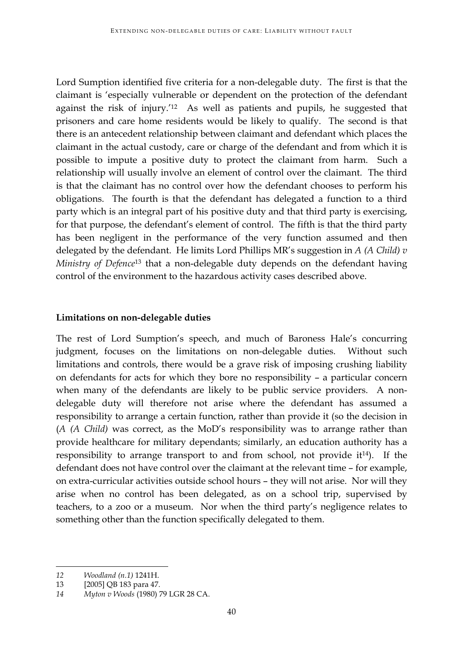Lord Sumption identified five criteria for a non-delegable duty. The first is that the claimant is 'especially vulnerable or dependent on the protection of the defendant against the risk of injury.'12 As well as patients and pupils, he suggested that prisoners and care home residents would be likely to qualify. The second is that there is an antecedent relationship between claimant and defendant which places the claimant in the actual custody, care or charge of the defendant and from which it is possible to impute a positive duty to protect the claimant from harm. Such a relationship will usually involve an element of control over the claimant. The third is that the claimant has no control over how the defendant chooses to perform his obligations. The fourth is that the defendant has delegated a function to a third party which is an integral part of his positive duty and that third party is exercising, for that purpose, the defendant's element of control. The fifth is that the third party has been negligent in the performance of the very function assumed and then delegated by the defendant. He limits Lord Phillips MR's suggestion in *A (A Child) v Ministry of Defence*<sup>13</sup> that a non-delegable duty depends on the defendant having control of the environment to the hazardous activity cases described above.

# **Limitations on non-delegable duties**

The rest of Lord Sumption's speech, and much of Baroness Hale's concurring judgment, focuses on the limitations on non-delegable duties. Without such limitations and controls, there would be a grave risk of imposing crushing liability on defendants for acts for which they bore no responsibility – a particular concern when many of the defendants are likely to be public service providers. A nondelegable duty will therefore not arise where the defendant has assumed a responsibility to arrange a certain function, rather than provide it (so the decision in (*A (A Child)* was correct, as the MoD's responsibility was to arrange rather than provide healthcare for military dependants; similarly, an education authority has a responsibility to arrange transport to and from school, not provide it<sup>14</sup>). If the defendant does not have control over the claimant at the relevant time – for example, on extra-curricular activities outside school hours – they will not arise. Nor will they arise when no control has been delegated, as on a school trip, supervised by teachers, to a zoo or a museum. Nor when the third party's negligence relates to something other than the function specifically delegated to them.

<sup>&</sup>lt;u> 1989 - Jan Samuel Barbara, margaret e</u> *12 Woodland (n.1)* 1241H.

<sup>13</sup> [2005] QB 183 para 47.

*<sup>14</sup> Myton v Woods* (1980) 79 LGR 28 CA.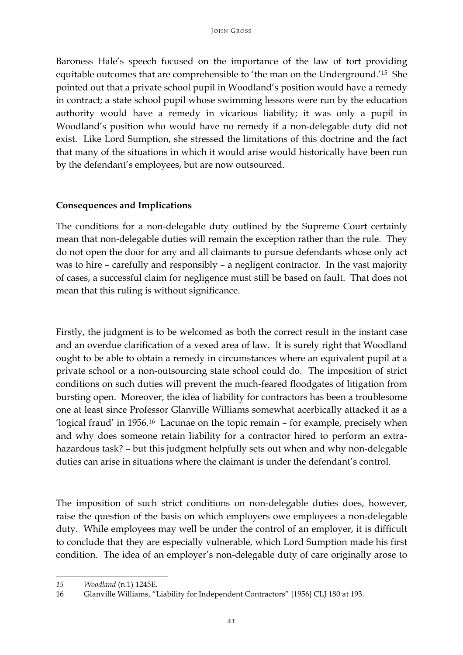Baroness Hale's speech focused on the importance of the law of tort providing equitable outcomes that are comprehensible to 'the man on the Underground.'15 She pointed out that a private school pupil in Woodland's position would have a remedy in contract; a state school pupil whose swimming lessons were run by the education authority would have a remedy in vicarious liability; it was only a pupil in Woodland's position who would have no remedy if a non-delegable duty did not exist. Like Lord Sumption, she stressed the limitations of this doctrine and the fact that many of the situations in which it would arise would historically have been run by the defendant's employees, but are now outsourced.

### **Consequences and Implications**

The conditions for a non-delegable duty outlined by the Supreme Court certainly mean that non-delegable duties will remain the exception rather than the rule. They do not open the door for any and all claimants to pursue defendants whose only act was to hire – carefully and responsibly – a negligent contractor. In the vast majority of cases, a successful claim for negligence must still be based on fault. That does not mean that this ruling is without significance.

Firstly, the judgment is to be welcomed as both the correct result in the instant case and an overdue clarification of a vexed area of law. It is surely right that Woodland ought to be able to obtain a remedy in circumstances where an equivalent pupil at a private school or a non-outsourcing state school could do. The imposition of strict conditions on such duties will prevent the much-feared floodgates of litigation from bursting open. Moreover, the idea of liability for contractors has been a troublesome one at least since Professor Glanville Williams somewhat acerbically attacked it as a 'logical fraud' in 1956.16 Lacunae on the topic remain – for example, precisely when and why does someone retain liability for a contractor hired to perform an extrahazardous task? – but this judgment helpfully sets out when and why non-delegable duties can arise in situations where the claimant is under the defendant's control.

The imposition of such strict conditions on non-delegable duties does, however, raise the question of the basis on which employers owe employees a non-delegable duty. While employees may well be under the control of an employer, it is difficult to conclude that they are especially vulnerable, which Lord Sumption made his first condition. The idea of an employer's non-delegable duty of care originally arose to

<sup>&</sup>lt;u> 1989 - Jan Samuel Barbara, margaret e</u> *15 Woodland* (n.1) 1245E.

<sup>16</sup> Glanville Williams, "Liability for Independent Contractors" [1956] CLJ 180 at 193.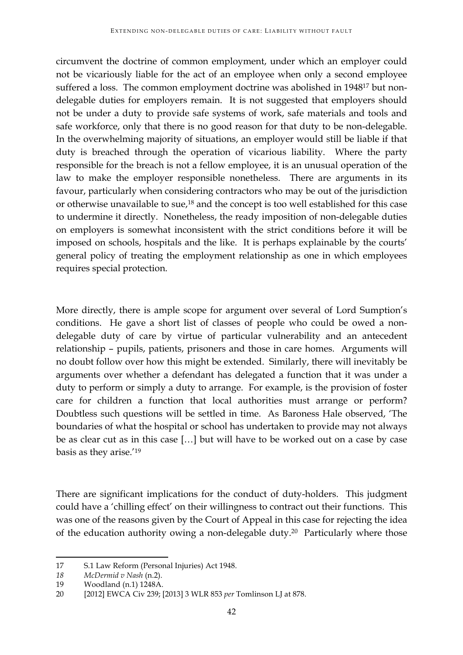circumvent the doctrine of common employment, under which an employer could not be vicariously liable for the act of an employee when only a second employee suffered a loss. The common employment doctrine was abolished in 194817 but nondelegable duties for employers remain. It is not suggested that employers should not be under a duty to provide safe systems of work, safe materials and tools and safe workforce, only that there is no good reason for that duty to be non-delegable. In the overwhelming majority of situations, an employer would still be liable if that duty is breached through the operation of vicarious liability. Where the party responsible for the breach is not a fellow employee, it is an unusual operation of the law to make the employer responsible nonetheless. There are arguments in its favour, particularly when considering contractors who may be out of the jurisdiction or otherwise unavailable to sue,18 and the concept is too well established for this case to undermine it directly. Nonetheless, the ready imposition of non-delegable duties on employers is somewhat inconsistent with the strict conditions before it will be imposed on schools, hospitals and the like. It is perhaps explainable by the courts' general policy of treating the employment relationship as one in which employees requires special protection.

More directly, there is ample scope for argument over several of Lord Sumption's conditions. He gave a short list of classes of people who could be owed a nondelegable duty of care by virtue of particular vulnerability and an antecedent relationship – pupils, patients, prisoners and those in care homes. Arguments will no doubt follow over how this might be extended. Similarly, there will inevitably be arguments over whether a defendant has delegated a function that it was under a duty to perform or simply a duty to arrange. For example, is the provision of foster care for children a function that local authorities must arrange or perform? Doubtless such questions will be settled in time. As Baroness Hale observed, 'The boundaries of what the hospital or school has undertaken to provide may not always be as clear cut as in this case […] but will have to be worked out on a case by case basis as they arise.'19

There are significant implications for the conduct of duty-holders. This judgment could have a 'chilling effect' on their willingness to contract out their functions. This was one of the reasons given by the Court of Appeal in this case for rejecting the idea of the education authority owing a non-delegable duty.20 Particularly where those

<sup>17</sup> S.1 Law Reform (Personal Injuries) Act 1948.

*<sup>18</sup> McDermid v Nash* (n.2).

<sup>19</sup> Woodland (n.1) 1248A.

<sup>20</sup> [2012] EWCA Civ 239; [2013] 3 WLR 853 *per* Tomlinson LJ at 878.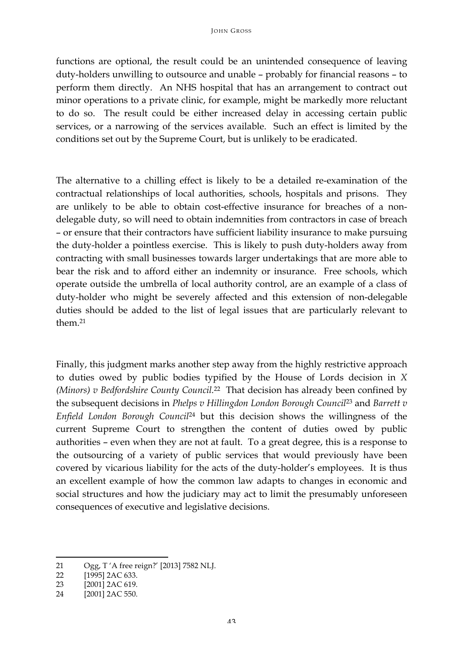functions are optional, the result could be an unintended consequence of leaving duty-holders unwilling to outsource and unable – probably for financial reasons – to perform them directly. An NHS hospital that has an arrangement to contract out minor operations to a private clinic, for example, might be markedly more reluctant to do so. The result could be either increased delay in accessing certain public services, or a narrowing of the services available. Such an effect is limited by the conditions set out by the Supreme Court, but is unlikely to be eradicated.

The alternative to a chilling effect is likely to be a detailed re-examination of the contractual relationships of local authorities, schools, hospitals and prisons. They are unlikely to be able to obtain cost-effective insurance for breaches of a nondelegable duty, so will need to obtain indemnities from contractors in case of breach – or ensure that their contractors have sufficient liability insurance to make pursuing the duty-holder a pointless exercise. This is likely to push duty-holders away from contracting with small businesses towards larger undertakings that are more able to bear the risk and to afford either an indemnity or insurance. Free schools, which operate outside the umbrella of local authority control, are an example of a class of duty-holder who might be severely affected and this extension of non-delegable duties should be added to the list of legal issues that are particularly relevant to them.21

Finally, this judgment marks another step away from the highly restrictive approach to duties owed by public bodies typified by the House of Lords decision in *X (Minors) v Bedfordshire County Council.*<sup>22</sup> That decision has already been confined by the subsequent decisions in *Phelps v Hillingdon London Borough Council*<sup>23</sup> and *Barrett v Enfield London Borough Council*<sup>24</sup> but this decision shows the willingness of the current Supreme Court to strengthen the content of duties owed by public authorities – even when they are not at fault. To a great degree, this is a response to the outsourcing of a variety of public services that would previously have been covered by vicarious liability for the acts of the duty-holder's employees. It is thus an excellent example of how the common law adapts to changes in economic and social structures and how the judiciary may act to limit the presumably unforeseen consequences of executive and legislative decisions.

<sup>21</sup> Ogg, T 'A free reign?' [2013] 7582 NLJ.

<sup>22 [1995] 2</sup>AC 633.

<sup>23</sup> [2001] 2AC 619.

<sup>24</sup> [2001] 2AC 550.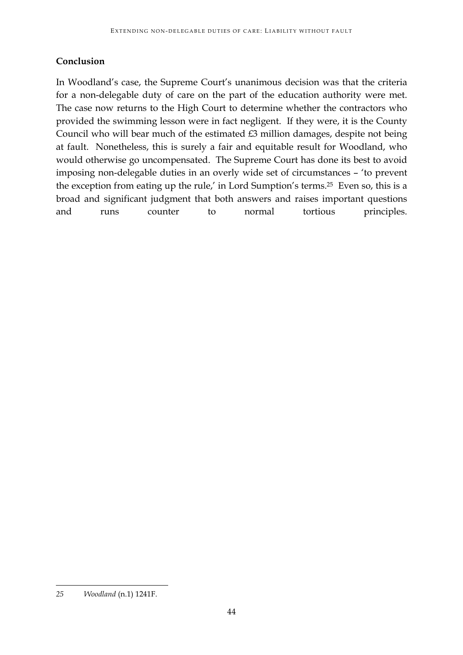# **Conclusion**

In Woodland's case, the Supreme Court's unanimous decision was that the criteria for a non-delegable duty of care on the part of the education authority were met. The case now returns to the High Court to determine whether the contractors who provided the swimming lesson were in fact negligent. If they were, it is the County Council who will bear much of the estimated £3 million damages, despite not being at fault. Nonetheless, this is surely a fair and equitable result for Woodland, who would otherwise go uncompensated. The Supreme Court has done its best to avoid imposing non-delegable duties in an overly wide set of circumstances – 'to prevent the exception from eating up the rule,' in Lord Sumption's terms.25 Even so, this is a broad and significant judgment that both answers and raises important questions and runs counter to normal tortious principles.

*<sup>25</sup> Woodland* (n.1) 1241F.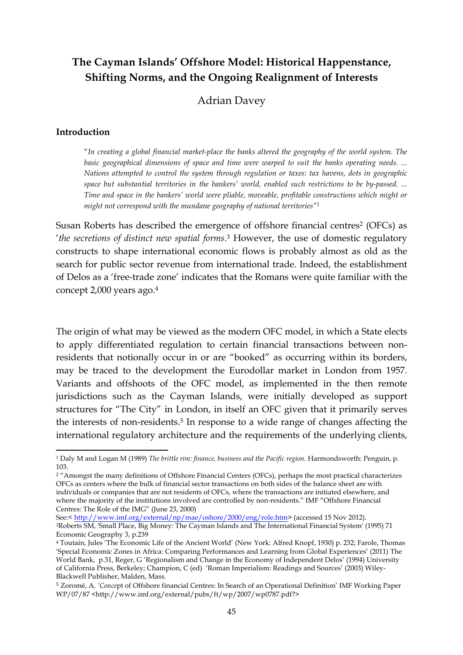# **The Cayman Islands' Offshore Model: Historical Happenstance, Shifting Norms, and the Ongoing Realignment of Interests**

# Adrian Davey

#### **Introduction**

<u> 1989 - Jan Samuel Barbara, margaret e</u>

"*In creating a global financial market-place the banks altered the geography of the world system. The basic geographical dimensions of space and time were warped to suit the banks operating needs. ... Nations attempted to control the system through regulation or taxes: tax havens, dots in geographic space but substantial territories in the bankers' world, enabled such restrictions to be by-passed. ... Time and space in the bankers' world were pliable, moveable, profitable constructions which might or might not correspond with the mundane geography of national territories"1*

Susan Roberts has described the emergence of offshore financial centres<sup>2</sup> (OFCs) as '*the secretions of distinct new spatial forms*. <sup>3</sup> However, the use of domestic regulatory constructs to shape international economic flows is probably almost as old as the search for public sector revenue from international trade. Indeed, the establishment of Delos as a 'free-trade zone' indicates that the Romans were quite familiar with the concept 2,000 years ago.4

The origin of what may be viewed as the modern OFC model, in which a State elects to apply differentiated regulation to certain financial transactions between nonresidents that notionally occur in or are "booked" as occurring within its borders, may be traced to the development the Eurodollar market in London from 1957. Variants and offshoots of the OFC model, as implemented in the then remote jurisdictions such as the Cayman Islands, were initially developed as support structures for "The City" in London, in itself an OFC given that it primarily serves the interests of non-residents.<sup>5</sup> In response to a wide range of changes affecting the international regulatory architecture and the requirements of the underlying clients,

<sup>1</sup> Daly M and Logan M (1989) *The brittle rim: finance, business and the Pacific region.* Harmondsworth: Penguin, p. 103.

<sup>&</sup>lt;sup>2</sup> "Amongst the many definitions of Offshore Financial Centers (OFCs), perhaps the most practical characterizes OFCs as centers where the bulk of financial sector transactions on both sides of the balance sheet are with individuals or companies that are not residents of OFCs, where the transactions are initiated elsewhere, and where the majority of the institutions involved are controlled by non-residents." IMF "Offshore Financial Centres: The Role of the IMG" (June 23, 2000)

See:< http://www.imf.org/external/np/mae/oshore/2000/eng/role.htm> (accessed 15 Nov 2012). 3Roberts SM, 'Small Place, Big Money: The Cayman Islands and The International Financial System' (1995) 71 Economic Geography 3, p.239

<sup>4</sup> Toutain, Jules 'The Economic Life of the Ancient World' (New York: Alfred Knopf, 1930) p. 232; Farole, Thomas 'Special Economic Zones in Africa: Comparing Performances and Learning from Global Experiences' (2011) The World Bank, p.31, Reger, G 'Regionalism and Change in the Economy of Independent Delos' (1994) University of California Press, Berkeley; Champion, C (ed) 'Roman Imperialism: Readings and Sources' (2003) Wiley-Blackwell Publisher, Malden, Mass.

<sup>5</sup> Zoromé, A*, 'Conce*pt of Offshore financial Centres: In Search of an Operational Definition' IMF Working Paper  $WP/07/87$  <http://www.imf.org/external/pubs/ft/wp/2007/wp0787.pdf?>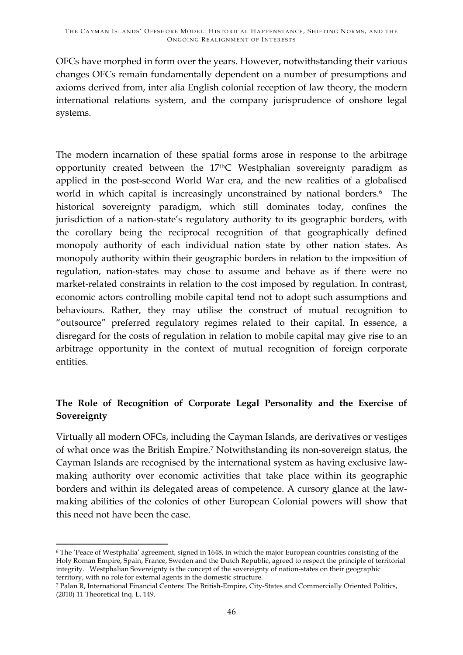OFCs have morphed in form over the years. However, notwithstanding their various changes OFCs remain fundamentally dependent on a number of presumptions and axioms derived from, inter alia English colonial reception of law theory, the modern international relations system, and the company jurisprudence of onshore legal systems.

The modern incarnation of these spatial forms arose in response to the arbitrage opportunity created between the 17thC Westphalian sovereignty paradigm as applied in the post-second World War era, and the new realities of a globalised world in which capital is increasingly unconstrained by national borders.<sup>6</sup> The historical sovereignty paradigm, which still dominates today, confines the jurisdiction of a nation-state's regulatory authority to its geographic borders, with the corollary being the reciprocal recognition of that geographically defined monopoly authority of each individual nation state by other nation states. As monopoly authority within their geographic borders in relation to the imposition of regulation, nation-states may chose to assume and behave as if there were no market-related constraints in relation to the cost imposed by regulation. In contrast, economic actors controlling mobile capital tend not to adopt such assumptions and behaviours. Rather, they may utilise the construct of mutual recognition to "outsource" preferred regulatory regimes related to their capital. In essence, a disregard for the costs of regulation in relation to mobile capital may give rise to an arbitrage opportunity in the context of mutual recognition of foreign corporate entities.

# **The Role of Recognition of Corporate Legal Personality and the Exercise of Sovereignty**

Virtually all modern OFCs, including the Cayman Islands, are derivatives or vestiges of what once was the British Empire.7 Notwithstanding its non-sovereign status, the Cayman Islands are recognised by the international system as having exclusive lawmaking authority over economic activities that take place within its geographic borders and within its delegated areas of competence. A cursory glance at the lawmaking abilities of the colonies of other European Colonial powers will show that this need not have been the case.

<sup>&</sup>lt;u> 1989 - Johann Stein, fransk politiker (d. 1989)</u> <sup>6</sup> The 'Peace of Westphalia' agreement, signed in 1648, in which the major European countries consisting of the Holy Roman Empire, Spain, France, Sweden and the Dutch Republic, agreed to respect the principle of territorial integrity. Westphalian Sovereignty is the concept of the sovereignty of nation-states on their geographic

<sup>&</sup>lt;sup>7</sup> Palan R, International Financial Centers: The British-Empire, City-States and Commercially Oriented Politics, (2010) 11 Theoretical Inq. L. 149.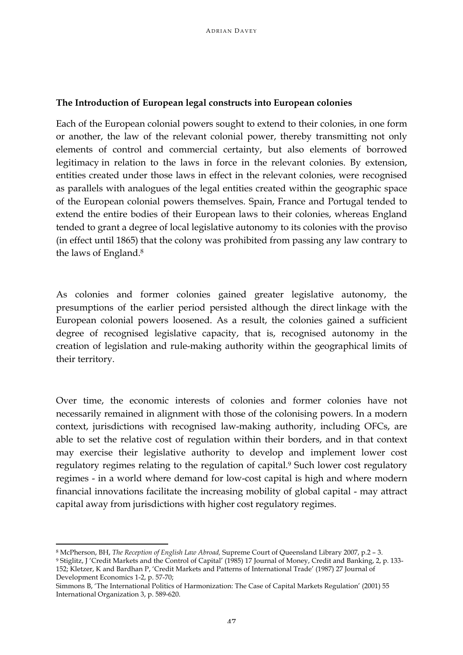### **The Introduction of European legal constructs into European colonies**

Each of the European colonial powers sought to extend to their colonies, in one form or another, the law of the relevant colonial power, thereby transmitting not only elements of control and commercial certainty, but also elements of borrowed legitimacy in relation to the laws in force in the relevant colonies. By extension, entities created under those laws in effect in the relevant colonies, were recognised as parallels with analogues of the legal entities created within the geographic space of the European colonial powers themselves. Spain, France and Portugal tended to extend the entire bodies of their European laws to their colonies, whereas England tended to grant a degree of local legislative autonomy to its colonies with the proviso (in effect until 1865) that the colony was prohibited from passing any law contrary to the laws of England.8

As colonies and former colonies gained greater legislative autonomy, the presumptions of the earlier period persisted although the direct linkage with the European colonial powers loosened. As a result, the colonies gained a sufficient degree of recognised legislative capacity, that is, recognised autonomy in the creation of legislation and rule-making authority within the geographical limits of their territory.

Over time, the economic interests of colonies and former colonies have not necessarily remained in alignment with those of the colonising powers. In a modern context, jurisdictions with recognised law-making authority, including OFCs, are able to set the relative cost of regulation within their borders, and in that context may exercise their legislative authority to develop and implement lower cost regulatory regimes relating to the regulation of capital.<sup>9</sup> Such lower cost regulatory regimes - in a world where demand for low-cost capital is high and where modern financial innovations facilitate the increasing mobility of global capital - may attract capital away from jurisdictions with higher cost regulatory regimes.

<u> 1989 - Johann Stein, fransk politiker (d. 1989)</u> <sup>8</sup> McPherson, BH, *The Reception of English Law Abroad*, Supreme Court of Queensland Library 2007, p.2 - 3.<br><sup>9</sup> Stiglitz, J 'Credit Markets and the Control of Capital' (1985) 17 Journal of Money, Credit and Banking, 2, p. 152; Kletzer, K and Bardhan P, 'Credit Markets and Patterns of International Trade' (1987) 27 Journal of Development Economics 1-2, p. 57-70;

Simmons B, 'The International Politics of Harmonization: The Case of Capital Markets Regulation' (2001) 55 International Organization 3, p. 589-620.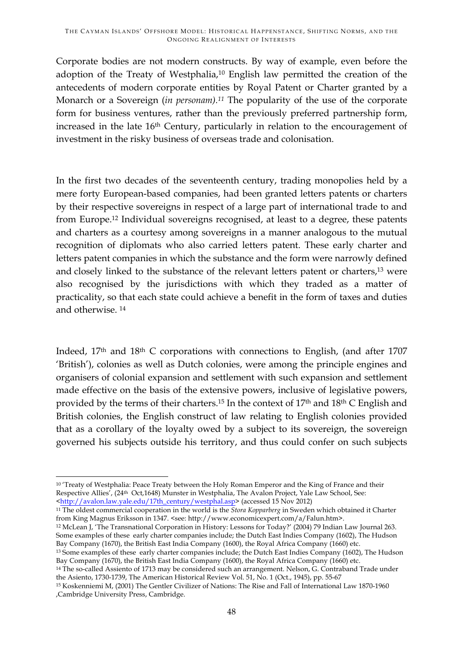Corporate bodies are not modern constructs. By way of example, even before the adoption of the Treaty of Westphalia,10 English law permitted the creation of the antecedents of modern corporate entities by Royal Patent or Charter granted by a Monarch or a Sovereign (*in personam).11* The popularity of the use of the corporate form for business ventures, rather than the previously preferred partnership form, increased in the late 16<sup>th</sup> Century, particularly in relation to the encouragement of investment in the risky business of overseas trade and colonisation.

In the first two decades of the seventeenth century, trading monopolies held by a mere forty European-based companies, had been granted letters patents or charters by their respective sovereigns in respect of a large part of international trade to and from Europe.12 Individual sovereigns recognised, at least to a degree, these patents and charters as a courtesy among sovereigns in a manner analogous to the mutual recognition of diplomats who also carried letters patent. These early charter and letters patent companies in which the substance and the form were narrowly defined and closely linked to the substance of the relevant letters patent or charters,13 were also recognised by the jurisdictions with which they traded as a matter of practicality, so that each state could achieve a benefit in the form of taxes and duties and otherwise. 14

Indeed,  $17<sup>th</sup>$  and  $18<sup>th</sup>$  C corporations with connections to English, (and after  $1707$ 'British'), colonies as well as Dutch colonies, were among the principle engines and organisers of colonial expansion and settlement with such expansion and settlement made effective on the basis of the extensive powers, inclusive of legislative powers, provided by the terms of their charters.15 In the context of 17th and 18th C English and British colonies, the English construct of law relating to English colonies provided that as a corollary of the loyalty owed by a subject to its sovereign, the sovereign governed his subjects outside his territory, and thus could confer on such subjects

<sup>11</sup> The oldest commercial cooperation in the world is the *Stora Kopparberg* in Sweden which obtained it Charter from King Magnus Eriksson in 1347. <see: http://www.economicexpert.com/a/Falun.htm>.

<sup>12</sup> McLean J, 'The Transnational Corporation in History: Lessons for Today?' (2004) 79 Indian Law Journal 263. Some examples of these early charter companies include; the Dutch East Indies Company (1602), The Hudson Bay Company (1670), the British East India Company (1600), the Royal Africa Company (1660) etc.

<sup>&</sup>lt;u> 1989 - Johann Stein, fransk politiker (d. 1989)</u> <sup>10</sup> 'Treaty of Westphalia: Peace Treaty between the Holy Roman Emperor and the King of France and their Respective Allies', (24th Oct,1648) Munster in Westphalia, The Avalon Project, Yale Law School, See: <http://avalon.law.yale.edu/17th\_century/westphal.asp> (accessed 15 Nov 2012)

<sup>13</sup> Some examples of these early charter companies include; the Dutch East Indies Company (1602), The Hudson Bay Company (1670), the British East India Company (1600), the Royal Africa Company (1660) etc.

<sup>&</sup>lt;sup>14</sup> The so-called Assiento of 1713 may be considered such an arrangement. Nelson, G. Contraband Trade under the Asiento, 1730-1739, The American Historical Review Vol. 51, No. 1 (Oct., 1945), pp. 55-67

<sup>15</sup> Koskenniemi M, (2001) The Gentler Civilizer of Nations: The Rise and Fall of International Law 1870-1960 ,Cambridge University Press, Cambridge.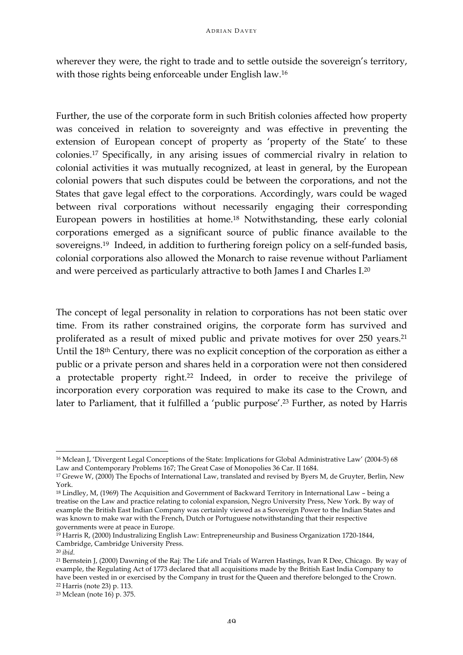wherever they were, the right to trade and to settle outside the sovereign's territory, with those rights being enforceable under English law.16

Further, the use of the corporate form in such British colonies affected how property was conceived in relation to sovereignty and was effective in preventing the extension of European concept of property as 'property of the State' to these colonies.17 Specifically, in any arising issues of commercial rivalry in relation to colonial activities it was mutually recognized, at least in general, by the European colonial powers that such disputes could be between the corporations, and not the States that gave legal effect to the corporations. Accordingly, wars could be waged between rival corporations without necessarily engaging their corresponding European powers in hostilities at home.18 Notwithstanding, these early colonial corporations emerged as a significant source of public finance available to the sovereigns.19 Indeed, in addition to furthering foreign policy on a self-funded basis, colonial corporations also allowed the Monarch to raise revenue without Parliament and were perceived as particularly attractive to both James I and Charles I.20

The concept of legal personality in relation to corporations has not been static over time. From its rather constrained origins, the corporate form has survived and proliferated as a result of mixed public and private motives for over 250 years.21 Until the 18<sup>th</sup> Century, there was no explicit conception of the corporation as either a public or a private person and shares held in a corporation were not then considered a protectable property right.22 Indeed, in order to receive the privilege of incorporation every corporation was required to make its case to the Crown, and later to Parliament, that it fulfilled a 'public purpose'.<sup>23</sup> Further, as noted by Harris

<u> 1989 - Johann Stein, fransk politiker (d. 1989)</u>

<sup>16</sup> Mclean J, 'Divergent Legal Conceptions of the State: Implications for Global Administrative Law' (2004-5) 68 Law and Contemporary Problems 167; The Great Case of Monopolies 36 Car. II 1684.

<sup>17</sup> Grewe W, (2000) The Epochs of International Law, translated and revised by Byers M, de Gruyter, Berlin, New York.

<sup>18</sup> Lindley, M, (1969) The Acquisition and Government of Backward Territory in International Law – being a treatise on the Law and practice relating to colonial expansion, Negro University Press, New York. By way of example the British East Indian Company was certainly viewed as a Sovereign Power to the Indian States and was known to make war with the French, Dutch or Portuguese notwithstanding that their respective governments were at peace in Europe.

<sup>19</sup> Harris R, (2000) Industralizing English Law: Entrepreneurship and Business Organization 1720-1844, Cambridge, Cambridge University Press.

<sup>20</sup> *ibid*.

<sup>21</sup> Bernstein J, (2000) Dawning of the Raj: The Life and Trials of Warren Hastings, Ivan R Dee, Chicago. By way of example, the Regulating Act of 1773 declared that all acquisitions made by the British East India Company to have been vested in or exercised by the Company in trust for the Queen and therefore belonged to the Crown. 22 Harris (note 23) p. 113.

<sup>23</sup> Mclean (note 16) p. 375.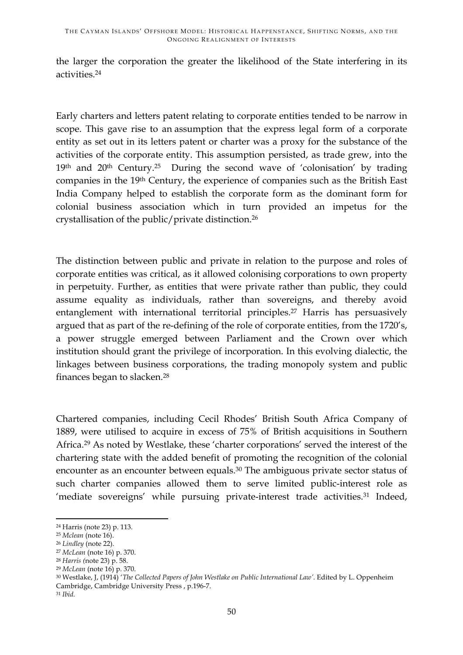the larger the corporation the greater the likelihood of the State interfering in its activities.24

Early charters and letters patent relating to corporate entities tended to be narrow in scope. This gave rise to an assumption that the express legal form of a corporate entity as set out in its letters patent or charter was a proxy for the substance of the activities of the corporate entity. This assumption persisted, as trade grew, into the  $19<sup>th</sup>$  and  $20<sup>th</sup>$  Century.<sup>25</sup> During the second wave of 'colonisation' by trading companies in the 19th Century, the experience of companies such as the British East India Company helped to establish the corporate form as the dominant form for colonial business association which in turn provided an impetus for the crystallisation of the public/private distinction.26

The distinction between public and private in relation to the purpose and roles of corporate entities was critical, as it allowed colonising corporations to own property in perpetuity. Further, as entities that were private rather than public, they could assume equality as individuals, rather than sovereigns, and thereby avoid entanglement with international territorial principles.<sup>27</sup> Harris has persuasively argued that as part of the re-defining of the role of corporate entities, from the 1720's, a power struggle emerged between Parliament and the Crown over which institution should grant the privilege of incorporation. In this evolving dialectic, the linkages between business corporations, the trading monopoly system and public finances began to slacken.28

Chartered companies, including Cecil Rhodes' British South Africa Company of 1889, were utilised to acquire in excess of 75% of British acquisitions in Southern Africa.29 As noted by Westlake, these 'charter corporations' served the interest of the chartering state with the added benefit of promoting the recognition of the colonial encounter as an encounter between equals.30 The ambiguous private sector status of such charter companies allowed them to serve limited public-interest role as 'mediate sovereigns' while pursuing private-interest trade activities.<sup>31</sup> Indeed,

<u> 1989 - Johann Stein, fransk politiker (d. 1989)</u>

<sup>24</sup> Harris (note 23) p. 113.

<sup>25</sup> *Mclean* (note 16).

<sup>26</sup> *Lindley* (note 22).

<sup>27</sup> *McLean* (note 16) p. 370.

<sup>28</sup> *Harris (*note 23) p. 58.

<sup>29</sup> *McLean* (note 16) p. 370.

<sup>30</sup> Westlake, J, (1914) '*The Collected Papers of John Westlake on Public International Law'*. Edited by L. Oppenheim Cambridge, Cambridge University Press , p.196-7.

<sup>31</sup> *Ibid.*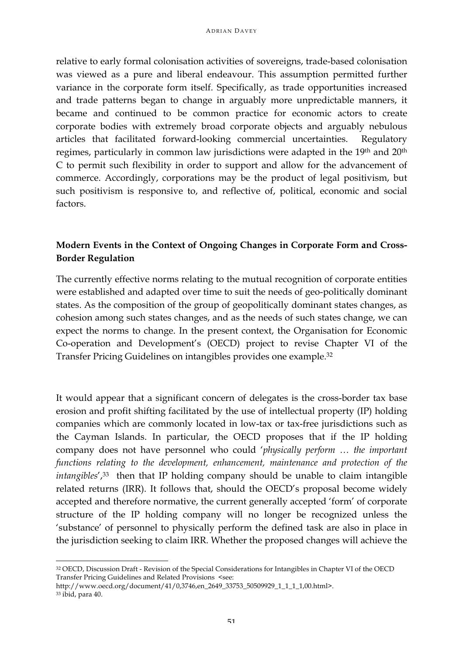relative to early formal colonisation activities of sovereigns, trade-based colonisation was viewed as a pure and liberal endeavour. This assumption permitted further variance in the corporate form itself. Specifically, as trade opportunities increased and trade patterns began to change in arguably more unpredictable manners, it became and continued to be common practice for economic actors to create corporate bodies with extremely broad corporate objects and arguably nebulous articles that facilitated forward-looking commercial uncertainties. Regulatory regimes, particularly in common law jurisdictions were adapted in the 19th and 20th C to permit such flexibility in order to support and allow for the advancement of commerce. Accordingly, corporations may be the product of legal positivism, but such positivism is responsive to, and reflective of, political, economic and social factors.

# **Modern Events in the Context of Ongoing Changes in Corporate Form and Cross-Border Regulation**

The currently effective norms relating to the mutual recognition of corporate entities were established and adapted over time to suit the needs of geo-politically dominant states. As the composition of the group of geopolitically dominant states changes, as cohesion among such states changes, and as the needs of such states change, we can expect the norms to change. In the present context, the Organisation for Economic Co-operation and Development's (OECD) project to revise Chapter VI of the Transfer Pricing Guidelines on intangibles provides one example.32

It would appear that a significant concern of delegates is the cross-border tax base erosion and profit shifting facilitated by the use of intellectual property (IP) holding companies which are commonly located in low-tax or tax-free jurisdictions such as the Cayman Islands. In particular, the OECD proposes that if the IP holding company does not have personnel who could '*physically perform … the important functions relating to the development, enhancement, maintenance and protection of the intangibles'*,<sup>33</sup> then that IP holding company should be unable to claim intangible related returns (IRR). It follows that, should the OECD's proposal become widely accepted and therefore normative, the current generally accepted 'form' of corporate structure of the IP holding company will no longer be recognized unless the 'substance' of personnel to physically perform the defined task are also in place in the jurisdiction seeking to claim IRR. Whether the proposed changes will achieve the

 

<sup>32</sup> OECD, Discussion Draft - Revision of the Special Considerations for Intangibles in Chapter VI of the OECD Transfer Pricing Guidelines and Related Provisions <see:

http://www.oecd.org/document/41/0,3746,en\_2649\_33753\_50509929\_1\_1\_1\_1,00.html>. <sup>33</sup> ibid, para 40.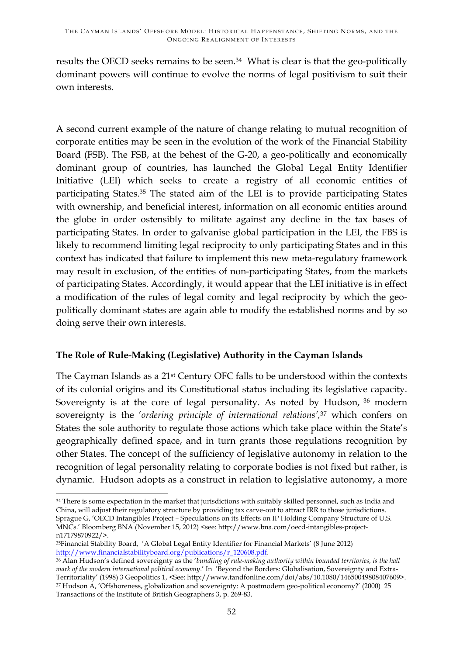results the OECD seeks remains to be seen.<sup>34</sup> What is clear is that the geo-politically dominant powers will continue to evolve the norms of legal positivism to suit their own interests.

A second current example of the nature of change relating to mutual recognition of corporate entities may be seen in the evolution of the work of the Financial Stability Board (FSB). The FSB, at the behest of the G-20, a geo-politically and economically dominant group of countries, has launched the Global Legal Entity Identifier Initiative (LEI) which seeks to create a registry of all economic entities of participating States.35 The stated aim of the LEI is to provide participating States with ownership, and beneficial interest, information on all economic entities around the globe in order ostensibly to militate against any decline in the tax bases of participating States. In order to galvanise global participation in the LEI, the FBS is likely to recommend limiting legal reciprocity to only participating States and in this context has indicated that failure to implement this new meta-regulatory framework may result in exclusion, of the entities of non-participating States, from the markets of participating States. Accordingly, it would appear that the LEI initiative is in effect a modification of the rules of legal comity and legal reciprocity by which the geopolitically dominant states are again able to modify the established norms and by so doing serve their own interests.

# **The Role of Rule-Making (Legislative) Authority in the Cayman Islands**

The Cayman Islands as a 21st Century OFC falls to be understood within the contexts of its colonial origins and its Constitutional status including its legislative capacity. Sovereignty is at the core of legal personality. As noted by Hudson, <sup>36</sup> modern sovereignty is the '*ordering principle of international relations',*<sup>37</sup> which confers on States the sole authority to regulate those actions which take place within the State's geographically defined space, and in turn grants those regulations recognition by other States. The concept of the sufficiency of legislative autonomy in relation to the recognition of legal personality relating to corporate bodies is not fixed but rather, is dynamic. Hudson adopts as a construct in relation to legislative autonomy, a more

<u> 1989 - Johann Stein, fransk politiker (d. 1989)</u>

<sup>&</sup>lt;sup>34</sup> There is some expectation in the market that jurisdictions with suitably skilled personnel, such as India and China, will adjust their regulatory structure by providing tax carve-out to attract IRR to those jurisdictions. Sprague G, 'OECD Intangibles Project – Speculations on its Effects on IP Holding Company Structure of U.S. MNCs.' Bloomberg BNA (November 15, 2012) <see: http://www.bna.com/oecd-intangibles-projectn17179870922/>.

<sup>35</sup>Financial Stability Board, 'A Global Legal Entity Identifier for Financial Markets' (8 June 2012) http://www.financialstabilityboard.org/publications/r\_120608.pdf.

<sup>&</sup>lt;sup>36</sup> Alan Hudson's defined sovereignty as the '*bundling of rule-making authority within bounded territories, is the hall mark of the modern international political economy*.' In 'Beyond the Borders: Globalisation, Sovereignty and Extra-Territoriality' (1998) 3 Geopolitics 1, <See: http://www.tandfonline.com/doi/abs/10.1080/14650049808407609>. <sup>37</sup> Hudson A, 'Offshoreness, globalization and sovereignty: A postmodern geo-political economy?' (2000) 25 Transactions of the Institute of British Geographers 3, p. 269-83.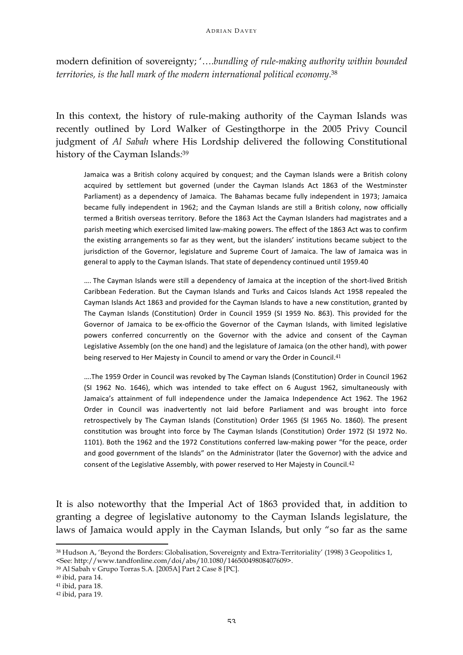modern definition of sovereignty; '….*bundling of rule-making authority within bounded territories, is the hall mark of the modern international political economy*. 38

In this context, the history of rule-making authority of the Cayman Islands was recently outlined by Lord Walker of Gestingthorpe in the 2005 Privy Council judgment of *Al Sabah* where His Lordship delivered the following Constitutional history of the Cayman Islands*:* 39

Jamaica was a British colony acquired by conquest; and the Cayman Islands were a British colony acquired by settlement but governed (under the Cayman Islands Act 1863 of the Westminster Parliament) as a dependency of Jamaica. The Bahamas became fully independent in 1973; Jamaica became fully independent in 1962; and the Cayman Islands are still a British colony, now officially termed a British overseas territory. Before the 1863 Act the Cayman Islanders had magistrates and a parish meeting which exercised limited law-making powers. The effect of the 1863 Act was to confirm the existing arrangements so far as they went, but the islanders' institutions became subject to the jurisdiction of the Governor, legislature and Supreme Court of Jamaica. The law of Jamaica was in general to apply to the Cayman Islands. That state of dependency continued until 1959.40

.... The Cayman Islands were still a dependency of Jamaica at the inception of the short-lived British Caribbean Federation. But the Cayman Islands and Turks and Caicos Islands Act 1958 repealed the Cayman Islands Act 1863 and provided for the Cayman Islands to have a new constitution, granted by The Cayman Islands (Constitution) Order in Council 1959 (SI 1959 No. 863). This provided for the Governor of Jamaica to be ex-officio the Governor of the Cayman Islands, with limited legislative powers conferred concurrently on the Governor with the advice and consent of the Cayman Legislative Assembly (on the one hand) and the legislature of Jamaica (on the other hand), with power being reserved to Her Majesty in Council to amend or vary the Order in Council.<sup>41</sup>

....The 1959 Order in Council was revoked by The Cayman Islands (Constitution) Order in Council 1962 (SI 1962 No. 1646), which was intended to take effect on 6 August 1962, simultaneously with Jamaica's attainment of full independence under the Jamaica Independence Act 1962. The 1962 Order in Council was inadvertently not laid before Parliament and was brought into force retrospectively by The Cayman Islands (Constitution) Order 1965 (SI 1965 No. 1860). The present constitution was brought into force by The Cayman Islands (Constitution) Order 1972 (SI 1972 No. 1101). Both the 1962 and the 1972 Constitutions conferred law-making power "for the peace, order and good government of the Islands" on the Administrator (later the Governor) with the advice and consent of the Legislative Assembly, with power reserved to Her Majesty in Council.<sup>42</sup>

It is also noteworthy that the Imperial Act of 1863 provided that, in addition to granting a degree of legislative autonomy to the Cayman Islands legislature, the laws of Jamaica would apply in the Cayman Islands, but only "so far as the same

<u> 1989 - Johann Stein, fransk politiker (d. 1989)</u>

<sup>38</sup> Hudson A, 'Beyond the Borders: Globalisation, Sovereignty and Extra-Territoriality' (1998) 3 Geopolitics 1, <See: http://www.tandfonline.com/doi/abs/10.1080/14650049808407609>.

<sup>39</sup> Al Sabah v Grupo Torras S.A. [2005A] Part 2 Case 8 [PC].

<sup>40</sup> ibid, para 14.

<sup>41</sup> ibid, para 18.

<sup>42</sup> ibid, para 19.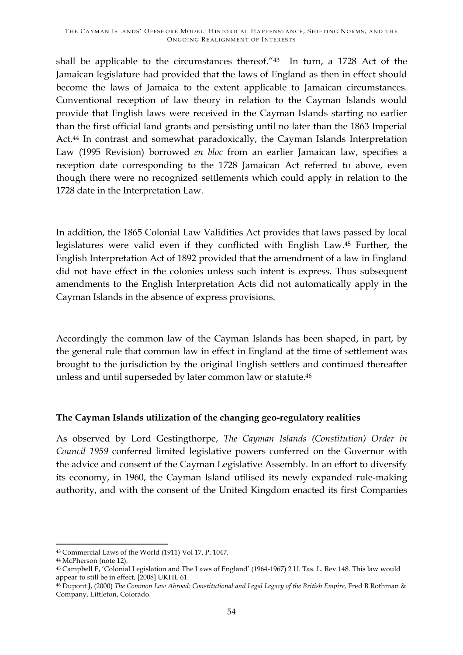shall be applicable to the circumstances thereof."43 In turn, a 1728 Act of the Jamaican legislature had provided that the laws of England as then in effect should become the laws of Jamaica to the extent applicable to Jamaican circumstances. Conventional reception of law theory in relation to the Cayman Islands would provide that English laws were received in the Cayman Islands starting no earlier than the first official land grants and persisting until no later than the 1863 Imperial Act.<sup>44</sup> In contrast and somewhat paradoxically, the Cayman Islands Interpretation Law (1995 Revision) borrowed *en bloc* from an earlier Jamaican law, specifies a reception date corresponding to the 1728 Jamaican Act referred to above, even though there were no recognized settlements which could apply in relation to the 1728 date in the Interpretation Law.

In addition, the 1865 Colonial Law Validities Act provides that laws passed by local legislatures were valid even if they conflicted with English Law.45 Further, the English Interpretation Act of 1892 provided that the amendment of a law in England did not have effect in the colonies unless such intent is express. Thus subsequent amendments to the English Interpretation Acts did not automatically apply in the Cayman Islands in the absence of express provisions.

Accordingly the common law of the Cayman Islands has been shaped, in part, by the general rule that common law in effect in England at the time of settlement was brought to the jurisdiction by the original English settlers and continued thereafter unless and until superseded by later common law or statute.46

# **The Cayman Islands utilization of the changing geo-regulatory realities**

As observed by Lord Gestingthorpe, *The Cayman Islands (Constitution) Order in Council 1959* conferred limited legislative powers conferred on the Governor with the advice and consent of the Cayman Legislative Assembly. In an effort to diversify its economy, in 1960, the Cayman Island utilised its newly expanded rule-making authority, and with the consent of the United Kingdom enacted its first Companies

<sup>&</sup>lt;u> 1989 - Johann Stein, fransk politiker (d. 1989)</u> <sup>43</sup> Commercial Laws of the World (1911) Vol 17, P. 1047.

<sup>44</sup> McPherson (note 12).

<sup>45</sup> Campbell E, 'Colonial Legislation and The Laws of England' (1964-1967) 2 U. Tas. L. Rev 148. This law would appear to still be in effect, [2008] UKHL 61.

<sup>&</sup>lt;sup>46</sup> Dupont J, (2000) *The Common Law Abroad: Constitutional and Legal Legacy of the British Empire, Fred B Rothman &* Company, Littleton, Colorado.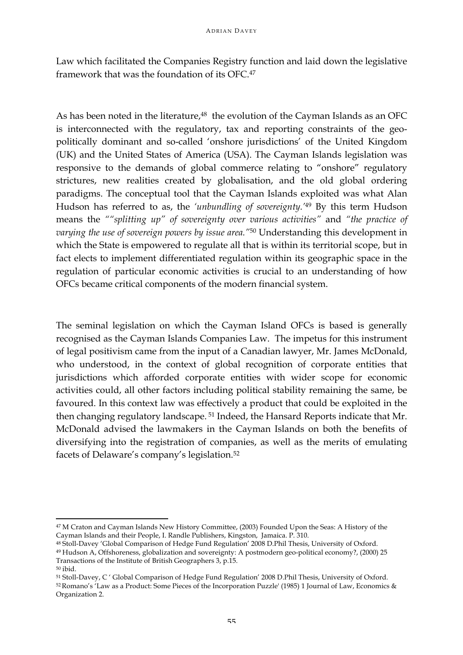Law which facilitated the Companies Registry function and laid down the legislative framework that was the foundation of its OFC.47

As has been noted in the literature,<sup>48</sup> the evolution of the Cayman Islands as an OFC is interconnected with the regulatory, tax and reporting constraints of the geopolitically dominant and so-called 'onshore jurisdictions' of the United Kingdom (UK) and the United States of America (USA). The Cayman Islands legislation was responsive to the demands of global commerce relating to "onshore" regulatory strictures, new realities created by globalisation, and the old global ordering paradigms. The conceptual tool that the Cayman Islands exploited was what Alan Hudson has referred to as, the *'unbundling of sovereignty.'*<sup>49</sup> By this term Hudson means the *""splitting up" of sovereignty over various activities"* and *"the practice of varying the use of sovereign powers by issue area."*<sup>50</sup> Understanding this development in which the State is empowered to regulate all that is within its territorial scope, but in fact elects to implement differentiated regulation within its geographic space in the regulation of particular economic activities is crucial to an understanding of how OFCs became critical components of the modern financial system.

The seminal legislation on which the Cayman Island OFCs is based is generally recognised as the Cayman Islands Companies Law. The impetus for this instrument of legal positivism came from the input of a Canadian lawyer, Mr. James McDonald, who understood, in the context of global recognition of corporate entities that jurisdictions which afforded corporate entities with wider scope for economic activities could, all other factors including political stability remaining the same, be favoured. In this context law was effectively a product that could be exploited in the then changing regulatory landscape. <sup>51</sup> Indeed, the Hansard Reports indicate that Mr. McDonald advised the lawmakers in the Cayman Islands on both the benefits of diversifying into the registration of companies, as well as the merits of emulating facets of Delaware's company's legislation.52

<sup>&</sup>lt;u> 1989 - Johann Stein, fransk politiker (d. 1989)</u> <sup>47</sup> M Craton and Cayman Islands New History Committee, (2003) Founded Upon the Seas: A History of the Cayman Islands and their People, I. Randle Publishers, Kingston, Jamaica. P. 310.

<sup>48</sup> Stoll-Davey 'Global Comparison of Hedge Fund Regulation' 2008 D.Phil Thesis, University of Oxford.

<sup>49</sup> Hudson A, Offshoreness, globalization and sovereignty: A postmodern geo-political economy?, (2000) 25 Transactions of the Institute of British Geographers 3, p.15.

<sup>50</sup> ibid.

<sup>51</sup> Stoll-Davey, C ' Global Comparison of Hedge Fund Regulation' 2008 D.Phil Thesis, University of Oxford.

<sup>52</sup>Romano's 'Law as a Product: Some Pieces of the Incorporation Puzzle' (1985) 1 Journal of Law, Economics & Organization 2.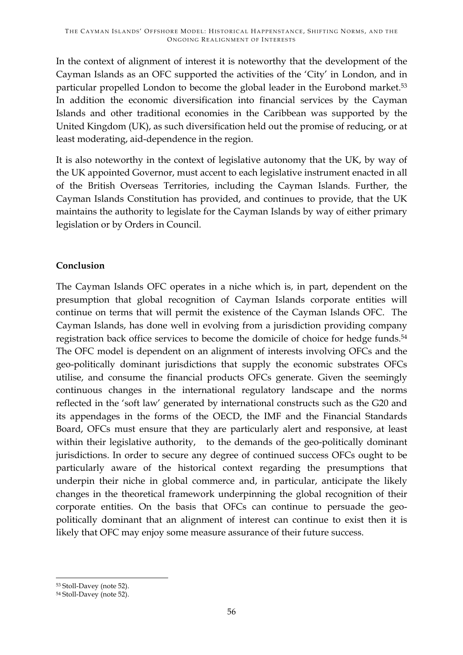In the context of alignment of interest it is noteworthy that the development of the Cayman Islands as an OFC supported the activities of the 'City' in London, and in particular propelled London to become the global leader in the Eurobond market.53 In addition the economic diversification into financial services by the Cayman Islands and other traditional economies in the Caribbean was supported by the United Kingdom (UK), as such diversification held out the promise of reducing, or at least moderating, aid-dependence in the region.

It is also noteworthy in the context of legislative autonomy that the UK, by way of the UK appointed Governor, must accent to each legislative instrument enacted in all of the British Overseas Territories, including the Cayman Islands. Further, the Cayman Islands Constitution has provided, and continues to provide, that the UK maintains the authority to legislate for the Cayman Islands by way of either primary legislation or by Orders in Council.

# **Conclusion**

The Cayman Islands OFC operates in a niche which is, in part, dependent on the presumption that global recognition of Cayman Islands corporate entities will continue on terms that will permit the existence of the Cayman Islands OFC. The Cayman Islands, has done well in evolving from a jurisdiction providing company registration back office services to become the domicile of choice for hedge funds.54 The OFC model is dependent on an alignment of interests involving OFCs and the geo-politically dominant jurisdictions that supply the economic substrates OFCs utilise, and consume the financial products OFCs generate. Given the seemingly continuous changes in the international regulatory landscape and the norms reflected in the 'soft law' generated by international constructs such as the G20 and its appendages in the forms of the OECD, the IMF and the Financial Standards Board, OFCs must ensure that they are particularly alert and responsive, at least within their legislative authority, to the demands of the geo-politically dominant jurisdictions. In order to secure any degree of continued success OFCs ought to be particularly aware of the historical context regarding the presumptions that underpin their niche in global commerce and, in particular, anticipate the likely changes in the theoretical framework underpinning the global recognition of their corporate entities. On the basis that OFCs can continue to persuade the geopolitically dominant that an alignment of interest can continue to exist then it is likely that OFC may enjoy some measure assurance of their future success.

<sup>&</sup>lt;u> 1989 - Johann Stein, fransk politiker (d. 1989)</u> <sup>53</sup> Stoll-Davey (note 52).

<sup>54</sup> Stoll-Davey (note 52).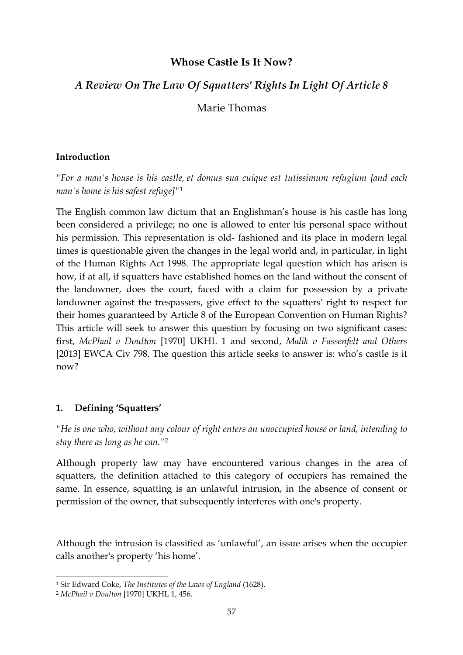# **Whose Castle Is It Now?**

# *A Review On The Law Of Squatters' Rights In Light Of Article 8*

Marie Thomas

# **Introduction**

*"For a man's house is his castle, et domus sua cuique est tutissimum refugium [and each man's home is his safest refuge]"*<sup>1</sup>

The English common law dictum that an Englishman's house is his castle has long been considered a privilege; no one is allowed to enter his personal space without his permission. This representation is old- fashioned and its place in modern legal times is questionable given the changes in the legal world and, in particular, in light of the Human Rights Act 1998. The appropriate legal question which has arisen is how, if at all, if squatters have established homes on the land without the consent of the landowner, does the court, faced with a claim for possession by a private landowner against the trespassers, give effect to the squatters' right to respect for their homes guaranteed by Article 8 of the European Convention on Human Rights? This article will seek to answer this question by focusing on two significant cases: first, *McPhail v Doulton* [1970] UKHL 1 and second, *Malik v Fassenfelt and Others* [2013] EWCA Civ 798. The question this article seeks to answer is: who's castle is it now?

# **1. Defining 'Squatters'**

*"He is one who, without any colour of right enters an unoccupied house or land, intending to stay there as long as he can."*<sup>2</sup>

Although property law may have encountered various changes in the area of squatters, the definition attached to this category of occupiers has remained the same. In essence, squatting is an unlawful intrusion, in the absence of consent or permission of the owner, that subsequently interferes with one's property.

Although the intrusion is classified as 'unlawful', an issue arises when the occupier calls another's property 'his home'.

<u> 1989 - Johann Stein, fransk politiker (d. 1989)</u>

<sup>1</sup> Sir Edward Coke, *The Institutes of the Laws of England* (1628).

<sup>2</sup> *McPhail v Doulton* [1970] UKHL 1, 456.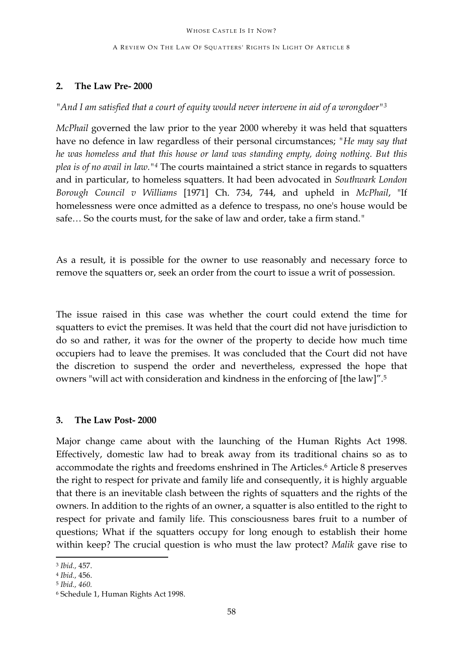A REVIEW ON THE LAW OF SQUATTERS' RIGHTS IN LIGHT OF ARTICLE 8

# **2. The Law Pre- 2000**

*"And I am satisfied that a court of equity would never intervene in aid of a wrongdoer"3*

*McPhail* governed the law prior to the year 2000 whereby it was held that squatters have no defence in law regardless of their personal circumstances; *"He may say that he was homeless and that this house or land was standing empty, doing nothing. But this plea is of no avail in law."4* The courts maintained a strict stance in regards to squatters and in particular, to homeless squatters. It had been advocated in *Southwark London Borough Council v Williams* [1971] Ch. 734, 744, and upheld in *McPhail*, "If homelessness were once admitted as a defence to trespass, no one's house would be safe… So the courts must, for the sake of law and order, take a firm stand.*"*

As a result, it is possible for the owner to use reasonably and necessary force to remove the squatters or, seek an order from the court to issue a writ of possession.

The issue raised in this case was whether the court could extend the time for squatters to evict the premises. It was held that the court did not have jurisdiction to do so and rather, it was for the owner of the property to decide how much time occupiers had to leave the premises. It was concluded that the Court did not have the discretion to suspend the order and nevertheless, expressed the hope that owners "will act with consideration and kindness in the enforcing of [the law]"*.* 5

### **3. The Law Post- 2000**

Major change came about with the launching of the Human Rights Act 1998. Effectively, domestic law had to break away from its traditional chains so as to accommodate the rights and freedoms enshrined in The Articles.<sup>6</sup> Article 8 preserves the right to respect for private and family life and consequently, it is highly arguable that there is an inevitable clash between the rights of squatters and the rights of the owners. In addition to the rights of an owner, a squatter is also entitled to the right to respect for private and family life. This consciousness bares fruit to a number of questions; What if the squatters occupy for long enough to establish their home within keep? The crucial question is who must the law protect? *Malik* gave rise to

<u> 1989 - Johann Stein, fransk politiker (d. 1989)</u>

<sup>3</sup> *Ibid.,* 457.

<sup>4</sup> *Ibid.,* 456.

<sup>5</sup> *Ibid., 460.*

<sup>6</sup> Schedule 1, Human Rights Act 1998.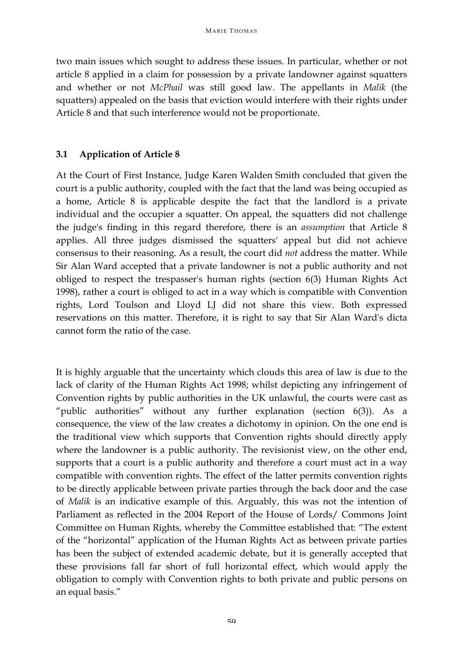two main issues which sought to address these issues. In particular, whether or not article 8 applied in a claim for possession by a private landowner against squatters and whether or not *McPhail* was still good law. The appellants in *Malik* (the squatters) appealed on the basis that eviction would interfere with their rights under Article 8 and that such interference would not be proportionate.

# **3.1 Application of Article 8**

At the Court of First Instance, Judge Karen Walden Smith concluded that given the court is a public authority, coupled with the fact that the land was being occupied as a home, Article 8 is applicable despite the fact that the landlord is a private individual and the occupier a squatter. On appeal, the squatters did not challenge the judge's finding in this regard therefore, there is an *assumption* that Article 8 applies. All three judges dismissed the squatters' appeal but did not achieve consensus to their reasoning. As a result, the court did *not* address the matter. While Sir Alan Ward accepted that a private landowner is not a public authority and not obliged to respect the trespasser's human rights (section 6(3) Human Rights Act 1998), rather a court is obliged to act in a way which is compatible with Convention rights, Lord Toulson and Lloyd LJ did not share this view. Both expressed reservations on this matter. Therefore, it is right to say that Sir Alan Ward's dicta cannot form the ratio of the case.

It is highly arguable that the uncertainty which clouds this area of law is due to the lack of clarity of the Human Rights Act 1998; whilst depicting any infringement of Convention rights by public authorities in the UK unlawful, the courts were cast as "public authorities" without any further explanation (section  $6(3)$ ). As a consequence, the view of the law creates a dichotomy in opinion. On the one end is the traditional view which supports that Convention rights should directly apply where the landowner is a public authority. The revisionist view, on the other end, supports that a court is a public authority and therefore a court must act in a way compatible with convention rights. The effect of the latter permits convention rights to be directly applicable between private parties through the back door and the case of *Malik* is an indicative example of this. Arguably, this was not the intention of Parliament as reflected in the 2004 Report of the House of Lords/ Commons Joint Committee on Human Rights, whereby the Committee established that: "The extent of the "horizontal" application of the Human Rights Act as between private parties has been the subject of extended academic debate, but it is generally accepted that these provisions fall far short of full horizontal effect, which would apply the obligation to comply with Convention rights to both private and public persons on an equal basis."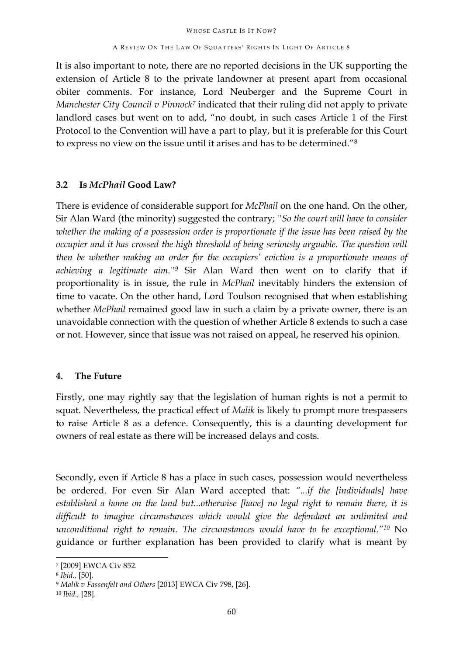#### A REVIEW ON THE LAW OF SQUATTERS' RIGHTS IN LIGHT OF ARTICLE 8

It is also important to note, there are no reported decisions in the UK supporting the extension of Article 8 to the private landowner at present apart from occasional obiter comments. For instance, Lord Neuberger and the Supreme Court in *Manchester City Council v Pinnock7* indicated that their ruling did not apply to private landlord cases but went on to add, "no doubt, in such cases Article 1 of the First Protocol to the Convention will have a part to play, but it is preferable for this Court to express no view on the issue until it arises and has to be determined."8

# **3.2 Is** *McPhail* **Good Law?**

There is evidence of considerable support for *McPhail* on the one hand. On the other, Sir Alan Ward (the minority) suggested the contrary; *"So the court will have to consider whether the making of a possession order is proportionate if the issue has been raised by the occupier and it has crossed the high threshold of being seriously arguable. The question will then be whether making an order for the occupiers' eviction is a proportionate means of achieving a legitimate aim."9* Sir Alan Ward then went on to clarify that if proportionality is in issue, the rule in *McPhail* inevitably hinders the extension of time to vacate. On the other hand, Lord Toulson recognised that when establishing whether *McPhail* remained good law in such a claim by a private owner, there is an unavoidable connection with the question of whether Article 8 extends to such a case or not. However, since that issue was not raised on appeal, he reserved his opinion.

# **4. The Future**

Firstly, one may rightly say that the legislation of human rights is not a permit to squat. Nevertheless, the practical effect of *Malik* is likely to prompt more trespassers to raise Article 8 as a defence. Consequently, this is a daunting development for owners of real estate as there will be increased delays and costs.

Secondly, even if Article 8 has a place in such cases, possession would nevertheless be ordered. For even Sir Alan Ward accepted that: *"...if the [individuals] have established a home on the land but...otherwise [have] no legal right to remain there, it is difficult to imagine circumstances which would give the defendant an unlimited and unconditional right to remain. The circumstances would have to be exceptional."10* No guidance or further explanation has been provided to clarify what is meant by

<sup>7</sup> [2009] EWCA Civ 852.

<sup>8</sup> *Ibid.,* [50].

<sup>9</sup> *Malik v Fassenfelt and Others* [2013] EWCA Civ 798, [26].

<sup>10</sup> *Ibid.,* [28]*.*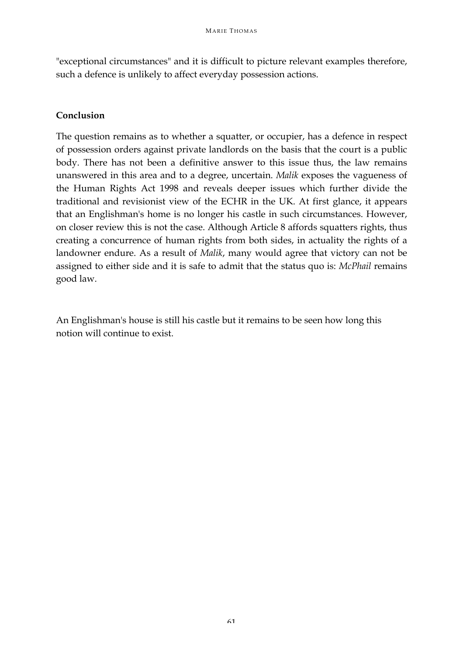"exceptional circumstances" and it is difficult to picture relevant examples therefore, such a defence is unlikely to affect everyday possession actions.

### **Conclusion**

The question remains as to whether a squatter, or occupier, has a defence in respect of possession orders against private landlords on the basis that the court is a public body. There has not been a definitive answer to this issue thus, the law remains unanswered in this area and to a degree, uncertain. *Malik* exposes the vagueness of the Human Rights Act 1998 and reveals deeper issues which further divide the traditional and revisionist view of the ECHR in the UK. At first glance, it appears that an Englishman's home is no longer his castle in such circumstances. However, on closer review this is not the case. Although Article 8 affords squatters rights, thus creating a concurrence of human rights from both sides, in actuality the rights of a landowner endure. As a result of *Malik*, many would agree that victory can not be assigned to either side and it is safe to admit that the status quo is: *McPhail* remains good law.

An Englishman's house is still his castle but it remains to be seen how long this notion will continue to exist.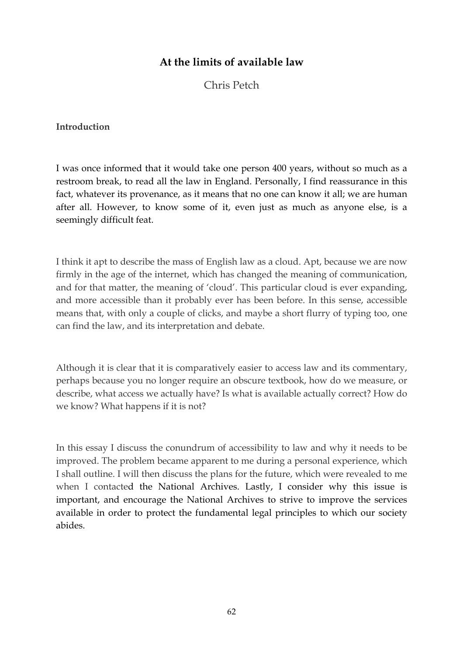# **At the limits of available law**

Chris Petch

#### **Introduction**

I was once informed that it would take one person 400 years, without so much as a restroom break, to read all the law in England. Personally, I find reassurance in this fact, whatever its provenance, as it means that no one can know it all; we are human after all. However, to know some of it, even just as much as anyone else, is a seemingly difficult feat.

I think it apt to describe the mass of English law as a cloud. Apt, because we are now firmly in the age of the internet, which has changed the meaning of communication, and for that matter, the meaning of 'cloud'. This particular cloud is ever expanding, and more accessible than it probably ever has been before. In this sense, accessible means that, with only a couple of clicks, and maybe a short flurry of typing too, one can find the law, and its interpretation and debate.

Although it is clear that it is comparatively easier to access law and its commentary, perhaps because you no longer require an obscure textbook, how do we measure, or describe, what access we actually have? Is what is available actually correct? How do we know? What happens if it is not?

In this essay I discuss the conundrum of accessibility to law and why it needs to be improved. The problem became apparent to me during a personal experience, which I shall outline. I will then discuss the plans for the future, which were revealed to me when I contacted the National Archives. Lastly, I consider why this issue is important, and encourage the National Archives to strive to improve the services available in order to protect the fundamental legal principles to which our society abides.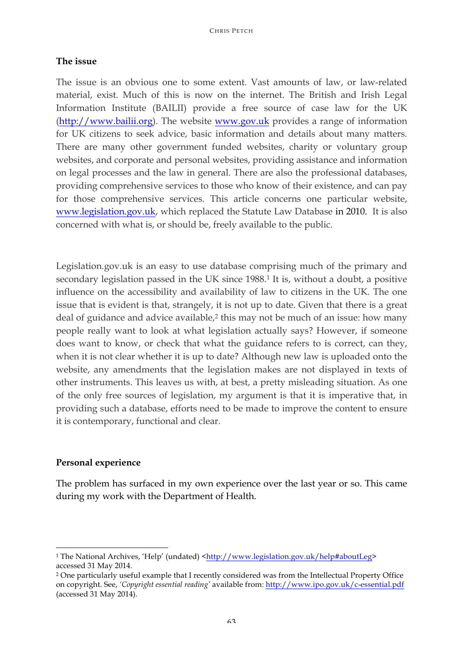#### **The issue**

The issue is an obvious one to some extent. Vast amounts of law, or law-related material, exist. Much of this is now on the internet. The British and Irish Legal Information Institute (BAILII) provide a free source of case law for the UK (http://www.bailii.org). The website www.gov.uk provides a range of information for UK citizens to seek advice, basic information and details about many matters. There are many other government funded websites, charity or voluntary group websites, and corporate and personal websites, providing assistance and information on legal processes and the law in general. There are also the professional databases, providing comprehensive services to those who know of their existence, and can pay for those comprehensive services. This article concerns one particular website, www.legislation.gov.uk, which replaced the Statute Law Database in 2010. It is also concerned with what is, or should be, freely available to the public.

Legislation.gov.uk is an easy to use database comprising much of the primary and secondary legislation passed in the UK since 1988.<sup>1</sup> It is, without a doubt, a positive influence on the accessibility and availability of law to citizens in the UK. The one issue that is evident is that, strangely, it is not up to date. Given that there is a great deal of guidance and advice available,<sup>2</sup> this may not be much of an issue: how many people really want to look at what legislation actually says? However, if someone does want to know, or check that what the guidance refers to is correct, can they, when it is not clear whether it is up to date? Although new law is uploaded onto the website, any amendments that the legislation makes are not displayed in texts of other instruments. This leaves us with, at best, a pretty misleading situation. As one of the only free sources of legislation, my argument is that it is imperative that, in providing such a database, efforts need to be made to improve the content to ensure it is contemporary, functional and clear.

#### **Personal experience**

<u> 1989 - Jan Samuel Barbara, margaret e</u>

The problem has surfaced in my own experience over the last year or so. This came during my work with the Department of Health.

<sup>&</sup>lt;sup>1</sup> The National Archives, 'Help' (undated) <http://www.legislation.gov.uk/help#aboutLeg> accessed 31 May 2014.

<sup>2</sup> One particularly useful example that I recently considered was from the Intellectual Property Office on copyright. See, *'Copyright essential reading'* available from: http://www.ipo.gov.uk/c-essential.pdf (accessed 31 May 2014).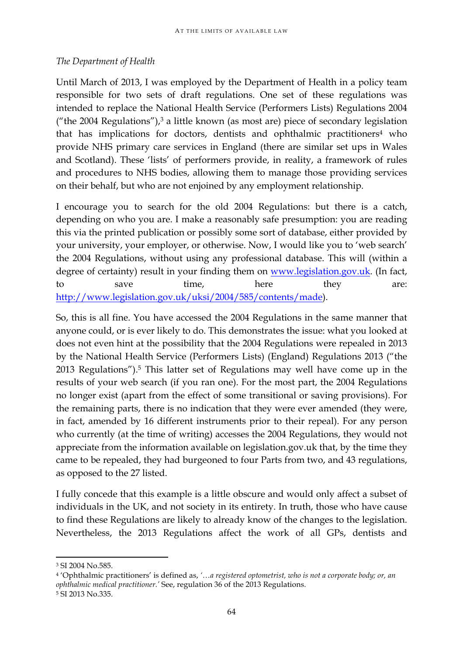#### *The Department of Health*

Until March of 2013, I was employed by the Department of Health in a policy team responsible for two sets of draft regulations. One set of these regulations was intended to replace the National Health Service (Performers Lists) Regulations 2004 ("the 2004 Regulations"), $3$  a little known (as most are) piece of secondary legislation that has implications for doctors, dentists and ophthalmic practitioners<sup>4</sup> who provide NHS primary care services in England (there are similar set ups in Wales and Scotland). These 'lists' of performers provide, in reality, a framework of rules and procedures to NHS bodies, allowing them to manage those providing services on their behalf, but who are not enjoined by any employment relationship.

I encourage you to search for the old 2004 Regulations: but there is a catch, depending on who you are. I make a reasonably safe presumption: you are reading this via the printed publication or possibly some sort of database, either provided by your university, your employer, or otherwise. Now, I would like you to 'web search' the 2004 Regulations, without using any professional database. This will (within a degree of certainty) result in your finding them on www.legislation.gov.uk. (In fact, to save time, here they are: http://www.legislation.gov.uk/uksi/2004/585/contents/made).

So, this is all fine. You have accessed the 2004 Regulations in the same manner that anyone could, or is ever likely to do. This demonstrates the issue: what you looked at does not even hint at the possibility that the 2004 Regulations were repealed in 2013 by the National Health Service (Performers Lists) (England) Regulations 2013 ("the 2013 Regulations").5 This latter set of Regulations may well have come up in the results of your web search (if you ran one). For the most part, the 2004 Regulations no longer exist (apart from the effect of some transitional or saving provisions). For the remaining parts, there is no indication that they were ever amended (they were, in fact, amended by 16 different instruments prior to their repeal). For any person who currently (at the time of writing) accesses the 2004 Regulations, they would not appreciate from the information available on legislation.gov.uk that, by the time they came to be repealed, they had burgeoned to four Parts from two, and 43 regulations, as opposed to the 27 listed.

I fully concede that this example is a little obscure and would only affect a subset of individuals in the UK, and not society in its entirety. In truth, those who have cause to find these Regulations are likely to already know of the changes to the legislation. Nevertheless, the 2013 Regulations affect the work of all GPs, dentists and

<sup>3</sup> SI 2004 No.585.

<sup>4</sup> 'Ophthalmic practitioners' is defined as, *'…a registered optometrist, who is not a corporate body; or, an ophthalmic medical practitioner.'* See, regulation 36 of the 2013 Regulations.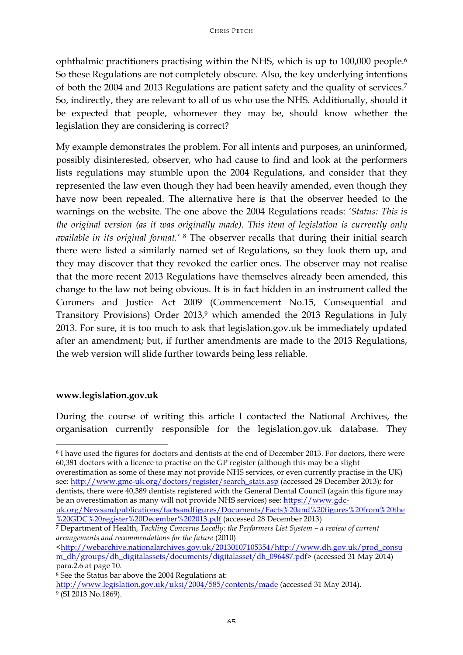ophthalmic practitioners practising within the NHS, which is up to 100,000 people.6 So these Regulations are not completely obscure. Also, the key underlying intentions of both the 2004 and 2013 Regulations are patient safety and the quality of services.7 So, indirectly, they are relevant to all of us who use the NHS. Additionally, should it be expected that people, whomever they may be, should know whether the legislation they are considering is correct?

My example demonstrates the problem. For all intents and purposes, an uninformed, possibly disinterested, observer, who had cause to find and look at the performers lists regulations may stumble upon the 2004 Regulations, and consider that they represented the law even though they had been heavily amended, even though they have now been repealed. The alternative here is that the observer heeded to the warnings on the website. The one above the 2004 Regulations reads: *'Status: This is the original version (as it was originally made). This item of legislation is currently only available in its original format.'* <sup>8</sup> The observer recalls that during their initial search there were listed a similarly named set of Regulations, so they look them up, and they may discover that they revoked the earlier ones. The observer may not realise that the more recent 2013 Regulations have themselves already been amended, this change to the law not being obvious. It is in fact hidden in an instrument called the Coroners and Justice Act 2009 (Commencement No.15, Consequential and Transitory Provisions) Order 2013,<sup>9</sup> which amended the 2013 Regulations in July 2013. For sure, it is too much to ask that legislation.gov.uk be immediately updated after an amendment; but, if further amendments are made to the 2013 Regulations, the web version will slide further towards being less reliable.

### **www.legislation.gov.uk**

<u> 1989 - Jan Samuel Barbara, margaret e</u>

During the course of writing this article I contacted the National Archives, the organisation currently responsible for the legislation.gov.uk database. They

dentists, there were 40,389 dentists registered with the General Dental Council (again this figure may be an overestimation as many will not provide NHS services) see: https://www.gdcuk.org/Newsandpublications/factsandfigures/Documents/Facts%20and%20figures%20from%20the

%20GDC%20register%20December%202013.pdf (accessed 28 December 2013)

<sup>7</sup> Department of Health, *Tackling Concerns Locally: the Performers List System – a review of current arrangements and recommendations for the future* (2010)

<http://webarchive.nationalarchives.gov.uk/20130107105354/http://www.dh.gov.uk/prod\_consu m\_dh/groups/dh\_digitalassets/documents/digitalasset/dh\_096487.pdf> (accessed 31 May 2014) para.2.6 at page 10.

<sup>8</sup> See the Status bar above the 2004 Regulations at:

http://www.legislation.gov.uk/uksi/2004/585/contents/made (accessed 31 May 2014). <sup>9</sup> (SI 2013 No.1869).

<sup>6</sup> I have used the figures for doctors and dentists at the end of December 2013. For doctors, there were 60,381 doctors with a licence to practise on the GP register (although this may be a slight overestimation as some of these may not provide NHS services, or even currently practise in the UK) see: http://www.gmc-uk.org/doctors/register/search\_stats.asp (accessed 28 December 2013); for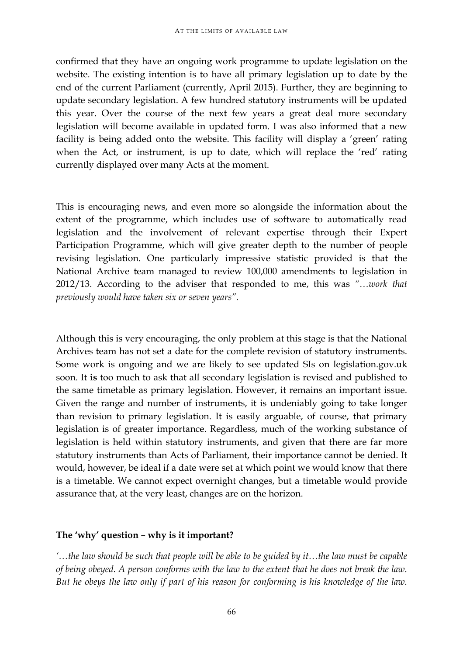confirmed that they have an ongoing work programme to update legislation on the website. The existing intention is to have all primary legislation up to date by the end of the current Parliament (currently, April 2015). Further, they are beginning to update secondary legislation. A few hundred statutory instruments will be updated this year. Over the course of the next few years a great deal more secondary legislation will become available in updated form. I was also informed that a new facility is being added onto the website. This facility will display a 'green' rating when the Act, or instrument, is up to date, which will replace the 'red' rating currently displayed over many Acts at the moment.

This is encouraging news, and even more so alongside the information about the extent of the programme, which includes use of software to automatically read legislation and the involvement of relevant expertise through their Expert Participation Programme, which will give greater depth to the number of people revising legislation. One particularly impressive statistic provided is that the National Archive team managed to review 100,000 amendments to legislation in 2012/13. According to the adviser that responded to me, this was *"…work that previously would have taken six or seven years".* 

Although this is very encouraging, the only problem at this stage is that the National Archives team has not set a date for the complete revision of statutory instruments. Some work is ongoing and we are likely to see updated SIs on legislation.gov.uk soon. It **is** too much to ask that all secondary legislation is revised and published to the same timetable as primary legislation. However, it remains an important issue. Given the range and number of instruments, it is undeniably going to take longer than revision to primary legislation. It is easily arguable, of course, that primary legislation is of greater importance. Regardless, much of the working substance of legislation is held within statutory instruments, and given that there are far more statutory instruments than Acts of Parliament, their importance cannot be denied. It would, however, be ideal if a date were set at which point we would know that there is a timetable. We cannot expect overnight changes, but a timetable would provide assurance that, at the very least, changes are on the horizon.

# **The 'why' question – why is it important?**

*'…the law should be such that people will be able to be guided by it…the law must be capable of being obeyed. A person conforms with the law to the extent that he does not break the law. But he obeys the law only if part of his reason for conforming is his knowledge of the law.*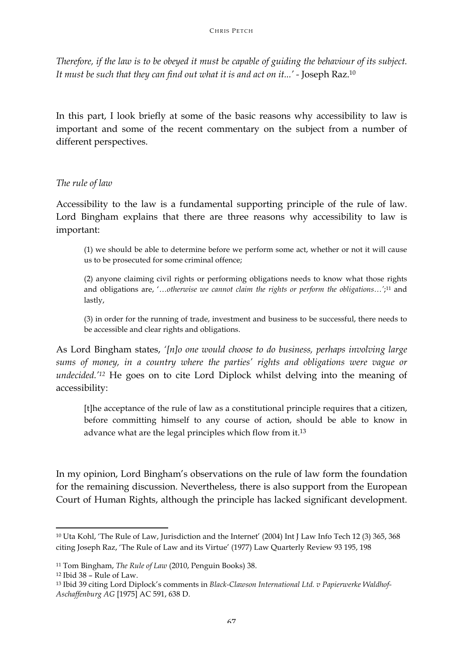*Therefore, if the law is to be obeyed it must be capable of guiding the behaviour of its subject. It must be such that they can find out what it is and act on it...' -* Joseph Raz.10

In this part, I look briefly at some of the basic reasons why accessibility to law is important and some of the recent commentary on the subject from a number of different perspectives.

### *The rule of law*

Accessibility to the law is a fundamental supporting principle of the rule of law. Lord Bingham explains that there are three reasons why accessibility to law is important:

(1) we should be able to determine before we perform some act, whether or not it will cause us to be prosecuted for some criminal offence;

(2) anyone claiming civil rights or performing obligations needs to know what those rights and obligations are, '…*otherwise we cannot claim the rights or perform the obligations…'*;11 and lastly,

(3) in order for the running of trade, investment and business to be successful, there needs to be accessible and clear rights and obligations.

As Lord Bingham states, *'[n]o one would choose to do business, perhaps involving large sums of money, in a country where the parties' rights and obligations were vague or undecided.'12* He goes on to cite Lord Diplock whilst delving into the meaning of accessibility:

[t]he acceptance of the rule of law as a constitutional principle requires that a citizen, before committing himself to any course of action, should be able to know in advance what are the legal principles which flow from it.13

In my opinion, Lord Bingham's observations on the rule of law form the foundation for the remaining discussion. Nevertheless, there is also support from the European Court of Human Rights, although the principle has lacked significant development.

<sup>10</sup> Uta Kohl, 'The Rule of Law, Jurisdiction and the Internet' (2004) Int J Law Info Tech 12 (3) 365, 368 citing Joseph Raz, 'The Rule of Law and its Virtue' (1977) Law Quarterly Review 93 195, 198

<sup>11</sup> Tom Bingham, *The Rule of Law* (2010, Penguin Books) 38.

<sup>12</sup> Ibid 38 – Rule of Law.

<sup>13</sup> Ibid 39 citing Lord Diplock's comments in *Black-Clawson International Ltd. v Papierwerke Waldhof-Aschaffenburg AG* [1975] AC 591, 638 D.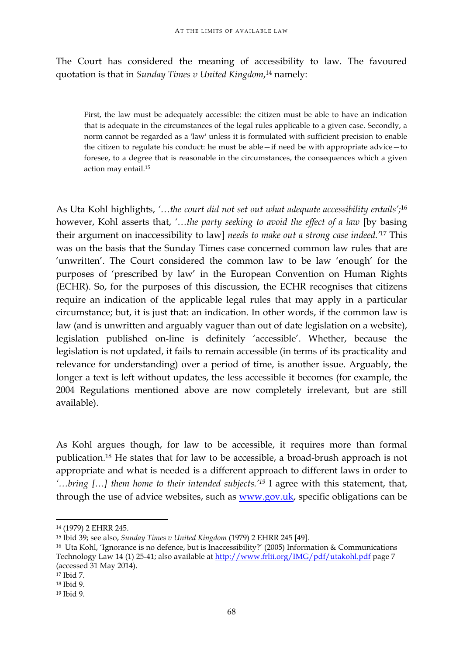The Court has considered the meaning of accessibility to law. The favoured quotation is that in *Sunday Times v United Kingdom*, <sup>14</sup> namely:

First, the law must be adequately accessible: the citizen must be able to have an indication that is adequate in the circumstances of the legal rules applicable to a given case. Secondly, a norm cannot be regarded as a 'law' unless it is formulated with sufficient precision to enable the citizen to regulate his conduct: he must be able—if need be with appropriate advice—to foresee, to a degree that is reasonable in the circumstances, the consequences which a given action may entail.15

As Uta Kohl highlights, *'…the court did not set out what adequate accessibility entails';*<sup>16</sup> however, Kohl asserts that, *'…the party seeking to avoid the effect of a law* [by basing their argument on inaccessibility to law] *needs to make out a strong case indeed.'*<sup>17</sup> This was on the basis that the Sunday Times case concerned common law rules that are 'unwritten'. The Court considered the common law to be law 'enough' for the purposes of 'prescribed by law' in the European Convention on Human Rights (ECHR). So, for the purposes of this discussion, the ECHR recognises that citizens require an indication of the applicable legal rules that may apply in a particular circumstance; but, it is just that: an indication. In other words, if the common law is law (and is unwritten and arguably vaguer than out of date legislation on a website), legislation published on-line is definitely 'accessible'. Whether, because the legislation is not updated, it fails to remain accessible (in terms of its practicality and relevance for understanding) over a period of time, is another issue. Arguably, the longer a text is left without updates, the less accessible it becomes (for example, the 2004 Regulations mentioned above are now completely irrelevant, but are still available).

As Kohl argues though, for law to be accessible, it requires more than formal publication.18 He states that for law to be accessible, a broad-brush approach is not appropriate and what is needed is a different approach to different laws in order to *'…bring […] them home to their intended subjects.'19* I agree with this statement, that, through the use of advice websites, such as www.gov.uk, specific obligations can be

<sup>14</sup> (1979) 2 EHRR 245.

<sup>15</sup> Ibid 39; see also, *Sunday Times v United Kingdom* (1979) 2 EHRR 245 [49].

<sup>16</sup> Uta Kohl, 'Ignorance is no defence, but is Inaccessibility?' (2005) Information & Communications Technology Law 14 (1) 25-41; also available at http://www.frlii.org/IMG/pdf/utakohl.pdf page 7 (accessed 31 May 2014).

<sup>17</sup> Ibid 7.

<sup>18</sup> Ibid 9.

<sup>19</sup> Ibid 9.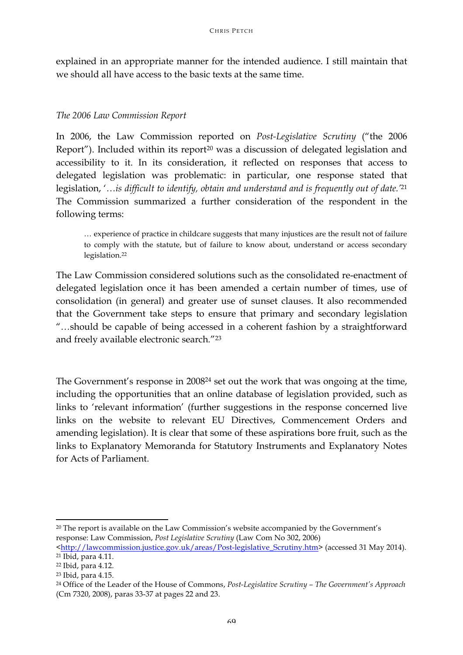explained in an appropriate manner for the intended audience. I still maintain that we should all have access to the basic texts at the same time.

#### *The 2006 Law Commission Report*

In 2006, the Law Commission reported on *Post-Legislative Scrutiny* ("the 2006 Report"). Included within its report<sup>20</sup> was a discussion of delegated legislation and accessibility to it. In its consideration, it reflected on responses that access to delegated legislation was problematic: in particular, one response stated that legislation, '*…is difficult to identify, obtain and understand and is frequently out of date.'*<sup>21</sup> The Commission summarized a further consideration of the respondent in the following terms:

… experience of practice in childcare suggests that many injustices are the result not of failure to comply with the statute, but of failure to know about, understand or access secondary legislation.22

The Law Commission considered solutions such as the consolidated re-enactment of delegated legislation once it has been amended a certain number of times, use of consolidation (in general) and greater use of sunset clauses. It also recommended that the Government take steps to ensure that primary and secondary legislation "*…*should be capable of being accessed in a coherent fashion by a straightforward and freely available electronic search*.*"23

The Government's response in 200824 set out the work that was ongoing at the time, including the opportunities that an online database of legislation provided, such as links to 'relevant information' (further suggestions in the response concerned live links on the website to relevant EU Directives, Commencement Orders and amending legislation). It is clear that some of these aspirations bore fruit, such as the links to Explanatory Memoranda for Statutory Instruments and Explanatory Notes for Acts of Parliament.

<sup>&</sup>lt;u> 1989 - Jan Samuel Barbara, margaret e</u> <sup>20</sup> The report is available on the Law Commission's website accompanied by the Government's response: Law Commission, *Post Legislative Scrutiny* (Law Com No 302, 2006)

<sup>&</sup>lt;http://lawcommission.justice.gov.uk/areas/Post-legislative\_Scrutiny.htm> (accessed 31 May 2014). <sup>21</sup> Ibid, para 4.11.

<sup>22</sup> Ibid, para 4.12.

<sup>23</sup> Ibid, para 4.15.

<sup>24</sup> Office of the Leader of the House of Commons, *Post-Legislative Scrutiny – The Government's Approach*  (Cm 7320, 2008), paras 33-37 at pages 22 and 23.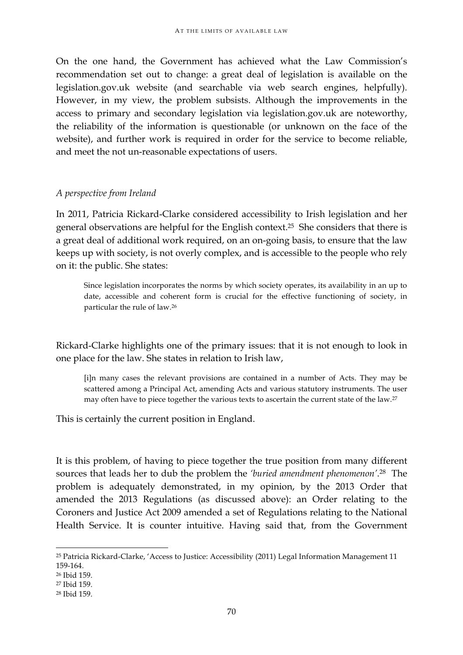On the one hand, the Government has achieved what the Law Commission's recommendation set out to change: a great deal of legislation is available on the legislation.gov.uk website (and searchable via web search engines, helpfully). However, in my view, the problem subsists. Although the improvements in the access to primary and secondary legislation via legislation.gov.uk are noteworthy, the reliability of the information is questionable (or unknown on the face of the website), and further work is required in order for the service to become reliable, and meet the not un-reasonable expectations of users.

### *A perspective from Ireland*

In 2011, Patricia Rickard-Clarke considered accessibility to Irish legislation and her general observations are helpful for the English context.25 She considers that there is a great deal of additional work required, on an on-going basis, to ensure that the law keeps up with society, is not overly complex, and is accessible to the people who rely on it: the public. She states:

Since legislation incorporates the norms by which society operates, its availability in an up to date, accessible and coherent form is crucial for the effective functioning of society, in particular the rule of law.26

Rickard-Clarke highlights one of the primary issues: that it is not enough to look in one place for the law. She states in relation to Irish law,

[i]n many cases the relevant provisions are contained in a number of Acts. They may be scattered among a Principal Act, amending Acts and various statutory instruments. The user may often have to piece together the various texts to ascertain the current state of the law.27

This is certainly the current position in England.

It is this problem, of having to piece together the true position from many different sources that leads her to dub the problem the *'buried amendment phenomenon'*. 28 The problem is adequately demonstrated, in my opinion, by the 2013 Order that amended the 2013 Regulations (as discussed above): an Order relating to the Coroners and Justice Act 2009 amended a set of Regulations relating to the National Health Service. It is counter intuitive. Having said that, from the Government

<sup>25</sup> Patricia Rickard-Clarke, 'Access to Justice: Accessibility (2011) Legal Information Management 11 159-164.

<sup>26</sup> Ibid 159.

<sup>27</sup> Ibid 159.

<sup>28</sup> Ibid 159.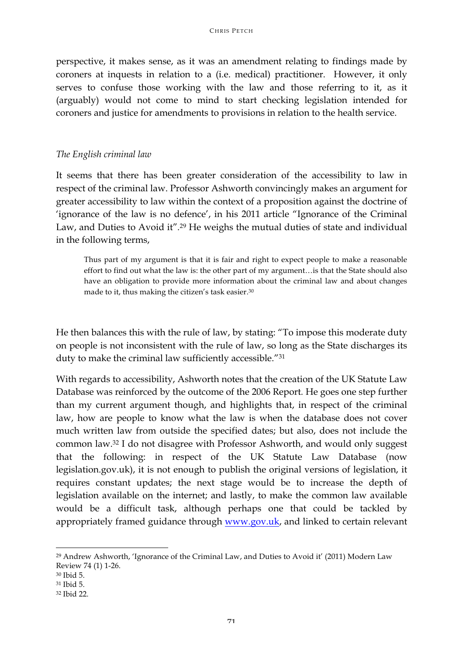perspective, it makes sense, as it was an amendment relating to findings made by coroners at inquests in relation to a (i.e. medical) practitioner. However, it only serves to confuse those working with the law and those referring to it, as it (arguably) would not come to mind to start checking legislation intended for coroners and justice for amendments to provisions in relation to the health service.

#### *The English criminal law*

It seems that there has been greater consideration of the accessibility to law in respect of the criminal law. Professor Ashworth convincingly makes an argument for greater accessibility to law within the context of a proposition against the doctrine of 'ignorance of the law is no defence', in his 2011 article "Ignorance of the Criminal Law, and Duties to Avoid it"*.* <sup>29</sup> He weighs the mutual duties of state and individual in the following terms,

Thus part of my argument is that it is fair and right to expect people to make a reasonable effort to find out what the law is: the other part of my argument…is that the State should also have an obligation to provide more information about the criminal law and about changes made to it, thus making the citizen's task easier.30

He then balances this with the rule of law, by stating: "To impose this moderate duty on people is not inconsistent with the rule of law, so long as the State discharges its duty to make the criminal law sufficiently accessible."31

With regards to accessibility, Ashworth notes that the creation of the UK Statute Law Database was reinforced by the outcome of the 2006 Report*.* He goes one step further than my current argument though, and highlights that, in respect of the criminal law, how are people to know what the law is when the database does not cover much written law from outside the specified dates; but also, does not include the common law.32 I do not disagree with Professor Ashworth, and would only suggest that the following: in respect of the UK Statute Law Database (now legislation.gov.uk), it is not enough to publish the original versions of legislation, it requires constant updates; the next stage would be to increase the depth of legislation available on the internet; and lastly, to make the common law available would be a difficult task, although perhaps one that could be tackled by appropriately framed guidance through www.gov.uk, and linked to certain relevant

<sup>29</sup> Andrew Ashworth, 'Ignorance of the Criminal Law, and Duties to Avoid it' (2011) Modern Law Review 74 (1) 1-26.

<sup>30</sup> Ibid 5.

<sup>31</sup> Ibid 5.

<sup>32</sup> Ibid 22.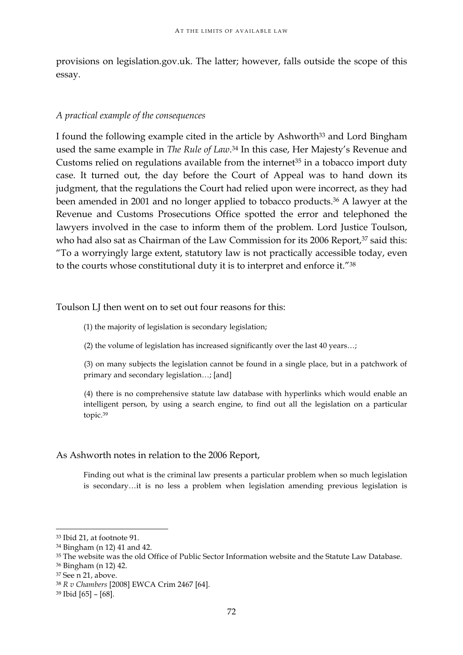provisions on legislation.gov.uk. The latter; however, falls outside the scope of this essay.

#### *A practical example of the consequences*

I found the following example cited in the article by Ashworth<sup>33</sup> and Lord Bingham used the same example in *The Rule of Law*. <sup>34</sup> In this case, Her Majesty's Revenue and Customs relied on regulations available from the internet<sup> $35$ </sup> in a tobacco import duty case. It turned out, the day before the Court of Appeal was to hand down its judgment, that the regulations the Court had relied upon were incorrect, as they had been amended in 2001 and no longer applied to tobacco products.36 A lawyer at the Revenue and Customs Prosecutions Office spotted the error and telephoned the lawyers involved in the case to inform them of the problem. Lord Justice Toulson, who had also sat as Chairman of the Law Commission for its 2006 Report,<sup>37</sup> said this: "To a worryingly large extent, statutory law is not practically accessible today, even to the courts whose constitutional duty it is to interpret and enforce it."38

#### Toulson LJ then went on to set out four reasons for this:

(1) the majority of legislation is secondary legislation;

(2) the volume of legislation has increased significantly over the last 40 years…;

(3) on many subjects the legislation cannot be found in a single place, but in a patchwork of primary and secondary legislation…; [and]

(4) there is no comprehensive statute law database with hyperlinks which would enable an intelligent person, by using a search engine, to find out all the legislation on a particular topic.39

### As Ashworth notes in relation to the 2006 Report,

Finding out what is the criminal law presents a particular problem when so much legislation is secondary…it is no less a problem when legislation amending previous legislation is

<sup>33</sup> Ibid 21, at footnote 91.

<sup>34</sup> Bingham (n 12) 41 and 42.

<sup>&</sup>lt;sup>35</sup> The website was the old Office of Public Sector Information website and the Statute Law Database.

<sup>36</sup> Bingham (n 12) 42.

<sup>37</sup> See n 21, above.

<sup>38</sup> *R v Chambers* [2008] EWCA Crim 2467 [64].

<sup>39</sup> Ibid [65] – [68].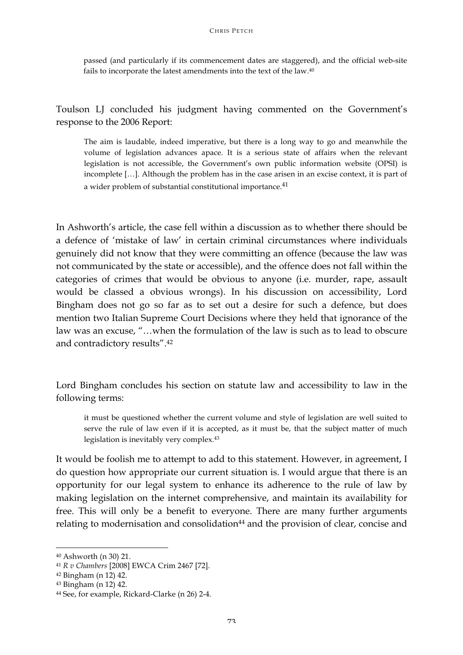passed (and particularly if its commencement dates are staggered), and the official web-site fails to incorporate the latest amendments into the text of the law.40

Toulson LJ concluded his judgment having commented on the Government's response to the 2006 Report:

The aim is laudable, indeed imperative, but there is a long way to go and meanwhile the volume of legislation advances apace. It is a serious state of affairs when the relevant legislation is not accessible, the Government's own public information website (OPSI) is incomplete […]. Although the problem has in the case arisen in an excise context, it is part of a wider problem of substantial constitutional importance.<sup>41</sup>

In Ashworth's article, the case fell within a discussion as to whether there should be a defence of 'mistake of law' in certain criminal circumstances where individuals genuinely did not know that they were committing an offence (because the law was not communicated by the state or accessible), and the offence does not fall within the categories of crimes that would be obvious to anyone (i.e. murder, rape, assault would be classed a obvious wrongs). In his discussion on accessibility, Lord Bingham does not go so far as to set out a desire for such a defence, but does mention two Italian Supreme Court Decisions where they held that ignorance of the law was an excuse, "…when the formulation of the law is such as to lead to obscure and contradictory results". 42

Lord Bingham concludes his section on statute law and accessibility to law in the following terms:

it must be questioned whether the current volume and style of legislation are well suited to serve the rule of law even if it is accepted, as it must be, that the subject matter of much legislation is inevitably very complex*.*<sup>43</sup>

It would be foolish me to attempt to add to this statement. However, in agreement, I do question how appropriate our current situation is. I would argue that there is an opportunity for our legal system to enhance its adherence to the rule of law by making legislation on the internet comprehensive, and maintain its availability for free. This will only be a benefit to everyone. There are many further arguments relating to modernisation and consolidation<sup>44</sup> and the provision of clear, concise and

<u> 1989 - Jan Samuel Barbara, margaret e</u>

<sup>40</sup> Ashworth (n 30) 21.

<sup>41</sup> *R v Chambers* [2008] EWCA Crim 2467 [72].

<sup>42</sup> Bingham (n 12) 42.

<sup>43</sup> Bingham (n 12) 42.

<sup>44</sup> See, for example, Rickard-Clarke (n 26) 2-4.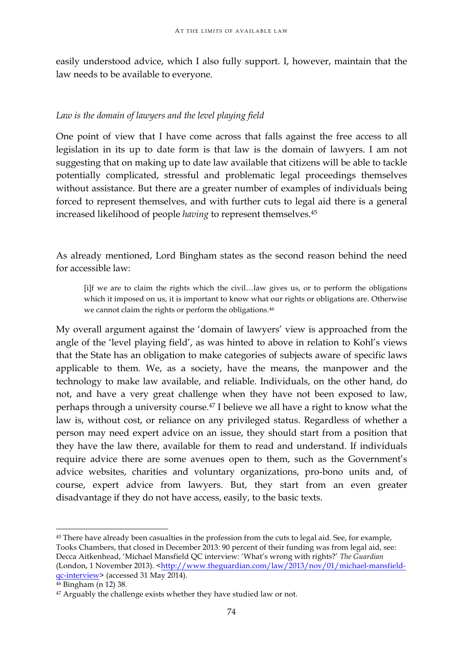easily understood advice, which I also fully support. I, however, maintain that the law needs to be available to everyone.

## *Law is the domain of lawyers and the level playing field*

One point of view that I have come across that falls against the free access to all legislation in its up to date form is that law is the domain of lawyers. I am not suggesting that on making up to date law available that citizens will be able to tackle potentially complicated, stressful and problematic legal proceedings themselves without assistance. But there are a greater number of examples of individuals being forced to represent themselves, and with further cuts to legal aid there is a general increased likelihood of people *having* to represent themselves.45

As already mentioned, Lord Bingham states as the second reason behind the need for accessible law:

[i]f we are to claim the rights which the civil…law gives us, or to perform the obligations which it imposed on us, it is important to know what our rights or obligations are. Otherwise we cannot claim the rights or perform the obligations.46

My overall argument against the 'domain of lawyers' view is approached from the angle of the 'level playing field', as was hinted to above in relation to Kohl's views that the State has an obligation to make categories of subjects aware of specific laws applicable to them. We, as a society, have the means, the manpower and the technology to make law available, and reliable. Individuals, on the other hand, do not, and have a very great challenge when they have not been exposed to law, perhaps through a university course.47 I believe we all have a right to know what the law is, without cost, or reliance on any privileged status. Regardless of whether a person may need expert advice on an issue, they should start from a position that they have the law there, available for them to read and understand. If individuals require advice there are some avenues open to them, such as the Government's advice websites, charities and voluntary organizations, pro-bono units and, of course, expert advice from lawyers. But, they start from an even greater disadvantage if they do not have access, easily, to the basic texts.

<sup>&</sup>lt;u> 1989 - Jan Samuel Barbara, margaret e</u> <sup>45</sup> There have already been casualties in the profession from the cuts to legal aid. See, for example, Tooks Chambers, that closed in December 2013: 90 percent of their funding was from legal aid, see: Decca Aitkenhead, 'Michael Mansfield QC interview: 'What's wrong with rights?' *The Guardian*  (London, 1 November 2013). <http://www.theguardian.com/law/2013/nov/01/michael-mansfieldqc-interview> (accessed 31 May 2014).

<sup>46</sup> Bingham (n 12) 38.

<sup>&</sup>lt;sup>47</sup> Arguably the challenge exists whether they have studied law or not.